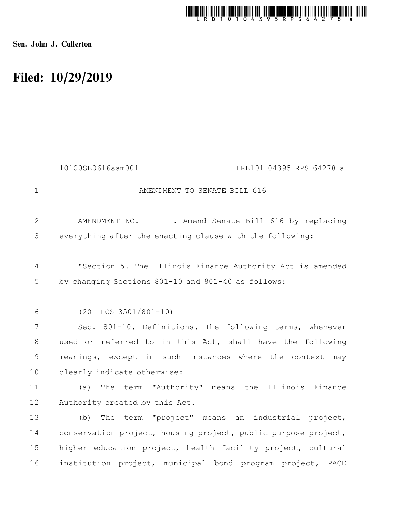

Sen. John J. Cullerton

## Filed: 10/29/2019

|             | 10100SB0616sam001<br>LRB101 04395 RPS 64278 a                  |
|-------------|----------------------------------------------------------------|
| $\mathbf 1$ | AMENDMENT TO SENATE BILL 616                                   |
| 2           | AMENDMENT NO. . Amend Senate Bill 616 by replacing             |
| 3           | everything after the enacting clause with the following:       |
| 4           | "Section 5. The Illinois Finance Authority Act is amended      |
| 5           | by changing Sections 801-10 and 801-40 as follows:             |
| 6           | $(20$ ILCS $3501/801-10)$                                      |
| 7           | Sec. 801-10. Definitions. The following terms, whenever        |
| 8           | used or referred to in this Act, shall have the following      |
| 9           | meanings, except in such instances where the context may       |
| 10          | clearly indicate otherwise:                                    |
| 11          | The term "Authority" means the Illinois Finance<br>(a)         |
| 12          | Authority created by this Act.                                 |
| 13          | The term "project" means an industrial project,<br>(b)         |
| 14          | conservation project, housing project, public purpose project, |
| 15          | higher education project, health facility project, cultural    |
| 16          | institution project, municipal bond program project, PACE      |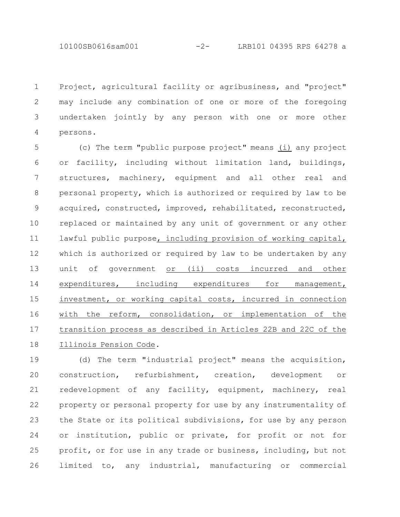Project, agricultural facility or agribusiness, and "project" may include any combination of one or more of the foregoing undertaken jointly by any person with one or more other persons. 1 2 3 4

(c) The term "public purpose project" means (i) any project or facility, including without limitation land, buildings, structures, machinery, equipment and all other real and personal property, which is authorized or required by law to be acquired, constructed, improved, rehabilitated, reconstructed, replaced or maintained by any unit of government or any other lawful public purpose, including provision of working capital, which is authorized or required by law to be undertaken by any unit of government or (ii) costs incurred and other expenditures, including expenditures for management, investment, or working capital costs, incurred in connection with the reform, consolidation, or implementation of the transition process as described in Articles 22B and 22C of the Illinois Pension Code. 5 6 7 8 9 10 11 12 13 14 15 16 17 18

(d) The term "industrial project" means the acquisition, construction, refurbishment, creation, development or redevelopment of any facility, equipment, machinery, real property or personal property for use by any instrumentality of the State or its political subdivisions, for use by any person or institution, public or private, for profit or not for profit, or for use in any trade or business, including, but not limited to, any industrial, manufacturing or commercial 19 20 21 22 23 24 25 26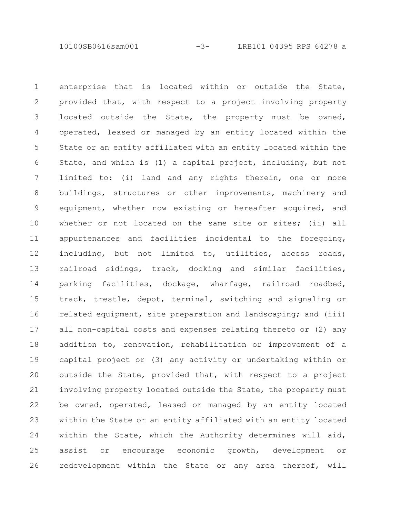10100SB0616sam001 -3- LRB101 04395 RPS 64278 a

enterprise that is located within or outside the State, provided that, with respect to a project involving property located outside the State, the property must be owned, operated, leased or managed by an entity located within the State or an entity affiliated with an entity located within the State, and which is (1) a capital project, including, but not limited to: (i) land and any rights therein, one or more buildings, structures or other improvements, machinery and equipment, whether now existing or hereafter acquired, and whether or not located on the same site or sites; (ii) all appurtenances and facilities incidental to the foregoing, including, but not limited to, utilities, access roads, railroad sidings, track, docking and similar facilities, parking facilities, dockage, wharfage, railroad roadbed, track, trestle, depot, terminal, switching and signaling or related equipment, site preparation and landscaping; and (iii) all non-capital costs and expenses relating thereto or (2) any addition to, renovation, rehabilitation or improvement of a capital project or (3) any activity or undertaking within or outside the State, provided that, with respect to a project involving property located outside the State, the property must be owned, operated, leased or managed by an entity located within the State or an entity affiliated with an entity located within the State, which the Authority determines will aid, assist or encourage economic growth, development or redevelopment within the State or any area thereof, will 1 2 3 4 5 6 7 8 9 10 11 12 13 14 15 16 17 18 19 20 21 22 23 24 25 26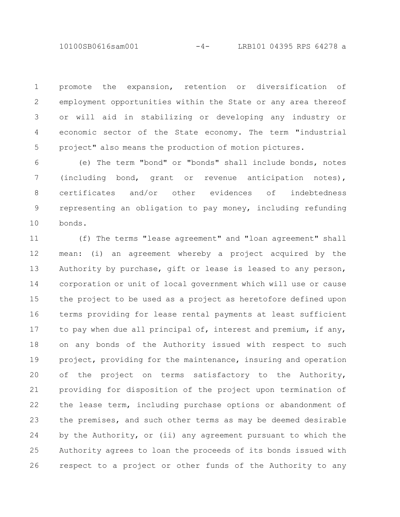10100SB0616sam001 -4- LRB101 04395 RPS 64278 a

promote the expansion, retention or diversification of employment opportunities within the State or any area thereof or will aid in stabilizing or developing any industry or economic sector of the State economy. The term "industrial project" also means the production of motion pictures. 1 2 3 4 5

(e) The term "bond" or "bonds" shall include bonds, notes (including bond, grant or revenue anticipation notes), certificates and/or other evidences of indebtedness representing an obligation to pay money, including refunding bonds. 6 7 8 9 10

(f) The terms "lease agreement" and "loan agreement" shall mean: (i) an agreement whereby a project acquired by the Authority by purchase, gift or lease is leased to any person, corporation or unit of local government which will use or cause the project to be used as a project as heretofore defined upon terms providing for lease rental payments at least sufficient to pay when due all principal of, interest and premium, if any, on any bonds of the Authority issued with respect to such project, providing for the maintenance, insuring and operation of the project on terms satisfactory to the Authority, providing for disposition of the project upon termination of the lease term, including purchase options or abandonment of the premises, and such other terms as may be deemed desirable by the Authority, or (ii) any agreement pursuant to which the Authority agrees to loan the proceeds of its bonds issued with respect to a project or other funds of the Authority to any 11 12 13 14 15 16 17 18 19 20 21 22 23 24 25 26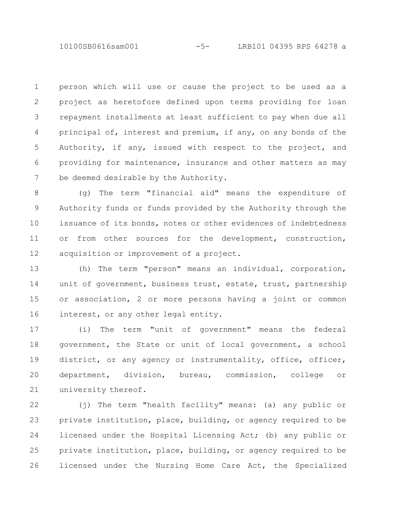10100SB0616sam001 -5- LRB101 04395 RPS 64278 a

person which will use or cause the project to be used as a project as heretofore defined upon terms providing for loan repayment installments at least sufficient to pay when due all principal of, interest and premium, if any, on any bonds of the Authority, if any, issued with respect to the project, and providing for maintenance, insurance and other matters as may be deemed desirable by the Authority. 1 2 3 4 5 6 7

(g) The term "financial aid" means the expenditure of Authority funds or funds provided by the Authority through the issuance of its bonds, notes or other evidences of indebtedness or from other sources for the development, construction, acquisition or improvement of a project. 8 9 10 11 12

(h) The term "person" means an individual, corporation, unit of government, business trust, estate, trust, partnership or association, 2 or more persons having a joint or common interest, or any other legal entity. 13 14 15 16

(i) The term "unit of government" means the federal government, the State or unit of local government, a school district, or any agency or instrumentality, office, officer, department, division, bureau, commission, college or university thereof. 17 18 19 20 21

(j) The term "health facility" means: (a) any public or private institution, place, building, or agency required to be licensed under the Hospital Licensing Act; (b) any public or private institution, place, building, or agency required to be licensed under the Nursing Home Care Act, the Specialized 22 23 24 25 26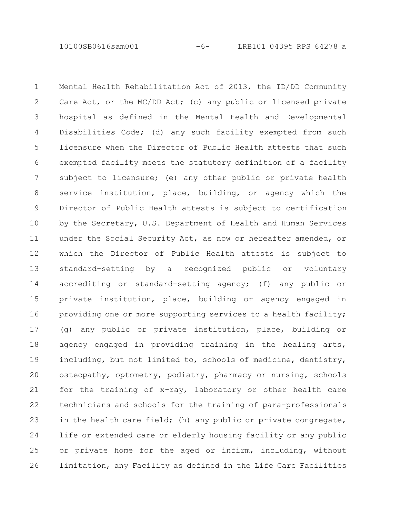10100SB0616sam001 -6- LRB101 04395 RPS 64278 a

Mental Health Rehabilitation Act of 2013, the ID/DD Community Care Act, or the MC/DD Act; (c) any public or licensed private hospital as defined in the Mental Health and Developmental Disabilities Code; (d) any such facility exempted from such licensure when the Director of Public Health attests that such exempted facility meets the statutory definition of a facility subject to licensure; (e) any other public or private health service institution, place, building, or agency which the Director of Public Health attests is subject to certification by the Secretary, U.S. Department of Health and Human Services under the Social Security Act, as now or hereafter amended, or which the Director of Public Health attests is subject to standard-setting by a recognized public or voluntary accrediting or standard-setting agency; (f) any public or private institution, place, building or agency engaged in providing one or more supporting services to a health facility; (g) any public or private institution, place, building or agency engaged in providing training in the healing arts, including, but not limited to, schools of medicine, dentistry, osteopathy, optometry, podiatry, pharmacy or nursing, schools for the training of x-ray, laboratory or other health care technicians and schools for the training of para-professionals in the health care field; (h) any public or private congregate, life or extended care or elderly housing facility or any public or private home for the aged or infirm, including, without limitation, any Facility as defined in the Life Care Facilities 1 2 3 4 5 6 7 8 9 10 11 12 13 14 15 16 17 18 19 20 21 22 23 24 25 26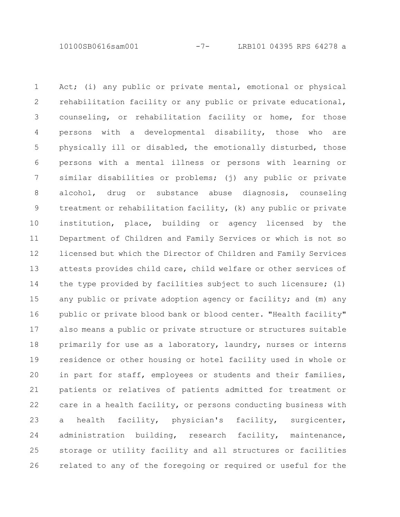10100SB0616sam001 -7- LRB101 04395 RPS 64278 a

Act; (i) any public or private mental, emotional or physical rehabilitation facility or any public or private educational, counseling, or rehabilitation facility or home, for those persons with a developmental disability, those who are physically ill or disabled, the emotionally disturbed, those persons with a mental illness or persons with learning or similar disabilities or problems; (j) any public or private alcohol, drug or substance abuse diagnosis, counseling treatment or rehabilitation facility, (k) any public or private institution, place, building or agency licensed by the Department of Children and Family Services or which is not so licensed but which the Director of Children and Family Services attests provides child care, child welfare or other services of the type provided by facilities subject to such licensure; (l) any public or private adoption agency or facility; and (m) any public or private blood bank or blood center. "Health facility" also means a public or private structure or structures suitable primarily for use as a laboratory, laundry, nurses or interns residence or other housing or hotel facility used in whole or in part for staff, employees or students and their families, patients or relatives of patients admitted for treatment or care in a health facility, or persons conducting business with a health facility, physician's facility, surgicenter, administration building, research facility, maintenance, storage or utility facility and all structures or facilities related to any of the foregoing or required or useful for the 1 2 3 4 5 6 7 8 9 10 11 12 13 14 15 16 17 18 19 20 21 22 23 24 25 26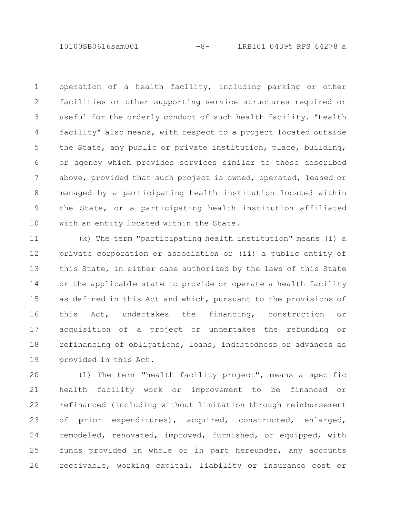10100SB0616sam001 -8- LRB101 04395 RPS 64278 a

operation of a health facility, including parking or other facilities or other supporting service structures required or useful for the orderly conduct of such health facility. "Health facility" also means, with respect to a project located outside the State, any public or private institution, place, building, or agency which provides services similar to those described above, provided that such project is owned, operated, leased or managed by a participating health institution located within the State, or a participating health institution affiliated with an entity located within the State. 1 2 3 4 5 6 7 8 9 10

(k) The term "participating health institution" means (i) a private corporation or association or (ii) a public entity of this State, in either case authorized by the laws of this State or the applicable state to provide or operate a health facility as defined in this Act and which, pursuant to the provisions of this Act, undertakes the financing, construction or acquisition of a project or undertakes the refunding or refinancing of obligations, loans, indebtedness or advances as provided in this Act. 11 12 13 14 15 16 17 18 19

(l) The term "health facility project", means a specific health facility work or improvement to be financed or refinanced (including without limitation through reimbursement of prior expenditures), acquired, constructed, enlarged, remodeled, renovated, improved, furnished, or equipped, with funds provided in whole or in part hereunder, any accounts receivable, working capital, liability or insurance cost or 20 21 22 23 24 25 26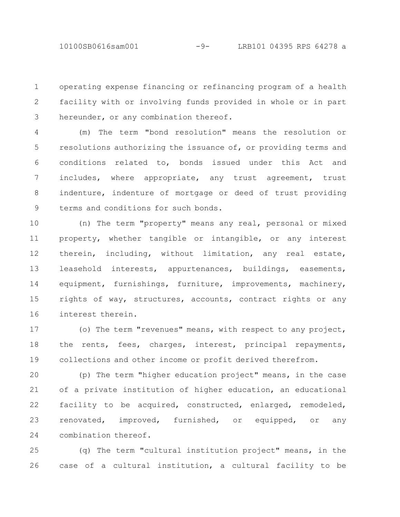operating expense financing or refinancing program of a health facility with or involving funds provided in whole or in part hereunder, or any combination thereof. 1 2 3

(m) The term "bond resolution" means the resolution or resolutions authorizing the issuance of, or providing terms and conditions related to, bonds issued under this Act and includes, where appropriate, any trust agreement, trust indenture, indenture of mortgage or deed of trust providing terms and conditions for such bonds. 4 5 6 7 8 9

(n) The term "property" means any real, personal or mixed property, whether tangible or intangible, or any interest therein, including, without limitation, any real estate, leasehold interests, appurtenances, buildings, easements, equipment, furnishings, furniture, improvements, machinery, rights of way, structures, accounts, contract rights or any interest therein. 10 11 12 13 14 15 16

(o) The term "revenues" means, with respect to any project, the rents, fees, charges, interest, principal repayments, collections and other income or profit derived therefrom. 17 18 19

(p) The term "higher education project" means, in the case of a private institution of higher education, an educational facility to be acquired, constructed, enlarged, remodeled, renovated, improved, furnished, or equipped, or any combination thereof. 20 21 22 23 24

(q) The term "cultural institution project" means, in the case of a cultural institution, a cultural facility to be 25 26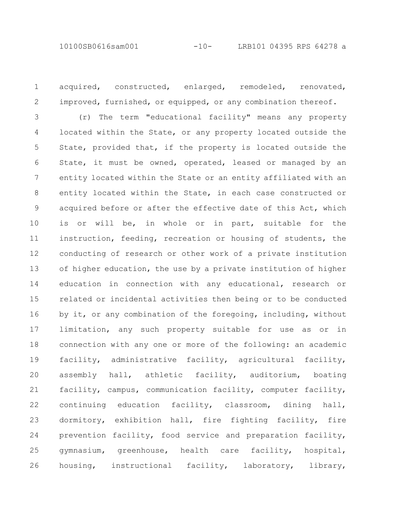10100SB0616sam001 -10- LRB101 04395 RPS 64278 a

acquired, constructed, enlarged, remodeled, renovated, improved, furnished, or equipped, or any combination thereof. (r) The term "educational facility" means any property located within the State, or any property located outside the State, provided that, if the property is located outside the State, it must be owned, operated, leased or managed by an entity located within the State or an entity affiliated with an entity located within the State, in each case constructed or acquired before or after the effective date of this Act, which is or will be, in whole or in part, suitable for the instruction, feeding, recreation or housing of students, the conducting of research or other work of a private institution of higher education, the use by a private institution of higher education in connection with any educational, research or related or incidental activities then being or to be conducted by it, or any combination of the foregoing, including, without limitation, any such property suitable for use as or in connection with any one or more of the following: an academic facility, administrative facility, agricultural facility, assembly hall, athletic facility, auditorium, boating facility, campus, communication facility, computer facility, continuing education facility, classroom, dining hall, dormitory, exhibition hall, fire fighting facility, fire prevention facility, food service and preparation facility, gymnasium, greenhouse, health care facility, hospital, housing, instructional facility, laboratory, library, 1 2 3 4 5 6 7 8 9 10 11 12 13 14 15 16 17 18 19 20 21 22 23 24 25 26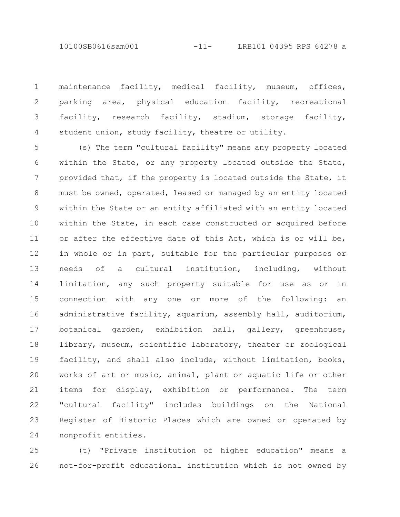10100SB0616sam001 -11- LRB101 04395 RPS 64278 a

maintenance facility, medical facility, museum, offices, parking area, physical education facility, recreational facility, research facility, stadium, storage facility, student union, study facility, theatre or utility. 1 2 3 4

(s) The term "cultural facility" means any property located within the State, or any property located outside the State, provided that, if the property is located outside the State, it must be owned, operated, leased or managed by an entity located within the State or an entity affiliated with an entity located within the State, in each case constructed or acquired before or after the effective date of this Act, which is or will be, in whole or in part, suitable for the particular purposes or needs of a cultural institution, including, without limitation, any such property suitable for use as or in connection with any one or more of the following: an administrative facility, aquarium, assembly hall, auditorium, botanical garden, exhibition hall, gallery, greenhouse, library, museum, scientific laboratory, theater or zoological facility, and shall also include, without limitation, books, works of art or music, animal, plant or aquatic life or other items for display, exhibition or performance. The term "cultural facility" includes buildings on the National Register of Historic Places which are owned or operated by nonprofit entities. 5 6 7 8 9 10 11 12 13 14 15 16 17 18 19 20 21 22 23 24

(t) "Private institution of higher education" means a not-for-profit educational institution which is not owned by 25 26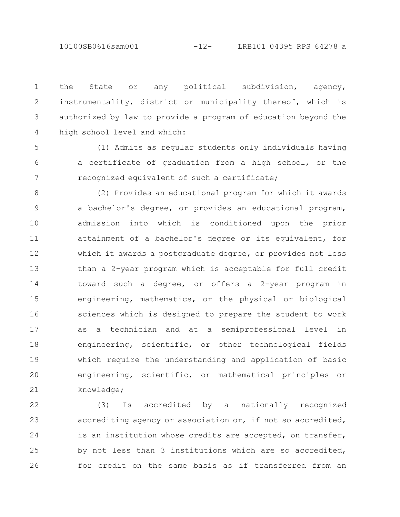10100SB0616sam001 -12- LRB101 04395 RPS 64278 a

the State or any political subdivision, agency, instrumentality, district or municipality thereof, which is authorized by law to provide a program of education beyond the high school level and which: 1 2 3 4

(1) Admits as regular students only individuals having a certificate of graduation from a high school, or the recognized equivalent of such a certificate; 5 6 7

(2) Provides an educational program for which it awards a bachelor's degree, or provides an educational program, admission into which is conditioned upon the prior attainment of a bachelor's degree or its equivalent, for which it awards a postgraduate degree, or provides not less than a 2-year program which is acceptable for full credit toward such a degree, or offers a 2-year program in engineering, mathematics, or the physical or biological sciences which is designed to prepare the student to work as a technician and at a semiprofessional level in engineering, scientific, or other technological fields which require the understanding and application of basic engineering, scientific, or mathematical principles or knowledge; 8 9 10 11 12 13 14 15 16 17 18 19 20 21

(3) Is accredited by a nationally recognized accrediting agency or association or, if not so accredited, is an institution whose credits are accepted, on transfer, by not less than 3 institutions which are so accredited, for credit on the same basis as if transferred from an 22 23 24 25 26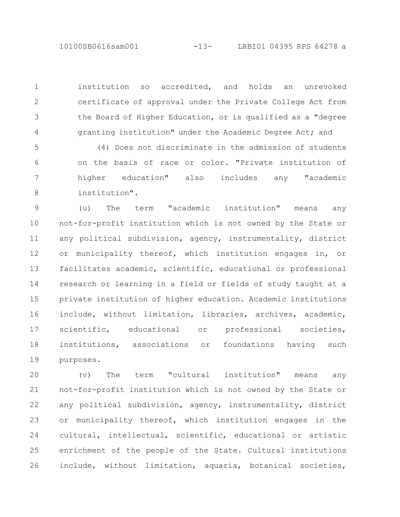10100SB0616sam001 -13- LRB101 04395 RPS 64278 a

institution so accredited, and holds an unrevoked certificate of approval under the Private College Act from the Board of Higher Education, or is qualified as a "degree granting institution" under the Academic Degree Act; and

1

2

3

4

(4) Does not discriminate in the admission of students on the basis of race or color. "Private institution of higher education" also includes any "academic institution". 5 6 7 8

(u) The term "academic institution" means any not-for-profit institution which is not owned by the State or any political subdivision, agency, instrumentality, district or municipality thereof, which institution engages in, or facilitates academic, scientific, educational or professional research or learning in a field or fields of study taught at a private institution of higher education. Academic institutions include, without limitation, libraries, archives, academic, scientific, educational or professional societies, institutions, associations or foundations having such purposes. 9 10 11 12 13 14 15 16 17 18 19

(v) The term "cultural institution" means any not-for-profit institution which is not owned by the State or any political subdivision, agency, instrumentality, district or municipality thereof, which institution engages in the cultural, intellectual, scientific, educational or artistic enrichment of the people of the State. Cultural institutions include, without limitation, aquaria, botanical societies, 20 21 22 23 24 25 26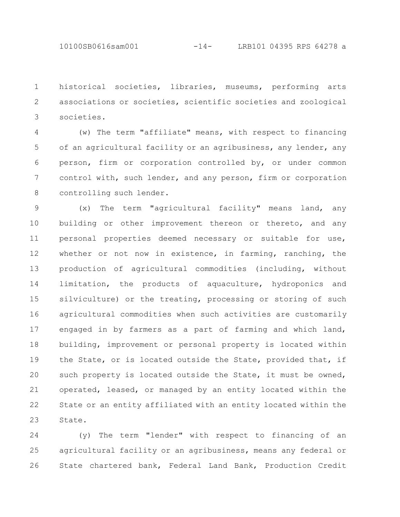10100SB0616sam001 -14- LRB101 04395 RPS 64278 a

historical societies, libraries, museums, performing arts associations or societies, scientific societies and zoological societies. 1 2 3

(w) The term "affiliate" means, with respect to financing of an agricultural facility or an agribusiness, any lender, any person, firm or corporation controlled by, or under common control with, such lender, and any person, firm or corporation controlling such lender. 4 5 6 7 8

(x) The term "agricultural facility" means land, any building or other improvement thereon or thereto, and any personal properties deemed necessary or suitable for use, whether or not now in existence, in farming, ranching, the production of agricultural commodities (including, without limitation, the products of aquaculture, hydroponics and silviculture) or the treating, processing or storing of such agricultural commodities when such activities are customarily engaged in by farmers as a part of farming and which land, building, improvement or personal property is located within the State, or is located outside the State, provided that, if such property is located outside the State, it must be owned, operated, leased, or managed by an entity located within the State or an entity affiliated with an entity located within the State. 9 10 11 12 13 14 15 16 17 18 19 20 21 22 23

(y) The term "lender" with respect to financing of an agricultural facility or an agribusiness, means any federal or State chartered bank, Federal Land Bank, Production Credit 24 25 26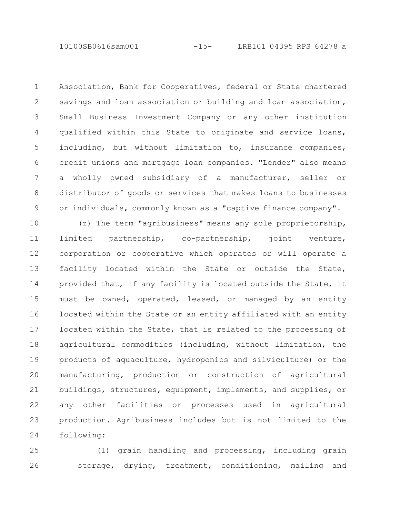10100SB0616sam001 -15- LRB101 04395 RPS 64278 a

Association, Bank for Cooperatives, federal or State chartered savings and loan association or building and loan association, Small Business Investment Company or any other institution qualified within this State to originate and service loans, including, but without limitation to, insurance companies, credit unions and mortgage loan companies. "Lender" also means a wholly owned subsidiary of a manufacturer, seller or distributor of goods or services that makes loans to businesses or individuals, commonly known as a "captive finance company". 1 2 3 4 5 6 7 8 9

(z) The term "agribusiness" means any sole proprietorship, limited partnership, co-partnership, joint venture, corporation or cooperative which operates or will operate a facility located within the State or outside the State, provided that, if any facility is located outside the State, it must be owned, operated, leased, or managed by an entity located within the State or an entity affiliated with an entity located within the State, that is related to the processing of agricultural commodities (including, without limitation, the products of aquaculture, hydroponics and silviculture) or the manufacturing, production or construction of agricultural buildings, structures, equipment, implements, and supplies, or any other facilities or processes used in agricultural production. Agribusiness includes but is not limited to the following: 10 11 12 13 14 15 16 17 18 19 20 21 22 23 24

(1) grain handling and processing, including grain storage, drying, treatment, conditioning, mailing and 25 26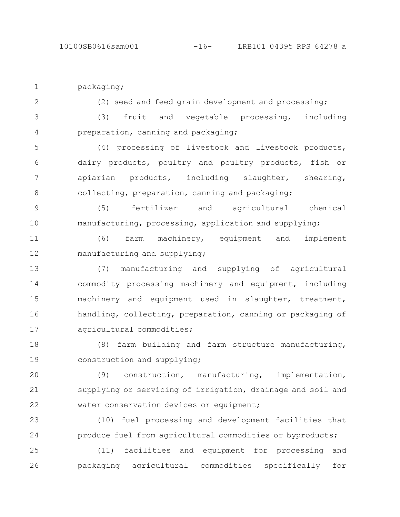1

2

3

4

5

6

7

8

9

10

11

12

13

14

15

16

17

18

19

20

21

22

packaging; (2) seed and feed grain development and processing; (3) fruit and vegetable processing, including preparation, canning and packaging; (4) processing of livestock and livestock products, dairy products, poultry and poultry products, fish or apiarian products, including slaughter, shearing, collecting, preparation, canning and packaging; (5) fertilizer and agricultural chemical manufacturing, processing, application and supplying; (6) farm machinery, equipment and implement manufacturing and supplying; (7) manufacturing and supplying of agricultural commodity processing machinery and equipment, including machinery and equipment used in slaughter, treatment, handling, collecting, preparation, canning or packaging of agricultural commodities; (8) farm building and farm structure manufacturing, construction and supplying; (9) construction, manufacturing, implementation, supplying or servicing of irrigation, drainage and soil and

(10) fuel processing and development facilities that produce fuel from agricultural commodities or byproducts; 23 24

water conservation devices or equipment;

(11) facilities and equipment for processing and packaging agricultural commodities specifically for 25 26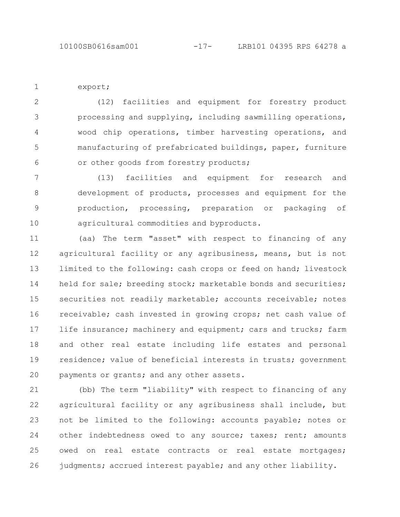export; 1

(12) facilities and equipment for forestry product processing and supplying, including sawmilling operations, wood chip operations, timber harvesting operations, and manufacturing of prefabricated buildings, paper, furniture or other goods from forestry products; 2 3 4 5 6

(13) facilities and equipment for research and development of products, processes and equipment for the production, processing, preparation or packaging of agricultural commodities and byproducts. 7 8 9 10

(aa) The term "asset" with respect to financing of any agricultural facility or any agribusiness, means, but is not limited to the following: cash crops or feed on hand; livestock held for sale; breeding stock; marketable bonds and securities; securities not readily marketable; accounts receivable; notes receivable; cash invested in growing crops; net cash value of life insurance; machinery and equipment; cars and trucks; farm and other real estate including life estates and personal residence; value of beneficial interests in trusts; government payments or grants; and any other assets. 11 12 13 14 15 16 17 18 19 20

(bb) The term "liability" with respect to financing of any agricultural facility or any agribusiness shall include, but not be limited to the following: accounts payable; notes or other indebtedness owed to any source; taxes; rent; amounts owed on real estate contracts or real estate mortgages; judgments; accrued interest payable; and any other liability. 21 22 23 24 25 26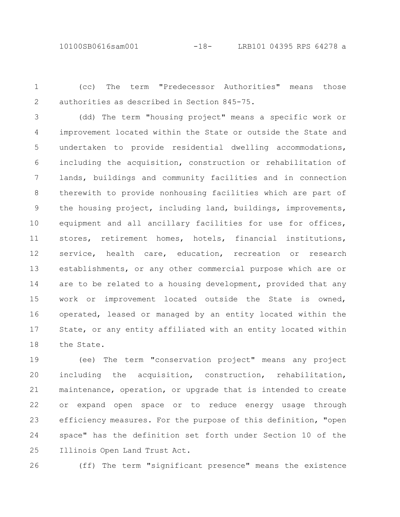10100SB0616sam001 -18- LRB101 04395 RPS 64278 a

(cc) The term "Predecessor Authorities" means those authorities as described in Section 845-75. 1 2

(dd) The term "housing project" means a specific work or improvement located within the State or outside the State and undertaken to provide residential dwelling accommodations, including the acquisition, construction or rehabilitation of lands, buildings and community facilities and in connection therewith to provide nonhousing facilities which are part of the housing project, including land, buildings, improvements, equipment and all ancillary facilities for use for offices, stores, retirement homes, hotels, financial institutions, service, health care, education, recreation or research establishments, or any other commercial purpose which are or are to be related to a housing development, provided that any work or improvement located outside the State is owned, operated, leased or managed by an entity located within the State, or any entity affiliated with an entity located within the State. 3 4 5 6 7 8 9 10 11 12 13 14 15 16 17 18

(ee) The term "conservation project" means any project including the acquisition, construction, rehabilitation, maintenance, operation, or upgrade that is intended to create or expand open space or to reduce energy usage through efficiency measures. For the purpose of this definition, "open space" has the definition set forth under Section 10 of the Illinois Open Land Trust Act. 19 20 21 22 23 24 25

26

(ff) The term "significant presence" means the existence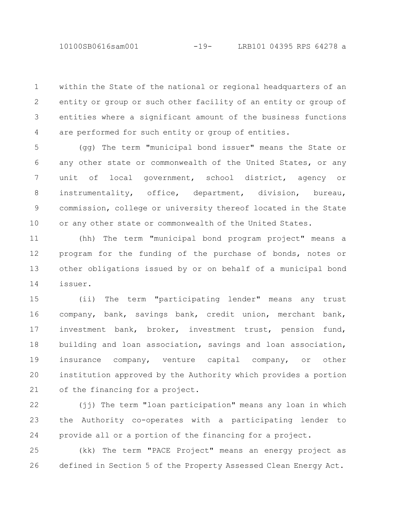within the State of the national or regional headquarters of an entity or group or such other facility of an entity or group of entities where a significant amount of the business functions are performed for such entity or group of entities. 1 2 3 4

(gg) The term "municipal bond issuer" means the State or any other state or commonwealth of the United States, or any unit of local government, school district, agency or instrumentality, office, department, division, bureau, commission, college or university thereof located in the State or any other state or commonwealth of the United States. 5 6 7 8 9 10

(hh) The term "municipal bond program project" means a program for the funding of the purchase of bonds, notes or other obligations issued by or on behalf of a municipal bond issuer. 11 12 13 14

(ii) The term "participating lender" means any trust company, bank, savings bank, credit union, merchant bank, investment bank, broker, investment trust, pension fund, building and loan association, savings and loan association, insurance company, venture capital company, or other institution approved by the Authority which provides a portion of the financing for a project. 15 16 17 18 19 20 21

(jj) The term "loan participation" means any loan in which the Authority co-operates with a participating lender to provide all or a portion of the financing for a project. 22 23 24

(kk) The term "PACE Project" means an energy project as defined in Section 5 of the Property Assessed Clean Energy Act. 25 26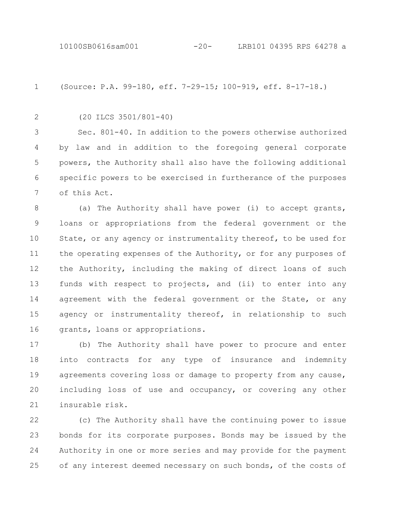(Source: P.A. 99-180, eff. 7-29-15; 100-919, eff. 8-17-18.) 1

2

(20 ILCS 3501/801-40)

Sec. 801-40. In addition to the powers otherwise authorized by law and in addition to the foregoing general corporate powers, the Authority shall also have the following additional specific powers to be exercised in furtherance of the purposes of this Act. 3 4 5 6 7

(a) The Authority shall have power (i) to accept grants, loans or appropriations from the federal government or the State, or any agency or instrumentality thereof, to be used for the operating expenses of the Authority, or for any purposes of the Authority, including the making of direct loans of such funds with respect to projects, and (ii) to enter into any agreement with the federal government or the State, or any agency or instrumentality thereof, in relationship to such grants, loans or appropriations. 8 9 10 11 12 13 14 15 16

(b) The Authority shall have power to procure and enter into contracts for any type of insurance and indemnity agreements covering loss or damage to property from any cause, including loss of use and occupancy, or covering any other insurable risk. 17 18 19 20 21

(c) The Authority shall have the continuing power to issue bonds for its corporate purposes. Bonds may be issued by the Authority in one or more series and may provide for the payment of any interest deemed necessary on such bonds, of the costs of 22 23 24 25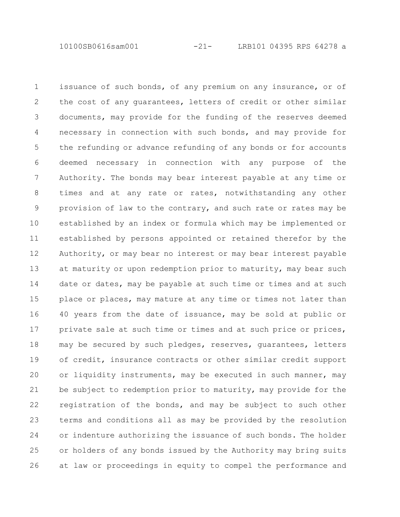10100SB0616sam001 -21- LRB101 04395 RPS 64278 a

issuance of such bonds, of any premium on any insurance, or of the cost of any guarantees, letters of credit or other similar documents, may provide for the funding of the reserves deemed necessary in connection with such bonds, and may provide for the refunding or advance refunding of any bonds or for accounts deemed necessary in connection with any purpose of the Authority. The bonds may bear interest payable at any time or times and at any rate or rates, notwithstanding any other provision of law to the contrary, and such rate or rates may be established by an index or formula which may be implemented or established by persons appointed or retained therefor by the Authority, or may bear no interest or may bear interest payable at maturity or upon redemption prior to maturity, may bear such date or dates, may be payable at such time or times and at such place or places, may mature at any time or times not later than 40 years from the date of issuance, may be sold at public or private sale at such time or times and at such price or prices, may be secured by such pledges, reserves, guarantees, letters of credit, insurance contracts or other similar credit support or liquidity instruments, may be executed in such manner, may be subject to redemption prior to maturity, may provide for the registration of the bonds, and may be subject to such other terms and conditions all as may be provided by the resolution or indenture authorizing the issuance of such bonds. The holder or holders of any bonds issued by the Authority may bring suits at law or proceedings in equity to compel the performance and 1 2 3 4 5 6 7 8 9 10 11 12 13 14 15 16 17 18 19 20 21 22 23 24 25 26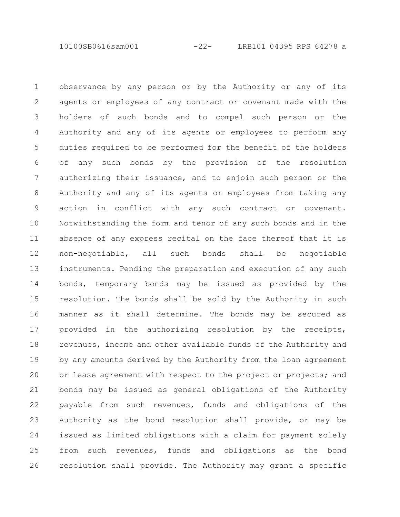10100SB0616sam001 -22- LRB101 04395 RPS 64278 a

observance by any person or by the Authority or any of its agents or employees of any contract or covenant made with the holders of such bonds and to compel such person or the Authority and any of its agents or employees to perform any duties required to be performed for the benefit of the holders of any such bonds by the provision of the resolution authorizing their issuance, and to enjoin such person or the Authority and any of its agents or employees from taking any action in conflict with any such contract or covenant. Notwithstanding the form and tenor of any such bonds and in the absence of any express recital on the face thereof that it is non-negotiable, all such bonds shall be negotiable instruments. Pending the preparation and execution of any such bonds, temporary bonds may be issued as provided by the resolution. The bonds shall be sold by the Authority in such manner as it shall determine. The bonds may be secured as provided in the authorizing resolution by the receipts, revenues, income and other available funds of the Authority and by any amounts derived by the Authority from the loan agreement or lease agreement with respect to the project or projects; and bonds may be issued as general obligations of the Authority payable from such revenues, funds and obligations of the Authority as the bond resolution shall provide, or may be issued as limited obligations with a claim for payment solely from such revenues, funds and obligations as the bond resolution shall provide. The Authority may grant a specific 1 2 3 4 5 6 7 8 9 10 11 12 13 14 15 16 17 18 19 20 21 22 23 24 25 26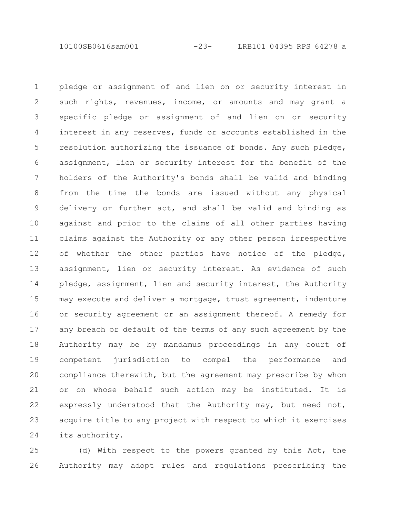10100SB0616sam001 -23- LRB101 04395 RPS 64278 a

pledge or assignment of and lien on or security interest in such rights, revenues, income, or amounts and may grant a specific pledge or assignment of and lien on or security interest in any reserves, funds or accounts established in the resolution authorizing the issuance of bonds. Any such pledge, assignment, lien or security interest for the benefit of the holders of the Authority's bonds shall be valid and binding from the time the bonds are issued without any physical delivery or further act, and shall be valid and binding as against and prior to the claims of all other parties having claims against the Authority or any other person irrespective of whether the other parties have notice of the pledge, assignment, lien or security interest. As evidence of such pledge, assignment, lien and security interest, the Authority may execute and deliver a mortgage, trust agreement, indenture or security agreement or an assignment thereof. A remedy for any breach or default of the terms of any such agreement by the Authority may be by mandamus proceedings in any court of competent jurisdiction to compel the performance and compliance therewith, but the agreement may prescribe by whom or on whose behalf such action may be instituted. It is expressly understood that the Authority may, but need not, acquire title to any project with respect to which it exercises its authority. 1 2 3 4 5 6 7 8 9 10 11 12 13 14 15 16 17 18 19 20 21 22 23 24

(d) With respect to the powers granted by this Act, the Authority may adopt rules and regulations prescribing the 25 26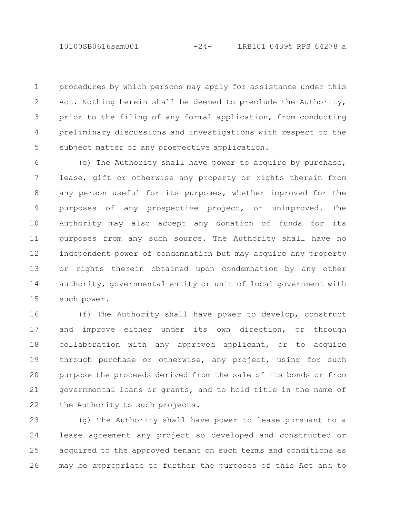procedures by which persons may apply for assistance under this Act. Nothing herein shall be deemed to preclude the Authority, prior to the filing of any formal application, from conducting preliminary discussions and investigations with respect to the subject matter of any prospective application. 1 2 3 4 5

(e) The Authority shall have power to acquire by purchase, lease, gift or otherwise any property or rights therein from any person useful for its purposes, whether improved for the purposes of any prospective project, or unimproved. The Authority may also accept any donation of funds for its purposes from any such source. The Authority shall have no independent power of condemnation but may acquire any property or rights therein obtained upon condemnation by any other authority, governmental entity or unit of local government with such power. 6 7 8 9 10 11 12 13 14 15

(f) The Authority shall have power to develop, construct and improve either under its own direction, or through collaboration with any approved applicant, or to acquire through purchase or otherwise, any project, using for such purpose the proceeds derived from the sale of its bonds or from governmental loans or grants, and to hold title in the name of the Authority to such projects. 16 17 18 19 20 21 22

(g) The Authority shall have power to lease pursuant to a lease agreement any project so developed and constructed or acquired to the approved tenant on such terms and conditions as may be appropriate to further the purposes of this Act and to 23 24 25 26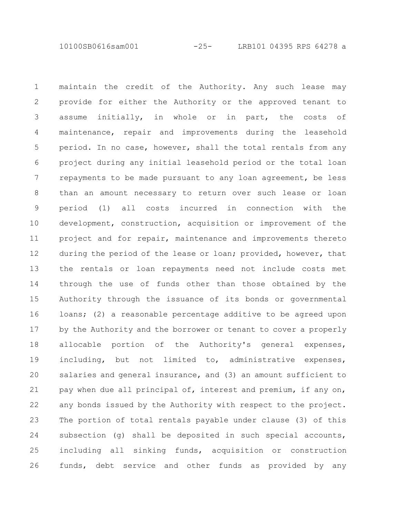10100SB0616sam001 -25- LRB101 04395 RPS 64278 a

maintain the credit of the Authority. Any such lease may provide for either the Authority or the approved tenant to assume initially, in whole or in part, the costs of maintenance, repair and improvements during the leasehold period. In no case, however, shall the total rentals from any project during any initial leasehold period or the total loan repayments to be made pursuant to any loan agreement, be less than an amount necessary to return over such lease or loan period (1) all costs incurred in connection with the development, construction, acquisition or improvement of the project and for repair, maintenance and improvements thereto during the period of the lease or loan; provided, however, that the rentals or loan repayments need not include costs met through the use of funds other than those obtained by the Authority through the issuance of its bonds or governmental loans; (2) a reasonable percentage additive to be agreed upon by the Authority and the borrower or tenant to cover a properly allocable portion of the Authority's general expenses, including, but not limited to, administrative expenses, salaries and general insurance, and (3) an amount sufficient to pay when due all principal of, interest and premium, if any on, any bonds issued by the Authority with respect to the project. The portion of total rentals payable under clause (3) of this subsection (q) shall be deposited in such special accounts, including all sinking funds, acquisition or construction funds, debt service and other funds as provided by any 1 2 3 4 5 6 7 8 9 10 11 12 13 14 15 16 17 18 19 20 21 22 23 24 25 26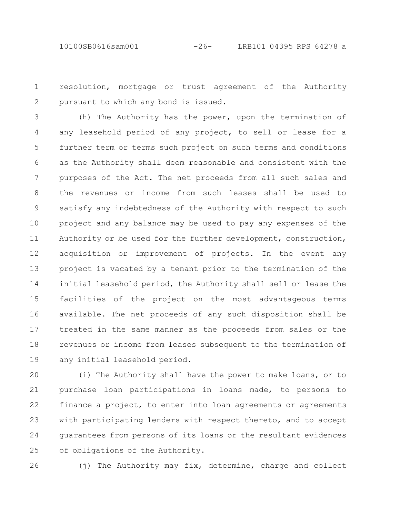10100SB0616sam001 -26- LRB101 04395 RPS 64278 a

resolution, mortgage or trust agreement of the Authority pursuant to which any bond is issued. 1 2

(h) The Authority has the power, upon the termination of any leasehold period of any project, to sell or lease for a further term or terms such project on such terms and conditions as the Authority shall deem reasonable and consistent with the purposes of the Act. The net proceeds from all such sales and the revenues or income from such leases shall be used to satisfy any indebtedness of the Authority with respect to such project and any balance may be used to pay any expenses of the Authority or be used for the further development, construction, acquisition or improvement of projects. In the event any project is vacated by a tenant prior to the termination of the initial leasehold period, the Authority shall sell or lease the facilities of the project on the most advantageous terms available. The net proceeds of any such disposition shall be treated in the same manner as the proceeds from sales or the revenues or income from leases subsequent to the termination of any initial leasehold period. 3 4 5 6 7 8 9 10 11 12 13 14 15 16 17 18 19

(i) The Authority shall have the power to make loans, or to purchase loan participations in loans made, to persons to finance a project, to enter into loan agreements or agreements with participating lenders with respect thereto, and to accept guarantees from persons of its loans or the resultant evidences of obligations of the Authority. 20 21 22 23 24 25

26

(j) The Authority may fix, determine, charge and collect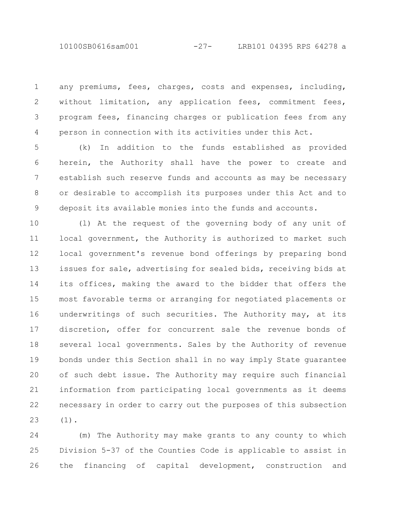10100SB0616sam001 -27- LRB101 04395 RPS 64278 a

any premiums, fees, charges, costs and expenses, including, without limitation, any application fees, commitment fees, program fees, financing charges or publication fees from any person in connection with its activities under this Act. 1 2 3 4

(k) In addition to the funds established as provided herein, the Authority shall have the power to create and establish such reserve funds and accounts as may be necessary or desirable to accomplish its purposes under this Act and to deposit its available monies into the funds and accounts. 5 6 7 8 9

(l) At the request of the governing body of any unit of local government, the Authority is authorized to market such local government's revenue bond offerings by preparing bond issues for sale, advertising for sealed bids, receiving bids at its offices, making the award to the bidder that offers the most favorable terms or arranging for negotiated placements or underwritings of such securities. The Authority may, at its discretion, offer for concurrent sale the revenue bonds of several local governments. Sales by the Authority of revenue bonds under this Section shall in no way imply State guarantee of such debt issue. The Authority may require such financial information from participating local governments as it deems necessary in order to carry out the purposes of this subsection (1). 10 11 12 13 14 15 16 17 18 19 20 21 22 23

(m) The Authority may make grants to any county to which Division 5-37 of the Counties Code is applicable to assist in the financing of capital development, construction and 24 25 26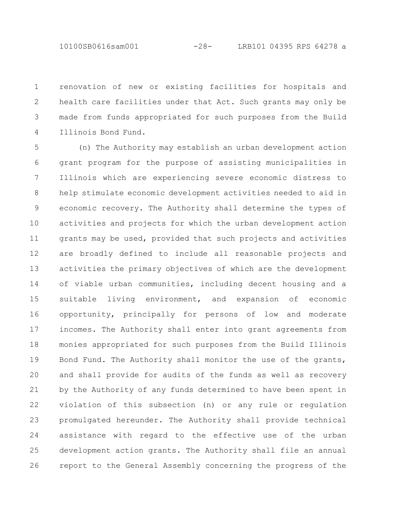10100SB0616sam001 -28- LRB101 04395 RPS 64278 a

renovation of new or existing facilities for hospitals and health care facilities under that Act. Such grants may only be made from funds appropriated for such purposes from the Build Illinois Bond Fund. 1 2 3 4

(n) The Authority may establish an urban development action grant program for the purpose of assisting municipalities in Illinois which are experiencing severe economic distress to help stimulate economic development activities needed to aid in economic recovery. The Authority shall determine the types of activities and projects for which the urban development action grants may be used, provided that such projects and activities are broadly defined to include all reasonable projects and activities the primary objectives of which are the development of viable urban communities, including decent housing and a suitable living environment, and expansion of economic opportunity, principally for persons of low and moderate incomes. The Authority shall enter into grant agreements from monies appropriated for such purposes from the Build Illinois Bond Fund. The Authority shall monitor the use of the grants, and shall provide for audits of the funds as well as recovery by the Authority of any funds determined to have been spent in violation of this subsection (n) or any rule or regulation promulgated hereunder. The Authority shall provide technical assistance with regard to the effective use of the urban development action grants. The Authority shall file an annual report to the General Assembly concerning the progress of the 5 6 7 8 9 10 11 12 13 14 15 16 17 18 19 20 21 22 23 24 25 26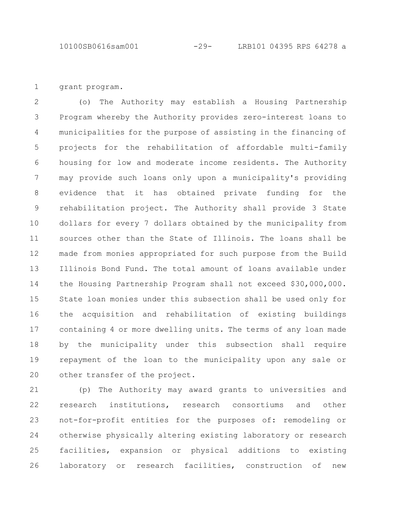grant program. 1

(o) The Authority may establish a Housing Partnership Program whereby the Authority provides zero-interest loans to municipalities for the purpose of assisting in the financing of projects for the rehabilitation of affordable multi-family housing for low and moderate income residents. The Authority may provide such loans only upon a municipality's providing evidence that it has obtained private funding for the rehabilitation project. The Authority shall provide 3 State dollars for every 7 dollars obtained by the municipality from sources other than the State of Illinois. The loans shall be made from monies appropriated for such purpose from the Build Illinois Bond Fund. The total amount of loans available under the Housing Partnership Program shall not exceed \$30,000,000. State loan monies under this subsection shall be used only for the acquisition and rehabilitation of existing buildings containing 4 or more dwelling units. The terms of any loan made by the municipality under this subsection shall require repayment of the loan to the municipality upon any sale or other transfer of the project. 2 3 4 5 6 7 8 9 10 11 12 13 14 15 16 17 18 19 20

(p) The Authority may award grants to universities and research institutions, research consortiums and other not-for-profit entities for the purposes of: remodeling or otherwise physically altering existing laboratory or research facilities, expansion or physical additions to existing laboratory or research facilities, construction of new 21 22 23 24 25 26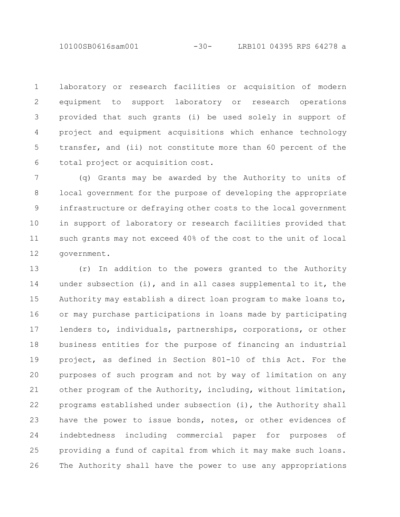10100SB0616sam001 -30- LRB101 04395 RPS 64278 a

laboratory or research facilities or acquisition of modern equipment to support laboratory or research operations provided that such grants (i) be used solely in support of project and equipment acquisitions which enhance technology transfer, and (ii) not constitute more than 60 percent of the total project or acquisition cost. 1 2 3 4 5 6

(q) Grants may be awarded by the Authority to units of local government for the purpose of developing the appropriate infrastructure or defraying other costs to the local government in support of laboratory or research facilities provided that such grants may not exceed 40% of the cost to the unit of local government. 7 8 9 10 11 12

(r) In addition to the powers granted to the Authority under subsection (i), and in all cases supplemental to it, the Authority may establish a direct loan program to make loans to, or may purchase participations in loans made by participating lenders to, individuals, partnerships, corporations, or other business entities for the purpose of financing an industrial project, as defined in Section 801-10 of this Act. For the purposes of such program and not by way of limitation on any other program of the Authority, including, without limitation, programs established under subsection (i), the Authority shall have the power to issue bonds, notes, or other evidences of indebtedness including commercial paper for purposes of providing a fund of capital from which it may make such loans. The Authority shall have the power to use any appropriations 13 14 15 16 17 18 19 20 21 22 23 24 25 26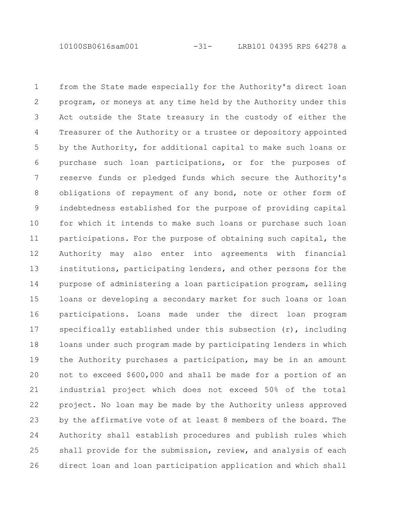10100SB0616sam001 -31- LRB101 04395 RPS 64278 a

from the State made especially for the Authority's direct loan program, or moneys at any time held by the Authority under this Act outside the State treasury in the custody of either the Treasurer of the Authority or a trustee or depository appointed by the Authority, for additional capital to make such loans or purchase such loan participations, or for the purposes of reserve funds or pledged funds which secure the Authority's obligations of repayment of any bond, note or other form of indebtedness established for the purpose of providing capital for which it intends to make such loans or purchase such loan participations. For the purpose of obtaining such capital, the Authority may also enter into agreements with financial institutions, participating lenders, and other persons for the purpose of administering a loan participation program, selling loans or developing a secondary market for such loans or loan participations. Loans made under the direct loan program specifically established under this subsection  $(r)$ , including loans under such program made by participating lenders in which the Authority purchases a participation, may be in an amount not to exceed \$600,000 and shall be made for a portion of an industrial project which does not exceed 50% of the total project. No loan may be made by the Authority unless approved by the affirmative vote of at least 8 members of the board. The Authority shall establish procedures and publish rules which shall provide for the submission, review, and analysis of each direct loan and loan participation application and which shall 1 2 3 4 5 6 7 8 9 10 11 12 13 14 15 16 17 18 19 20 21 22 23 24 25 26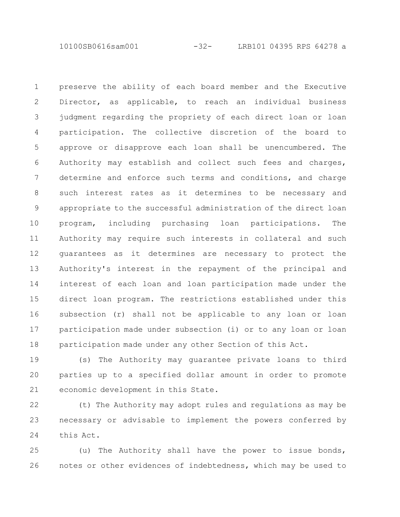10100SB0616sam001 -32- LRB101 04395 RPS 64278 a

preserve the ability of each board member and the Executive Director, as applicable, to reach an individual business judgment regarding the propriety of each direct loan or loan participation. The collective discretion of the board to approve or disapprove each loan shall be unencumbered. The Authority may establish and collect such fees and charges, determine and enforce such terms and conditions, and charge such interest rates as it determines to be necessary and appropriate to the successful administration of the direct loan program, including purchasing loan participations. The Authority may require such interests in collateral and such guarantees as it determines are necessary to protect the Authority's interest in the repayment of the principal and interest of each loan and loan participation made under the direct loan program. The restrictions established under this subsection (r) shall not be applicable to any loan or loan participation made under subsection (i) or to any loan or loan participation made under any other Section of this Act. 1 2 3 4 5 6 7 8 9 10 11 12 13 14 15 16 17 18

(s) The Authority may guarantee private loans to third parties up to a specified dollar amount in order to promote economic development in this State. 19 20 21

(t) The Authority may adopt rules and regulations as may be necessary or advisable to implement the powers conferred by this Act. 22 23 24

(u) The Authority shall have the power to issue bonds, notes or other evidences of indebtedness, which may be used to 25 26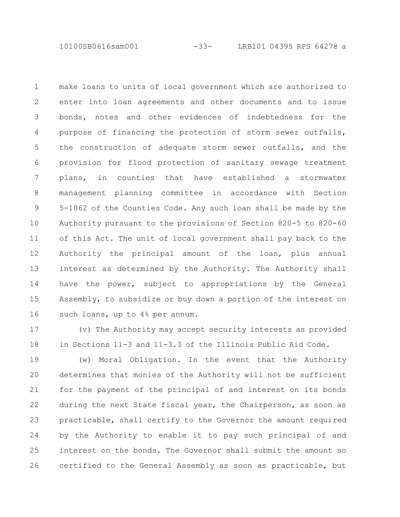10100SB0616sam001 -33- LRB101 04395 RPS 64278 a

make loans to units of local government which are authorized to enter into loan agreements and other documents and to issue bonds, notes and other evidences of indebtedness for the purpose of financing the protection of storm sewer outfalls, the construction of adequate storm sewer outfalls, and the provision for flood protection of sanitary sewage treatment plans, in counties that have established a stormwater management planning committee in accordance with Section 5-1062 of the Counties Code. Any such loan shall be made by the Authority pursuant to the provisions of Section 820-5 to 820-60 of this Act. The unit of local government shall pay back to the Authority the principal amount of the loan, plus annual interest as determined by the Authority. The Authority shall have the power, subject to appropriations by the General Assembly, to subsidize or buy down a portion of the interest on such loans, up to 4% per annum. 1 2 3 4 5 6 7 8 9 10 11 12 13 14 15 16

(v) The Authority may accept security interests as provided in Sections 11-3 and 11-3.3 of the Illinois Public Aid Code. 17 18

(w) Moral Obligation. In the event that the Authority determines that monies of the Authority will not be sufficient for the payment of the principal of and interest on its bonds during the next State fiscal year, the Chairperson, as soon as practicable, shall certify to the Governor the amount required by the Authority to enable it to pay such principal of and interest on the bonds. The Governor shall submit the amount so certified to the General Assembly as soon as practicable, but 19 20 21 22 23 24 25 26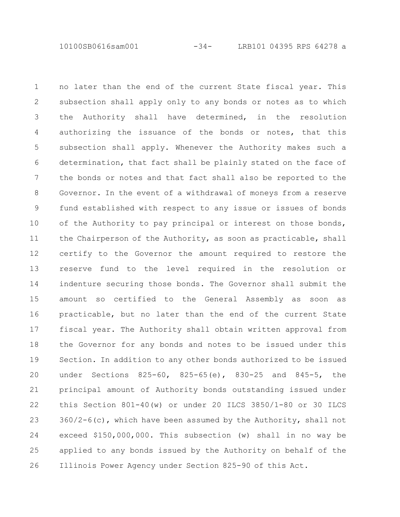10100SB0616sam001 -34- LRB101 04395 RPS 64278 a

no later than the end of the current State fiscal year. This subsection shall apply only to any bonds or notes as to which the Authority shall have determined, in the resolution authorizing the issuance of the bonds or notes, that this subsection shall apply. Whenever the Authority makes such a determination, that fact shall be plainly stated on the face of the bonds or notes and that fact shall also be reported to the Governor. In the event of a withdrawal of moneys from a reserve fund established with respect to any issue or issues of bonds of the Authority to pay principal or interest on those bonds, the Chairperson of the Authority, as soon as practicable, shall certify to the Governor the amount required to restore the reserve fund to the level required in the resolution or indenture securing those bonds. The Governor shall submit the amount so certified to the General Assembly as soon as practicable, but no later than the end of the current State fiscal year. The Authority shall obtain written approval from the Governor for any bonds and notes to be issued under this Section. In addition to any other bonds authorized to be issued under Sections 825-60, 825-65(e), 830-25 and 845-5, the principal amount of Authority bonds outstanding issued under this Section 801-40(w) or under 20 ILCS 3850/1-80 or 30 ILCS  $360/2-6$  (c), which have been assumed by the Authority, shall not exceed \$150,000,000. This subsection (w) shall in no way be applied to any bonds issued by the Authority on behalf of the Illinois Power Agency under Section 825-90 of this Act. 1 2 3 4 5 6 7 8 9 10 11 12 13 14 15 16 17 18 19 20 21 22 23 24 25 26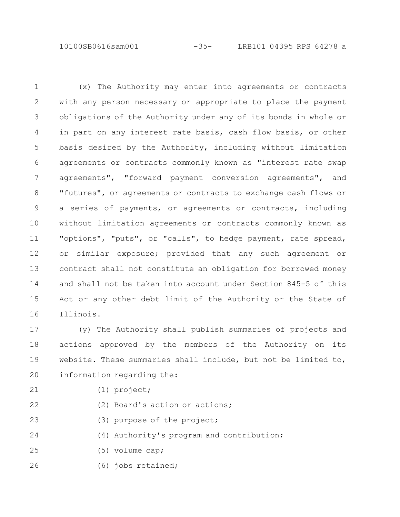10100SB0616sam001 -35- LRB101 04395 RPS 64278 a

(x) The Authority may enter into agreements or contracts with any person necessary or appropriate to place the payment obligations of the Authority under any of its bonds in whole or in part on any interest rate basis, cash flow basis, or other basis desired by the Authority, including without limitation agreements or contracts commonly known as "interest rate swap agreements", "forward payment conversion agreements", and "futures", or agreements or contracts to exchange cash flows or a series of payments, or agreements or contracts, including without limitation agreements or contracts commonly known as "options", "puts", or "calls", to hedge payment, rate spread, or similar exposure; provided that any such agreement or contract shall not constitute an obligation for borrowed money and shall not be taken into account under Section 845-5 of this Act or any other debt limit of the Authority or the State of Illinois. 1 2 3 4 5 6 7 8 9 10 11 12 13 14 15 16

(y) The Authority shall publish summaries of projects and actions approved by the members of the Authority on its website. These summaries shall include, but not be limited to, information regarding the: 17 18 19 20

- (1) project; 21
- (2) Board's action or actions; 22
- (3) purpose of the project; 23
- (4) Authority's program and contribution; 24
- (5) volume cap; 25
- (6) jobs retained; 26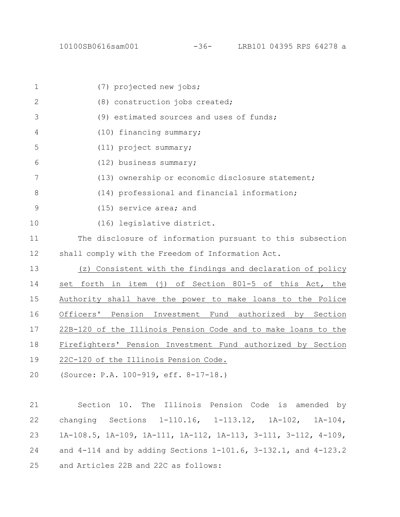| $\mathbf 1$   | (7) projected new jobs;                                       |
|---------------|---------------------------------------------------------------|
| $\mathbf{2}$  | (8) construction jobs created;                                |
| 3             | (9) estimated sources and uses of funds;                      |
| 4             | (10) financing summary;                                       |
| 5             | (11) project summary;                                         |
| 6             | (12) business summary;                                        |
| 7             | (13) ownership or economic disclosure statement;              |
| 8             | (14) professional and financial information;                  |
| $\mathcal{G}$ | (15) service area; and                                        |
| 10            | (16) legislative district.                                    |
| 11            | The disclosure of information pursuant to this subsection     |
| 12            | shall comply with the Freedom of Information Act.             |
| 13            | (z) Consistent with the findings and declaration of policy    |
| 14            | set forth in item (j) of Section 801-5 of this Act, the       |
| 15            | Authority shall have the power to make loans to the Police    |
| 16            | Officers' Pension Investment Fund authorized by Section       |
| 17            | 22B-120 of the Illinois Pension Code and to make loans to the |
| 18            | Firefighters' Pension Investment Fund authorized by Section   |
| 19            | 22C-120 of the Illinois Pension Code.                         |
| 20            | (Source: P.A. 100-919, eff. 8-17-18.)                         |

Section 10. The Illinois Pension Code is amended by changing Sections 1-110.16, 1-113.12, 1A-102, 1A-104, 1A-108.5, 1A-109, 1A-111, 1A-112, 1A-113, 3-111, 3-112, 4-109, and 4-114 and by adding Sections 1-101.6, 3-132.1, and 4-123.2 and Articles 22B and 22C as follows: 21 22 23 24 25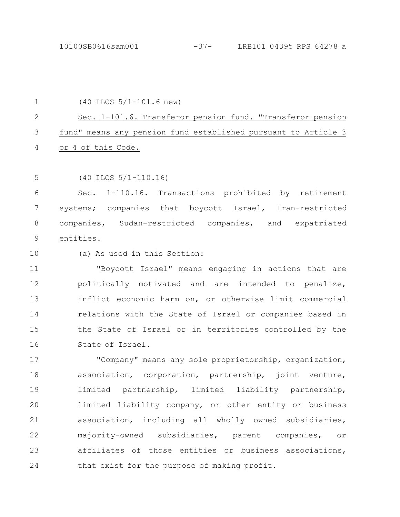10100SB0616sam001 -37- LRB101 04395 RPS 64278 a

1

(40 ILCS 5/1-101.6 new)

Sec. 1-101.6. Transferor pension fund. "Transferor pension fund" means any pension fund established pursuant to Article 3 or 4 of this Code. 2 3 4

(40 ILCS 5/1-110.16) 5

Sec. 1-110.16. Transactions prohibited by retirement systems; companies that boycott Israel, Iran-restricted companies, Sudan-restricted companies, and expatriated entities. 6 7 8 9

(a) As used in this Section: 10

"Boycott Israel" means engaging in actions that are politically motivated and are intended to penalize, inflict economic harm on, or otherwise limit commercial relations with the State of Israel or companies based in the State of Israel or in territories controlled by the State of Israel. 11 12 13 14 15 16

"Company" means any sole proprietorship, organization, association, corporation, partnership, joint venture, limited partnership, limited liability partnership, limited liability company, or other entity or business association, including all wholly owned subsidiaries, majority-owned subsidiaries, parent companies, or affiliates of those entities or business associations, that exist for the purpose of making profit. 17 18 19 20 21 22 23 24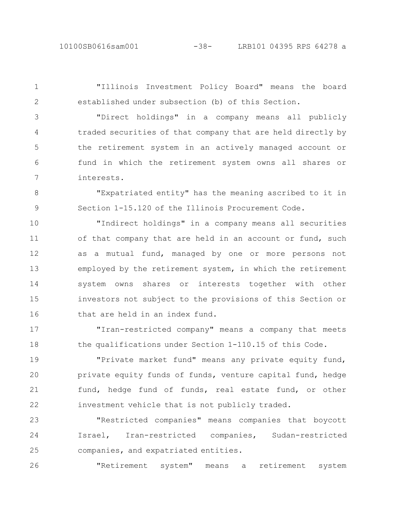1

2

"Illinois Investment Policy Board" means the board established under subsection (b) of this Section.

"Direct holdings" in a company means all publicly traded securities of that company that are held directly by the retirement system in an actively managed account or fund in which the retirement system owns all shares or interests. 3 4 5 6 7

"Expatriated entity" has the meaning ascribed to it in Section 1-15.120 of the Illinois Procurement Code. 8 9

"Indirect holdings" in a company means all securities of that company that are held in an account or fund, such as a mutual fund, managed by one or more persons not employed by the retirement system, in which the retirement system owns shares or interests together with other investors not subject to the provisions of this Section or that are held in an index fund. 10 11 12 13 14 15 16

"Iran-restricted company" means a company that meets the qualifications under Section 1-110.15 of this Code. 17 18

"Private market fund" means any private equity fund, private equity funds of funds, venture capital fund, hedge fund, hedge fund of funds, real estate fund, or other investment vehicle that is not publicly traded. 19 20 21 22

"Restricted companies" means companies that boycott Israel, Iran-restricted companies, Sudan-restricted companies, and expatriated entities. 23 24 25

"Retirement system" means a retirement system 26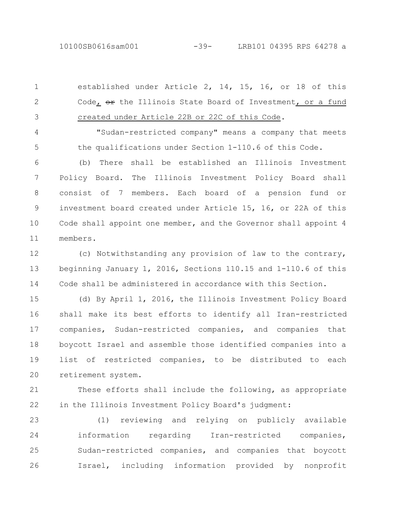10100SB0616sam001 -39- LRB101 04395 RPS 64278 a

established under Article 2, 14, 15, 16, or 18 of this Code, or the Illinois State Board of Investment, or a fund created under Article 22B or 22C of this Code. 1 3

2

"Sudan-restricted company" means a company that meets the qualifications under Section 1-110.6 of this Code. 4 5

(b) There shall be established an Illinois Investment Policy Board. The Illinois Investment Policy Board shall consist of 7 members. Each board of a pension fund or investment board created under Article 15, 16, or 22A of this Code shall appoint one member, and the Governor shall appoint 4 members. 6 7 8 9 10 11

(c) Notwithstanding any provision of law to the contrary, beginning January 1, 2016, Sections 110.15 and 1-110.6 of this Code shall be administered in accordance with this Section. 12 13 14

(d) By April 1, 2016, the Illinois Investment Policy Board shall make its best efforts to identify all Iran-restricted companies, Sudan-restricted companies, and companies that boycott Israel and assemble those identified companies into a list of restricted companies, to be distributed to each retirement system. 15 16 17 18 19 20

These efforts shall include the following, as appropriate in the Illinois Investment Policy Board's judgment: 21 22

(1) reviewing and relying on publicly available information regarding Iran-restricted companies, Sudan-restricted companies, and companies that boycott Israel, including information provided by nonprofit 23 24 25 26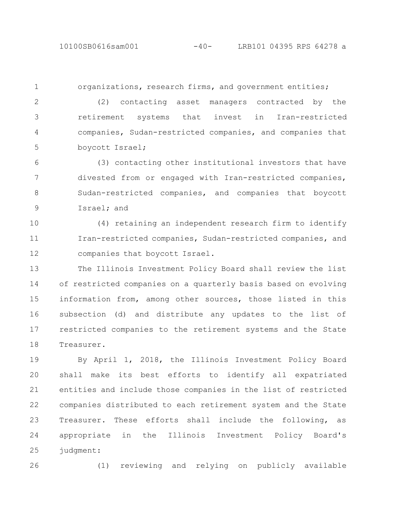1

organizations, research firms, and government entities;

(2) contacting asset managers contracted by the retirement systems that invest in Iran-restricted companies, Sudan-restricted companies, and companies that boycott Israel; 2 3 4 5

(3) contacting other institutional investors that have divested from or engaged with Iran-restricted companies, Sudan-restricted companies, and companies that boycott Israel; and 6 7 8 9

(4) retaining an independent research firm to identify Iran-restricted companies, Sudan-restricted companies, and companies that boycott Israel. 10 11 12

The Illinois Investment Policy Board shall review the list of restricted companies on a quarterly basis based on evolving information from, among other sources, those listed in this subsection (d) and distribute any updates to the list of restricted companies to the retirement systems and the State Treasurer. 13 14 15 16 17 18

By April 1, 2018, the Illinois Investment Policy Board shall make its best efforts to identify all expatriated entities and include those companies in the list of restricted companies distributed to each retirement system and the State Treasurer. These efforts shall include the following, as appropriate in the Illinois Investment Policy Board's judgment: 19 20 21 22 23 24 25

26

(1) reviewing and relying on publicly available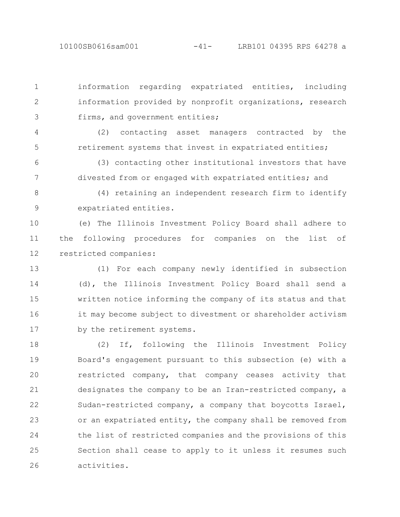10100SB0616sam001 -41- LRB101 04395 RPS 64278 a

information regarding expatriated entities, including information provided by nonprofit organizations, research firms, and government entities; 1 2 3

(2) contacting asset managers contracted by the retirement systems that invest in expatriated entities; 4 5

(3) contacting other institutional investors that have divested from or engaged with expatriated entities; and 6 7

8

9

(4) retaining an independent research firm to identify expatriated entities.

(e) The Illinois Investment Policy Board shall adhere to the following procedures for companies on the list of restricted companies: 10 11 12

(1) For each company newly identified in subsection (d), the Illinois Investment Policy Board shall send a written notice informing the company of its status and that it may become subject to divestment or shareholder activism by the retirement systems. 13 14 15 16 17

(2) If, following the Illinois Investment Policy Board's engagement pursuant to this subsection (e) with a restricted company, that company ceases activity that designates the company to be an Iran-restricted company, a Sudan-restricted company, a company that boycotts Israel, or an expatriated entity, the company shall be removed from the list of restricted companies and the provisions of this Section shall cease to apply to it unless it resumes such activities. 18 19 20 21 22 23 24 25 26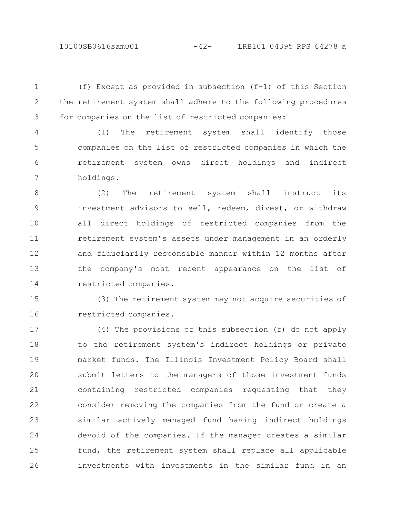10100SB0616sam001 -42- LRB101 04395 RPS 64278 a

(f) Except as provided in subsection (f-1) of this Section the retirement system shall adhere to the following procedures for companies on the list of restricted companies: 1 2 3

(1) The retirement system shall identify those companies on the list of restricted companies in which the retirement system owns direct holdings and indirect holdings. 4 5 6 7

(2) The retirement system shall instruct its investment advisors to sell, redeem, divest, or withdraw all direct holdings of restricted companies from the retirement system's assets under management in an orderly and fiduciarily responsible manner within 12 months after the company's most recent appearance on the list of restricted companies. 8 9 10 11 12 13 14

(3) The retirement system may not acquire securities of restricted companies. 15 16

(4) The provisions of this subsection (f) do not apply to the retirement system's indirect holdings or private market funds. The Illinois Investment Policy Board shall submit letters to the managers of those investment funds containing restricted companies requesting that they consider removing the companies from the fund or create a similar actively managed fund having indirect holdings devoid of the companies. If the manager creates a similar fund, the retirement system shall replace all applicable investments with investments in the similar fund in an 17 18 19 20 21 22 23 24 25 26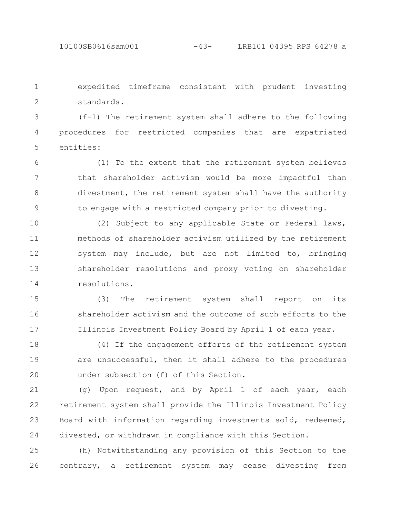expedited timeframe consistent with prudent investing standards. 1 2

(f-1) The retirement system shall adhere to the following procedures for restricted companies that are expatriated entities: 3 4 5

(1) To the extent that the retirement system believes that shareholder activism would be more impactful than divestment, the retirement system shall have the authority to engage with a restricted company prior to divesting. 6 7 8 9

(2) Subject to any applicable State or Federal laws, methods of shareholder activism utilized by the retirement system may include, but are not limited to, bringing shareholder resolutions and proxy voting on shareholder resolutions. 10 11 12 13 14

(3) The retirement system shall report on its shareholder activism and the outcome of such efforts to the Illinois Investment Policy Board by April 1 of each year. 15 16 17

(4) If the engagement efforts of the retirement system are unsuccessful, then it shall adhere to the procedures under subsection (f) of this Section. 18 19 20

(g) Upon request, and by April 1 of each year, each retirement system shall provide the Illinois Investment Policy Board with information regarding investments sold, redeemed, divested, or withdrawn in compliance with this Section. 21 22 23 24

(h) Notwithstanding any provision of this Section to the contrary, a retirement system may cease divesting from 25 26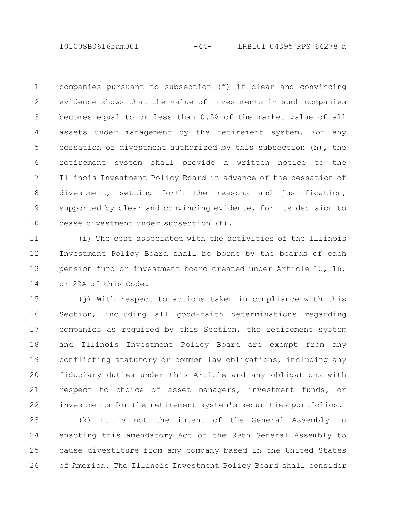10100SB0616sam001 -44- LRB101 04395 RPS 64278 a

companies pursuant to subsection (f) if clear and convincing evidence shows that the value of investments in such companies becomes equal to or less than 0.5% of the market value of all assets under management by the retirement system. For any cessation of divestment authorized by this subsection (h), the retirement system shall provide a written notice to the Illinois Investment Policy Board in advance of the cessation of divestment, setting forth the reasons and justification, supported by clear and convincing evidence, for its decision to cease divestment under subsection (f). 1 2 3 4 5 6 7 8 9 10

(i) The cost associated with the activities of the Illinois Investment Policy Board shall be borne by the boards of each pension fund or investment board created under Article 15, 16, or 22A of this Code. 11 12 13 14

(j) With respect to actions taken in compliance with this Section, including all good-faith determinations regarding companies as required by this Section, the retirement system and Illinois Investment Policy Board are exempt from any conflicting statutory or common law obligations, including any fiduciary duties under this Article and any obligations with respect to choice of asset managers, investment funds, or investments for the retirement system's securities portfolios. 15 16 17 18 19 20 21 22

(k) It is not the intent of the General Assembly in enacting this amendatory Act of the 99th General Assembly to cause divestiture from any company based in the United States of America. The Illinois Investment Policy Board shall consider 23 24 25 26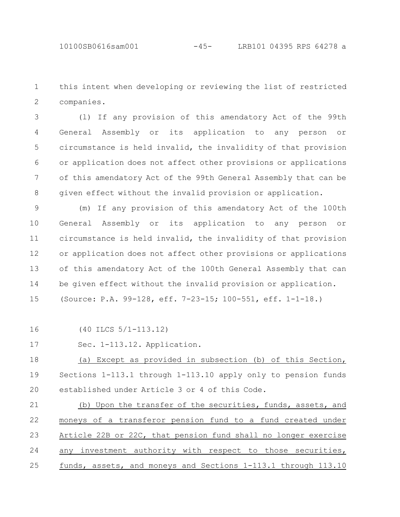this intent when developing or reviewing the list of restricted companies. 1 2

(l) If any provision of this amendatory Act of the 99th General Assembly or its application to any person or circumstance is held invalid, the invalidity of that provision or application does not affect other provisions or applications of this amendatory Act of the 99th General Assembly that can be given effect without the invalid provision or application. 3 4 5 6 7 8

(m) If any provision of this amendatory Act of the 100th General Assembly or its application to any person or circumstance is held invalid, the invalidity of that provision or application does not affect other provisions or applications of this amendatory Act of the 100th General Assembly that can be given effect without the invalid provision or application. (Source: P.A. 99-128, eff. 7-23-15; 100-551, eff. 1-1-18.) 9 10 11 12 13 14 15

16

(40 ILCS 5/1-113.12)

Sec. 1-113.12. Application. 17

(a) Except as provided in subsection (b) of this Section, Sections 1-113.1 through 1-113.10 apply only to pension funds established under Article 3 or 4 of this Code. 18 19 20

(b) Upon the transfer of the securities, funds, assets, and moneys of a transferor pension fund to a fund created under Article 22B or 22C, that pension fund shall no longer exercise any investment authority with respect to those securities, funds, assets, and moneys and Sections 1-113.1 through 113.10 21 22 23 24 25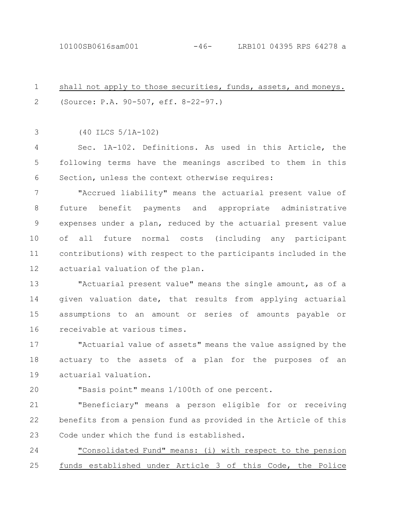| 1 shall not apply to those securities, funds, assets, and moneys. |  |
|-------------------------------------------------------------------|--|
| 2 (Source: P.A. 90-507, eff. 8-22-97.)                            |  |
|                                                                   |  |

(40 ILCS 5/1A-102) 3

Sec. 1A-102. Definitions. As used in this Article, the following terms have the meanings ascribed to them in this Section, unless the context otherwise requires:  $\Delta$ 5 6

"Accrued liability" means the actuarial present value of future benefit payments and appropriate administrative expenses under a plan, reduced by the actuarial present value of all future normal costs (including any participant contributions) with respect to the participants included in the actuarial valuation of the plan. 7 8 9 10 11 12

"Actuarial present value" means the single amount, as of a given valuation date, that results from applying actuarial assumptions to an amount or series of amounts payable or receivable at various times. 13 14 15 16

"Actuarial value of assets" means the value assigned by the actuary to the assets of a plan for the purposes of an actuarial valuation. 17 18 19

20

"Basis point" means 1/100th of one percent.

"Beneficiary" means a person eligible for or receiving benefits from a pension fund as provided in the Article of this Code under which the fund is established. 21 22 23

"Consolidated Fund" means: (i) with respect to the pension funds established under Article 3 of this Code, the Police 24 25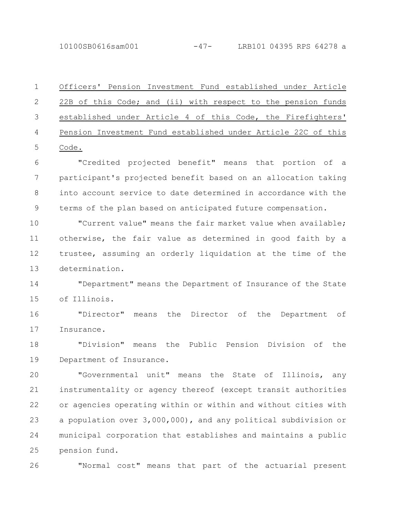10100SB0616sam001 -47- LRB101 04395 RPS 64278 a

Officers' Pension Investment Fund established under Article 22B of this Code; and (ii) with respect to the pension funds established under Article 4 of this Code, the Firefighters' Pension Investment Fund established under Article 22C of this Code. 1 2 3 4 5

"Credited projected benefit" means that portion of a participant's projected benefit based on an allocation taking into account service to date determined in accordance with the terms of the plan based on anticipated future compensation. 6 7 8 9

"Current value" means the fair market value when available; otherwise, the fair value as determined in good faith by a trustee, assuming an orderly liquidation at the time of the determination. 10 11 12 13

"Department" means the Department of Insurance of the State of Illinois. 14 15

"Director" means the Director of the Department of Insurance. 16 17

"Division" means the Public Pension Division of the Department of Insurance. 18 19

"Governmental unit" means the State of Illinois, any instrumentality or agency thereof (except transit authorities or agencies operating within or within and without cities with a population over 3,000,000), and any political subdivision or municipal corporation that establishes and maintains a public pension fund. 20 21 22 23 24 25

26

"Normal cost" means that part of the actuarial present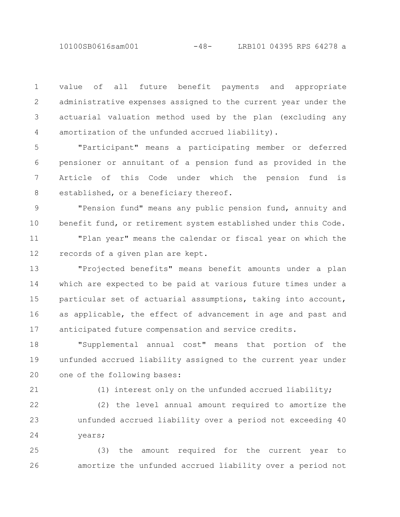10100SB0616sam001 -48- LRB101 04395 RPS 64278 a

value of all future benefit payments and appropriate administrative expenses assigned to the current year under the actuarial valuation method used by the plan (excluding any amortization of the unfunded accrued liability). 1 2 3 4

"Participant" means a participating member or deferred pensioner or annuitant of a pension fund as provided in the Article of this Code under which the pension fund is established, or a beneficiary thereof. 5 6 7 8

"Pension fund" means any public pension fund, annuity and benefit fund, or retirement system established under this Code. 9 10

"Plan year" means the calendar or fiscal year on which the records of a given plan are kept. 11 12

"Projected benefits" means benefit amounts under a plan which are expected to be paid at various future times under a particular set of actuarial assumptions, taking into account, as applicable, the effect of advancement in age and past and anticipated future compensation and service credits. 13 14 15 16 17

"Supplemental annual cost" means that portion of the unfunded accrued liability assigned to the current year under one of the following bases: 18 19 20

21

(1) interest only on the unfunded accrued liability;

(2) the level annual amount required to amortize the unfunded accrued liability over a period not exceeding 40 years; 22 23 24

(3) the amount required for the current year to amortize the unfunded accrued liability over a period not 25 26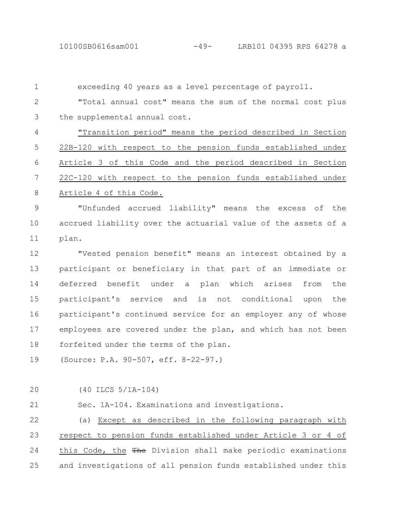exceeding 40 years as a level percentage of payroll. "Total annual cost" means the sum of the normal cost plus the supplemental annual cost. "Transition period" means the period described in Section 22B-120 with respect to the pension funds established under Article 3 of this Code and the period described in Section 22C-120 with respect to the pension funds established under Article 4 of this Code. "Unfunded accrued liability" means the excess of the accrued liability over the actuarial value of the assets of a plan. "Vested pension benefit" means an interest obtained by a participant or beneficiary in that part of an immediate or deferred benefit under a plan which arises from the participant's service and is not conditional upon the participant's continued service for an employer any of whose employees are covered under the plan, and which has not been forfeited under the terms of the plan. (Source: P.A. 90-507, eff. 8-22-97.) (40 ILCS 5/1A-104) Sec. 1A-104. Examinations and investigations. (a) Except as described in the following paragraph with respect to pension funds established under Article 3 or 4 of 1 2 3 4 5 6 7 8 9 10 11 12 13 14 15 16 17 18 19 20 21 22 23

this Code, the The Division shall make periodic examinations and investigations of all pension funds established under this 24 25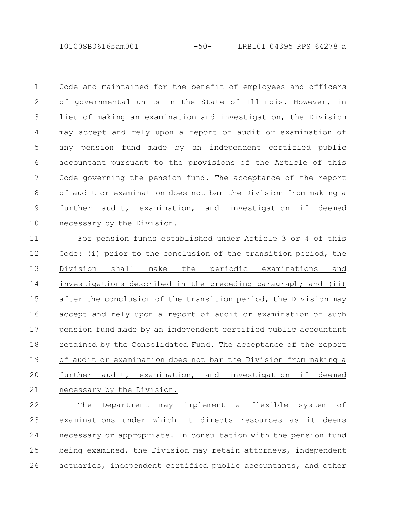10100SB0616sam001 -50- LRB101 04395 RPS 64278 a

Code and maintained for the benefit of employees and officers of governmental units in the State of Illinois. However, in lieu of making an examination and investigation, the Division may accept and rely upon a report of audit or examination of any pension fund made by an independent certified public accountant pursuant to the provisions of the Article of this Code governing the pension fund. The acceptance of the report of audit or examination does not bar the Division from making a further audit, examination, and investigation if deemed necessary by the Division. 1 2 3 4 5 6 7 8 9 10

For pension funds established under Article 3 or 4 of this Code: (i) prior to the conclusion of the transition period, the Division shall make the periodic examinations and investigations described in the preceding paragraph; and (ii) after the conclusion of the transition period, the Division may accept and rely upon a report of audit or examination of such pension fund made by an independent certified public accountant retained by the Consolidated Fund. The acceptance of the report of audit or examination does not bar the Division from making a further audit, examination, and investigation if deemed necessary by the Division. 11 12 13 14 15 16 17 18 19 20 21

The Department may implement a flexible system of examinations under which it directs resources as it deems necessary or appropriate. In consultation with the pension fund being examined, the Division may retain attorneys, independent actuaries, independent certified public accountants, and other 22 23 24 25 26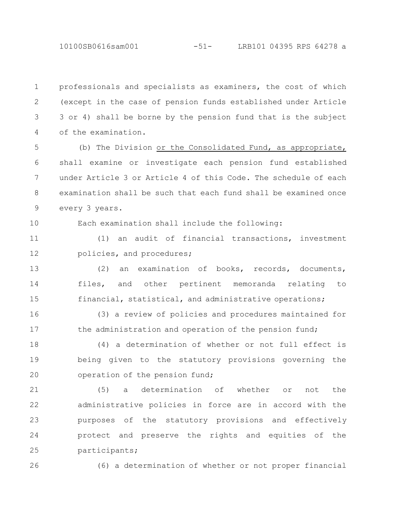10100SB0616sam001 -51- LRB101 04395 RPS 64278 a

professionals and specialists as examiners, the cost of which (except in the case of pension funds established under Article 3 or 4) shall be borne by the pension fund that is the subject of the examination. 1 2 3 4

(b) The Division or the Consolidated Fund, as appropriate, shall examine or investigate each pension fund established under Article 3 or Article 4 of this Code. The schedule of each examination shall be such that each fund shall be examined once every 3 years. 5 6 7 8 9

10

Each examination shall include the following:

(1) an audit of financial transactions, investment policies, and procedures; 11 12

(2) an examination of books, records, documents, files, and other pertinent memoranda relating to financial, statistical, and administrative operations; 13 14 15

(3) a review of policies and procedures maintained for the administration and operation of the pension fund; 16 17

(4) a determination of whether or not full effect is being given to the statutory provisions governing the operation of the pension fund; 18 19 20

(5) a determination of whether or not the administrative policies in force are in accord with the purposes of the statutory provisions and effectively protect and preserve the rights and equities of the participants; 21 22 23 24 25

26

(6) a determination of whether or not proper financial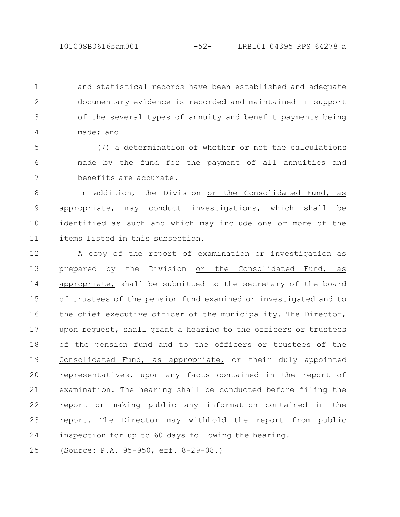and statistical records have been established and adequate documentary evidence is recorded and maintained in support of the several types of annuity and benefit payments being made; and 1 2 3 4

(7) a determination of whether or not the calculations made by the fund for the payment of all annuities and benefits are accurate. 5 6 7

In addition, the Division or the Consolidated Fund, as appropriate, may conduct investigations, which shall be identified as such and which may include one or more of the items listed in this subsection. 8 9 10 11

A copy of the report of examination or investigation as prepared by the Division or the Consolidated Fund, as appropriate, shall be submitted to the secretary of the board of trustees of the pension fund examined or investigated and to the chief executive officer of the municipality. The Director, upon request, shall grant a hearing to the officers or trustees of the pension fund and to the officers or trustees of the Consolidated Fund, as appropriate, or their duly appointed representatives, upon any facts contained in the report of examination. The hearing shall be conducted before filing the report or making public any information contained in the report. The Director may withhold the report from public inspection for up to 60 days following the hearing. 12 13 14 15 16 17 18 19 20 21 22 23 24

(Source: P.A. 95-950, eff. 8-29-08.) 25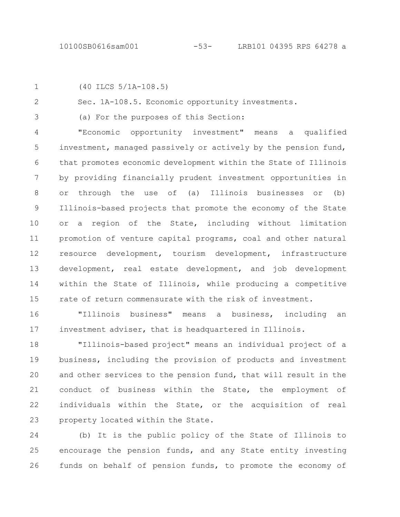```
(40 ILCS 5/1A-108.5)
1
```
Sec. 1A-108.5. Economic opportunity investments. 2

(a) For the purposes of this Section: 3

"Economic opportunity investment" means a qualified investment, managed passively or actively by the pension fund, that promotes economic development within the State of Illinois by providing financially prudent investment opportunities in or through the use of (a) Illinois businesses or (b) Illinois-based projects that promote the economy of the State or a region of the State, including without limitation promotion of venture capital programs, coal and other natural resource development, tourism development, infrastructure development, real estate development, and job development within the State of Illinois, while producing a competitive rate of return commensurate with the risk of investment. 4 5 6 7 8 9 10 11 12 13 14 15

"Illinois business" means a business, including an investment adviser, that is headquartered in Illinois. 16 17

"Illinois-based project" means an individual project of a business, including the provision of products and investment and other services to the pension fund, that will result in the conduct of business within the State, the employment of individuals within the State, or the acquisition of real property located within the State. 18 19 20 21 22 23

(b) It is the public policy of the State of Illinois to encourage the pension funds, and any State entity investing funds on behalf of pension funds, to promote the economy of 24 25 26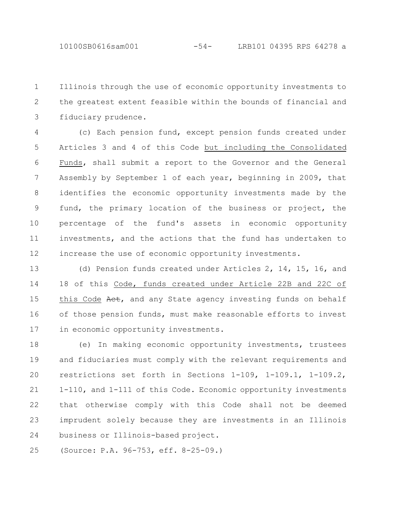Illinois through the use of economic opportunity investments to the greatest extent feasible within the bounds of financial and fiduciary prudence. 1 2 3

(c) Each pension fund, except pension funds created under Articles 3 and 4 of this Code but including the Consolidated Funds, shall submit a report to the Governor and the General Assembly by September 1 of each year, beginning in 2009, that identifies the economic opportunity investments made by the fund, the primary location of the business or project, the percentage of the fund's assets in economic opportunity investments, and the actions that the fund has undertaken to increase the use of economic opportunity investments. 4 5 6 7 8 9 10 11 12

(d) Pension funds created under Articles 2, 14, 15, 16, and 18 of this Code, funds created under Article 22B and 22C of this Code Act, and any State agency investing funds on behalf of those pension funds, must make reasonable efforts to invest in economic opportunity investments. 13 14 15 16 17

(e) In making economic opportunity investments, trustees and fiduciaries must comply with the relevant requirements and restrictions set forth in Sections 1-109, 1-109.1, 1-109.2, 1-110, and 1-111 of this Code. Economic opportunity investments that otherwise comply with this Code shall not be deemed imprudent solely because they are investments in an Illinois business or Illinois-based project. 18 19 20 21 22 23 24

(Source: P.A. 96-753, eff. 8-25-09.) 25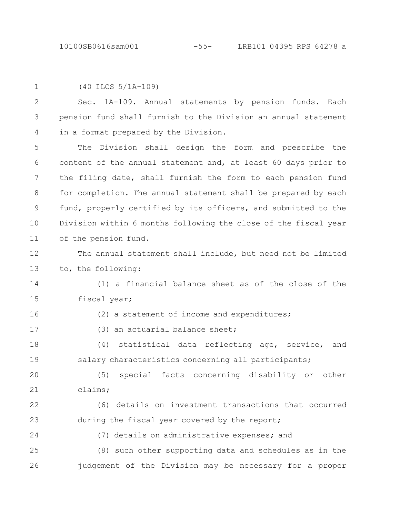(40 ILCS 5/1A-109) Sec. 1A-109. Annual statements by pension funds. Each pension fund shall furnish to the Division an annual statement in a format prepared by the Division. The Division shall design the form and prescribe the content of the annual statement and, at least 60 days prior to the filing date, shall furnish the form to each pension fund for completion. The annual statement shall be prepared by each fund, properly certified by its officers, and submitted to the Division within 6 months following the close of the fiscal year of the pension fund. The annual statement shall include, but need not be limited to, the following: (1) a financial balance sheet as of the close of the fiscal year; (2) a statement of income and expenditures; (3) an actuarial balance sheet; (4) statistical data reflecting age, service, and salary characteristics concerning all participants; (5) special facts concerning disability or other claims; (6) details on investment transactions that occurred during the fiscal year covered by the report; (7) details on administrative expenses; and (8) such other supporting data and schedules as in the judgement of the Division may be necessary for a proper 1 2 3 4 5 6 7 8 9 10 11 12 13 14 15 16 17 18 19 20 21 22 23 24 25 26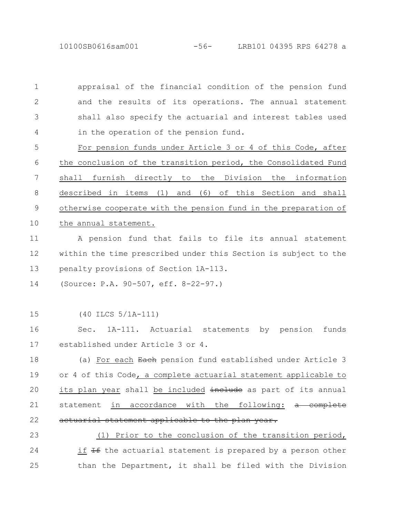10100SB0616sam001 -56- LRB101 04395 RPS 64278 a

appraisal of the financial condition of the pension fund and the results of its operations. The annual statement shall also specify the actuarial and interest tables used in the operation of the pension fund. For pension funds under Article 3 or 4 of this Code, after the conclusion of the transition period, the Consolidated Fund shall furnish directly to the Division the information described in items (1) and (6) of this Section and shall otherwise cooperate with the pension fund in the preparation of the annual statement. A pension fund that fails to file its annual statement within the time prescribed under this Section is subject to the penalty provisions of Section 1A-113. (Source: P.A. 90-507, eff. 8-22-97.) (40 ILCS 5/1A-111) Sec. 1A-111. Actuarial statements by pension funds established under Article 3 or 4. (a) For each Each pension fund established under Article 3 or 4 of this Code, a complete actuarial statement applicable to its plan year shall be included include as part of its annual statement in accordance with the following: a complete actuarial statement applicable to the plan year. (1) Prior to the conclusion of the transition period, if  $H$  the actuarial statement is prepared by a person other than the Department, it shall be filed with the Division 1 2 3 4 5 6 7 8 9 10 11 12 13 14 15 16 17 18 19 20 21 22 23 24 25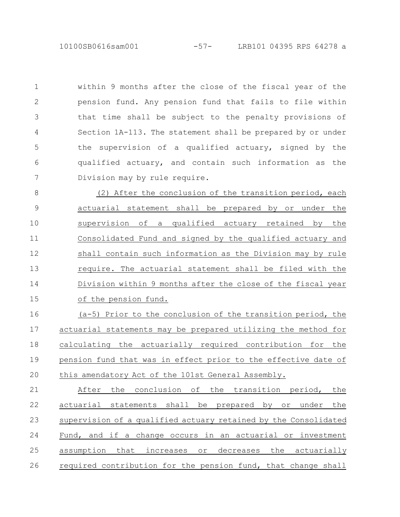10100SB0616sam001 -57- LRB101 04395 RPS 64278 a

within 9 months after the close of the fiscal year of the pension fund. Any pension fund that fails to file within that time shall be subject to the penalty provisions of Section 1A-113. The statement shall be prepared by or under the supervision of a qualified actuary, signed by the qualified actuary, and contain such information as the Division may by rule require. 1 2 3 4 5 6 7

(2) After the conclusion of the transition period, each actuarial statement shall be prepared by or under the supervision of a qualified actuary retained by the Consolidated Fund and signed by the qualified actuary and shall contain such information as the Division may by rule require. The actuarial statement shall be filed with the Division within 9 months after the close of the fiscal year of the pension fund. 8 9 10 11 12 13 14 15

(a-5) Prior to the conclusion of the transition period, the actuarial statements may be prepared utilizing the method for calculating the actuarially required contribution for the pension fund that was in effect prior to the effective date of this amendatory Act of the 101st General Assembly. 16 17 18 19 20

After the conclusion of the transition period, the actuarial statements shall be prepared by or under the supervision of a qualified actuary retained by the Consolidated Fund, and if a change occurs in an actuarial or investment assumption that increases or decreases the actuarially required contribution for the pension fund, that change shall 21 22 23 24 25 26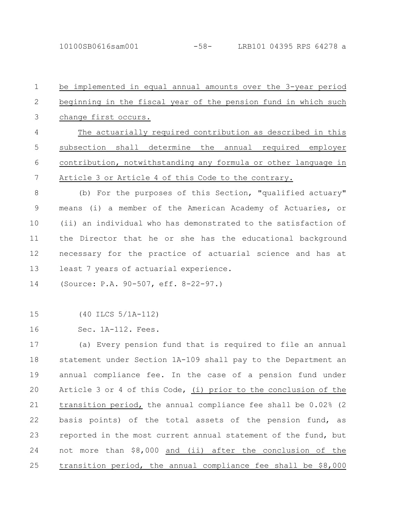be implemented in equal annual amounts over the 3-year period beginning in the fiscal year of the pension fund in which such change first occurs. The actuarially required contribution as described in this subsection shall determine the annual required employer contribution, notwithstanding any formula or other language in Article 3 or Article 4 of this Code to the contrary. (b) For the purposes of this Section, "qualified actuary" means (i) a member of the American Academy of Actuaries, or (ii) an individual who has demonstrated to the satisfaction of the Director that he or she has the educational background 1 2 3 4 5 6 7 8 9 10 11

necessary for the practice of actuarial science and has at least 7 years of actuarial experience. 12 13

(Source: P.A. 90-507, eff. 8-22-97.) 14

(40 ILCS 5/1A-112) 15

Sec. 1A-112. Fees. 16

(a) Every pension fund that is required to file an annual statement under Section 1A-109 shall pay to the Department an annual compliance fee. In the case of a pension fund under Article 3 or 4 of this Code, (i) prior to the conclusion of the transition period, the annual compliance fee shall be 0.02% (2 basis points) of the total assets of the pension fund, as reported in the most current annual statement of the fund, but not more than \$8,000 and (ii) after the conclusion of the transition period, the annual compliance fee shall be \$8,000 17 18 19 20 21 22 23 24 25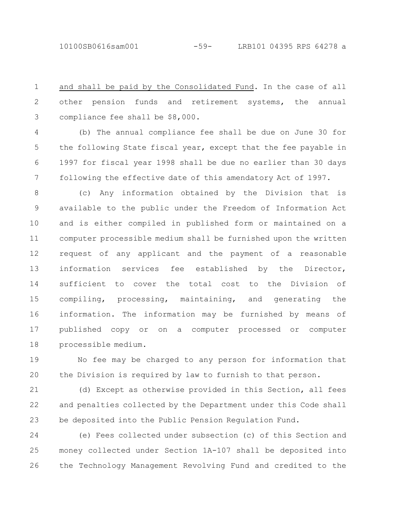and shall be paid by the Consolidated Fund. In the case of all other pension funds and retirement systems, the annual compliance fee shall be \$8,000. 1 2 3

(b) The annual compliance fee shall be due on June 30 for the following State fiscal year, except that the fee payable in 1997 for fiscal year 1998 shall be due no earlier than 30 days following the effective date of this amendatory Act of 1997. 4 5 6 7

(c) Any information obtained by the Division that is available to the public under the Freedom of Information Act and is either compiled in published form or maintained on a computer processible medium shall be furnished upon the written request of any applicant and the payment of a reasonable information services fee established by the Director, sufficient to cover the total cost to the Division of compiling, processing, maintaining, and generating the information. The information may be furnished by means of published copy or on a computer processed or computer processible medium. 8 9 10 11 12 13 14 15 16 17 18

No fee may be charged to any person for information that the Division is required by law to furnish to that person. 19 20

(d) Except as otherwise provided in this Section, all fees and penalties collected by the Department under this Code shall be deposited into the Public Pension Regulation Fund. 21 22 23

(e) Fees collected under subsection (c) of this Section and money collected under Section 1A-107 shall be deposited into the Technology Management Revolving Fund and credited to the 24 25 26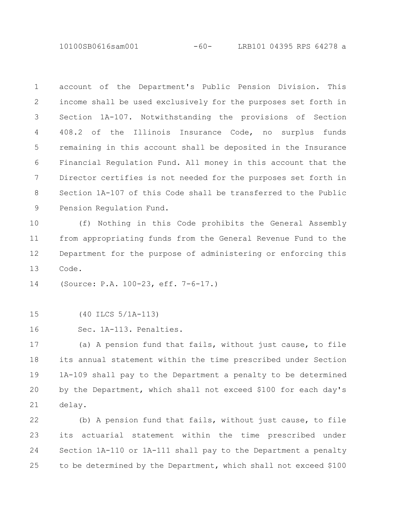10100SB0616sam001 -60- LRB101 04395 RPS 64278 a

account of the Department's Public Pension Division. This income shall be used exclusively for the purposes set forth in Section 1A-107. Notwithstanding the provisions of Section 408.2 of the Illinois Insurance Code, no surplus funds remaining in this account shall be deposited in the Insurance Financial Regulation Fund. All money in this account that the Director certifies is not needed for the purposes set forth in Section 1A-107 of this Code shall be transferred to the Public Pension Regulation Fund. 1 2 3 4 5 6 7 8 9

(f) Nothing in this Code prohibits the General Assembly from appropriating funds from the General Revenue Fund to the Department for the purpose of administering or enforcing this Code. 10 11 12 13

(Source: P.A. 100-23, eff. 7-6-17.) 14

(40 ILCS 5/1A-113) 15

Sec. 1A-113. Penalties. 16

(a) A pension fund that fails, without just cause, to file its annual statement within the time prescribed under Section 1A-109 shall pay to the Department a penalty to be determined by the Department, which shall not exceed \$100 for each day's delay. 17 18 19 20 21

(b) A pension fund that fails, without just cause, to file its actuarial statement within the time prescribed under Section 1A-110 or 1A-111 shall pay to the Department a penalty to be determined by the Department, which shall not exceed \$100 22 23 24 25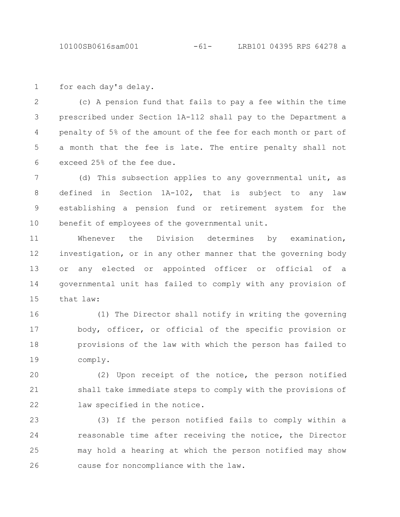for each day's delay. 1

(c) A pension fund that fails to pay a fee within the time prescribed under Section 1A-112 shall pay to the Department a penalty of 5% of the amount of the fee for each month or part of a month that the fee is late. The entire penalty shall not exceed 25% of the fee due. 2 3 4 5 6

(d) This subsection applies to any governmental unit, as defined in Section 1A-102, that is subject to any law establishing a pension fund or retirement system for the benefit of employees of the governmental unit. 7 8 9 10

Whenever the Division determines by examination, investigation, or in any other manner that the governing body or any elected or appointed officer or official of a governmental unit has failed to comply with any provision of that law: 11 12 13 14 15

(1) The Director shall notify in writing the governing body, officer, or official of the specific provision or provisions of the law with which the person has failed to comply. 16 17 18 19

(2) Upon receipt of the notice, the person notified shall take immediate steps to comply with the provisions of law specified in the notice. 20 21 22

(3) If the person notified fails to comply within a reasonable time after receiving the notice, the Director may hold a hearing at which the person notified may show cause for noncompliance with the law. 23 24 25 26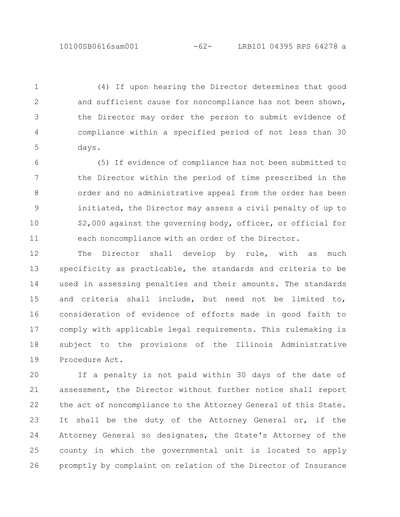(4) If upon hearing the Director determines that good and sufficient cause for noncompliance has not been shown, the Director may order the person to submit evidence of compliance within a specified period of not less than 30 days. 1 2 3 4 5

(5) If evidence of compliance has not been submitted to the Director within the period of time prescribed in the order and no administrative appeal from the order has been initiated, the Director may assess a civil penalty of up to \$2,000 against the governing body, officer, or official for each noncompliance with an order of the Director. 6 7 8 9 10 11

The Director shall develop by rule, with as much specificity as practicable, the standards and criteria to be used in assessing penalties and their amounts. The standards and criteria shall include, but need not be limited to, consideration of evidence of efforts made in good faith to comply with applicable legal requirements. This rulemaking is subject to the provisions of the Illinois Administrative Procedure Act. 12 13 14 15 16 17 18 19

If a penalty is not paid within 30 days of the date of assessment, the Director without further notice shall report the act of noncompliance to the Attorney General of this State. It shall be the duty of the Attorney General or, if the Attorney General so designates, the State's Attorney of the county in which the governmental unit is located to apply promptly by complaint on relation of the Director of Insurance 20 21 22 23 24 25 26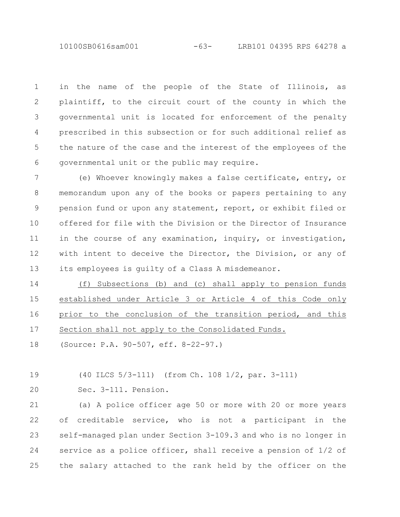10100SB0616sam001 -63- LRB101 04395 RPS 64278 a

in the name of the people of the State of Illinois, as plaintiff, to the circuit court of the county in which the governmental unit is located for enforcement of the penalty prescribed in this subsection or for such additional relief as the nature of the case and the interest of the employees of the governmental unit or the public may require. 1 2 3 4 5 6

(e) Whoever knowingly makes a false certificate, entry, or memorandum upon any of the books or papers pertaining to any pension fund or upon any statement, report, or exhibit filed or offered for file with the Division or the Director of Insurance in the course of any examination, inquiry, or investigation, with intent to deceive the Director, the Division, or any of its employees is guilty of a Class A misdemeanor. 7 8 9 10 11 12 13

(f) Subsections (b) and (c) shall apply to pension funds established under Article 3 or Article 4 of this Code only prior to the conclusion of the transition period, and this Section shall not apply to the Consolidated Funds. 14 15 16 17

(Source: P.A. 90-507, eff. 8-22-97.) 18

(40 ILCS 5/3-111) (from Ch. 108 1/2, par. 3-111) 19

Sec. 3-111. Pension. 20

(a) A police officer age 50 or more with 20 or more years of creditable service, who is not a participant in the self-managed plan under Section 3-109.3 and who is no longer in service as a police officer, shall receive a pension of 1/2 of the salary attached to the rank held by the officer on the 21 22 23 24 25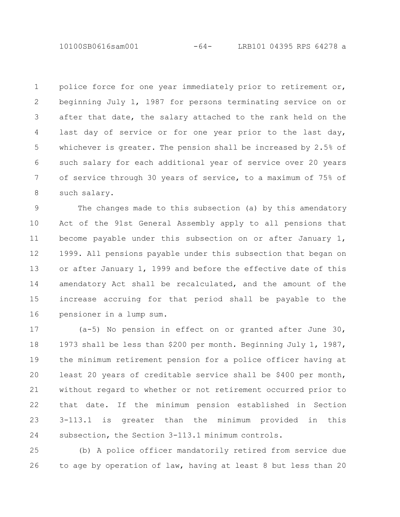10100SB0616sam001 -64- LRB101 04395 RPS 64278 a

police force for one year immediately prior to retirement or, beginning July 1, 1987 for persons terminating service on or after that date, the salary attached to the rank held on the last day of service or for one year prior to the last day, whichever is greater. The pension shall be increased by 2.5% of such salary for each additional year of service over 20 years of service through 30 years of service, to a maximum of 75% of such salary. 1 2 3 4 5 6 7 8

The changes made to this subsection (a) by this amendatory Act of the 91st General Assembly apply to all pensions that become payable under this subsection on or after January 1, 1999. All pensions payable under this subsection that began on or after January 1, 1999 and before the effective date of this amendatory Act shall be recalculated, and the amount of the increase accruing for that period shall be payable to the pensioner in a lump sum. 9 10 11 12 13 14 15 16

(a-5) No pension in effect on or granted after June 30, 1973 shall be less than \$200 per month. Beginning July 1, 1987, the minimum retirement pension for a police officer having at least 20 years of creditable service shall be \$400 per month, without regard to whether or not retirement occurred prior to that date. If the minimum pension established in Section 3-113.1 is greater than the minimum provided in this subsection, the Section 3-113.1 minimum controls. 17 18 19 20 21 22 23 24

(b) A police officer mandatorily retired from service due to age by operation of law, having at least 8 but less than 20 25 26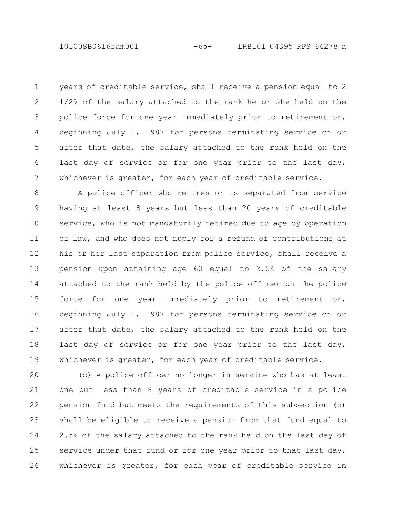10100SB0616sam001 -65- LRB101 04395 RPS 64278 a

years of creditable service, shall receive a pension equal to 2 1/2% of the salary attached to the rank he or she held on the police force for one year immediately prior to retirement or, beginning July 1, 1987 for persons terminating service on or after that date, the salary attached to the rank held on the last day of service or for one year prior to the last day, whichever is greater, for each year of creditable service. 1 2 3 4 5 6 7

A police officer who retires or is separated from service having at least 8 years but less than 20 years of creditable service, who is not mandatorily retired due to age by operation of law, and who does not apply for a refund of contributions at his or her last separation from police service, shall receive a pension upon attaining age 60 equal to 2.5% of the salary attached to the rank held by the police officer on the police force for one year immediately prior to retirement or, beginning July 1, 1987 for persons terminating service on or after that date, the salary attached to the rank held on the last day of service or for one year prior to the last day, whichever is greater, for each year of creditable service. 8 9 10 11 12 13 14 15 16 17 18 19

(c) A police officer no longer in service who has at least one but less than 8 years of creditable service in a police pension fund but meets the requirements of this subsection (c) shall be eligible to receive a pension from that fund equal to 2.5% of the salary attached to the rank held on the last day of service under that fund or for one year prior to that last day, whichever is greater, for each year of creditable service in 20 21 22 23 24 25 26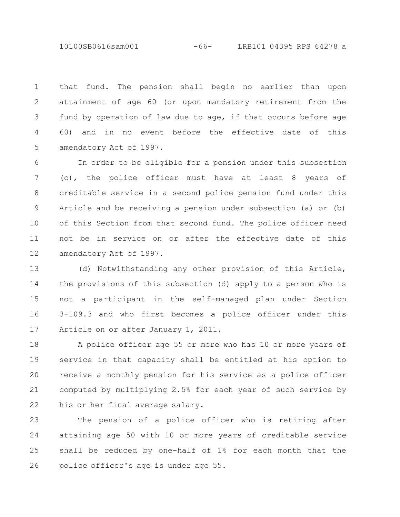10100SB0616sam001 -66- LRB101 04395 RPS 64278 a

that fund. The pension shall begin no earlier than upon attainment of age 60 (or upon mandatory retirement from the fund by operation of law due to age, if that occurs before age 60) and in no event before the effective date of this amendatory Act of 1997. 1 2 3 4 5

In order to be eligible for a pension under this subsection (c), the police officer must have at least 8 years of creditable service in a second police pension fund under this Article and be receiving a pension under subsection (a) or (b) of this Section from that second fund. The police officer need not be in service on or after the effective date of this amendatory Act of 1997. 6 7 8 9 10 11 12

(d) Notwithstanding any other provision of this Article, the provisions of this subsection (d) apply to a person who is not a participant in the self-managed plan under Section 3-109.3 and who first becomes a police officer under this Article on or after January 1, 2011. 13 14 15 16 17

A police officer age 55 or more who has 10 or more years of service in that capacity shall be entitled at his option to receive a monthly pension for his service as a police officer computed by multiplying 2.5% for each year of such service by his or her final average salary. 18 19 20 21 22

The pension of a police officer who is retiring after attaining age 50 with 10 or more years of creditable service shall be reduced by one-half of 1% for each month that the police officer's age is under age 55. 23 24 25 26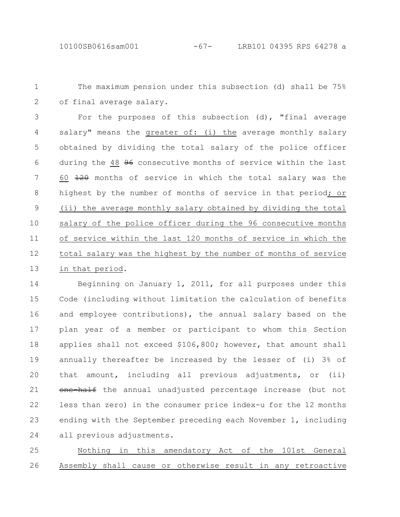The maximum pension under this subsection (d) shall be 75% of final average salary. 1 2

For the purposes of this subsection (d), "final average salary" means the greater of: (i) the average monthly salary obtained by dividing the total salary of the police officer during the 48 96 consecutive months of service within the last 60  $\frac{120}{120}$  months of service in which the total salary was the highest by the number of months of service in that period; or (ii) the average monthly salary obtained by dividing the total salary of the police officer during the 96 consecutive months of service within the last 120 months of service in which the total salary was the highest by the number of months of service in that period. 3 4 5 6 7 8 9 10 11 12 13

Beginning on January 1, 2011, for all purposes under this Code (including without limitation the calculation of benefits and employee contributions), the annual salary based on the plan year of a member or participant to whom this Section applies shall not exceed \$106,800; however, that amount shall annually thereafter be increased by the lesser of (i) 3% of that amount, including all previous adjustments, or (ii) one-half the annual unadjusted percentage increase (but not less than zero) in the consumer price index-u for the 12 months ending with the September preceding each November 1, including all previous adjustments. 14 15 16 17 18 19 20 21 22 23 24

Nothing in this amendatory Act of the 101st General Assembly shall cause or otherwise result in any retroactive 25 26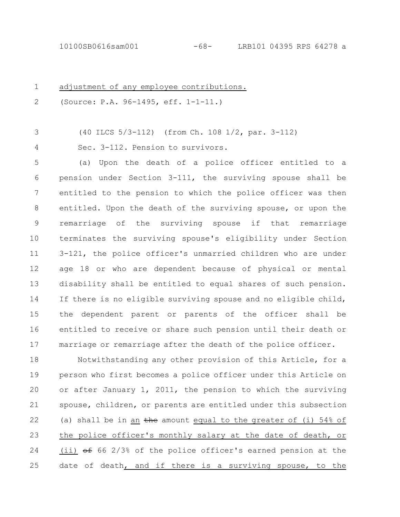| $\mathbf 1$ | adjustment of any employee contributions.                                      |
|-------------|--------------------------------------------------------------------------------|
| 2           | (Source: P.A. 96-1495, eff. 1-1-11.)                                           |
| 3           | (40 ILCS 5/3-112) (from Ch. 108 1/2, par. 3-112)                               |
| 4           | Sec. 3-112. Pension to survivors.                                              |
| 5           | Upon the death of a police officer entitled to a<br>(a)                        |
| 6           | pension under Section 3-111, the surviving spouse shall be                     |
| 7           | entitled to the pension to which the police officer was then                   |
| 8           | entitled. Upon the death of the surviving spouse, or upon the                  |
| 9           | remarriage of the surviving spouse if that remarriage                          |
| 10          | terminates the surviving spouse's eligibility under Section                    |
| 11          | 3-121, the police officer's unmarried children who are under                   |
| 12          | age 18 or who are dependent because of physical or mental                      |
| 13          | disability shall be entitled to equal shares of such pension.                  |
| 14          | If there is no eligible surviving spouse and no eligible child,                |
| 15          | the dependent parent or parents of the officer shall be                        |
| 16          | entitled to receive or share such pension until their death or                 |
| 17          | marriage or remarriage after the death of the police officer.                  |
| 18          | Notwithstanding any other provision of this Article, for a                     |
| 19          | person who first becomes a police officer under this Article on                |
| 20          | or after January 1, 2011, the pension to which the surviving                   |
| 21          | spouse, children, or parents are entitled under this subsection                |
| 22          | (a) shall be in an $\frac{1}{2}$ the amount equal to the greater of (i) 54% of |

the police officer's monthly salary at the date of death, or (ii) of 66 2/3% of the police officer's earned pension at the date of death, and if there is a surviving spouse, to the 23 24 25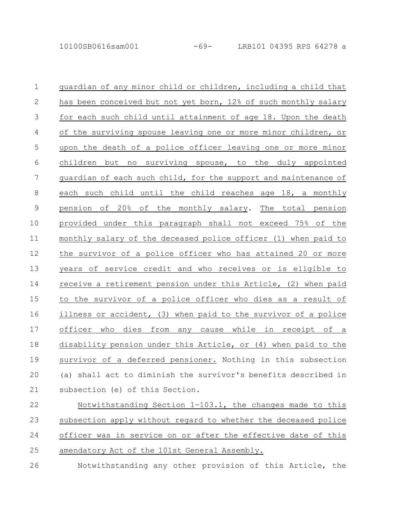guardian of any minor child or children, including a child that has been conceived but not yet born, 12% of such monthly salary for each such child until attainment of age 18. Upon the death of the surviving spouse leaving one or more minor children, or upon the death of a police officer leaving one or more minor children but no surviving spouse, to the duly appointed guardian of each such child, for the support and maintenance of each such child until the child reaches age 18, a monthly pension of 20% of the monthly salary. The total pension provided under this paragraph shall not exceed 75% of the monthly salary of the deceased police officer (1) when paid to the survivor of a police officer who has attained 20 or more years of service credit and who receives or is eligible to receive a retirement pension under this Article, (2) when paid to the survivor of a police officer who dies as a result of illness or accident, (3) when paid to the survivor of a police officer who dies from any cause while in receipt of a disability pension under this Article, or (4) when paid to the survivor of a deferred pensioner. Nothing in this subsection (a) shall act to diminish the survivor's benefits described in subsection (e) of this Section. 1 2 3 4 5 6 7 8 9 10 11 12 13 14 15 16 17 18 19 20 21

## Notwithstanding Section 1-103.1, the changes made to this subsection apply without regard to whether the deceased police officer was in service on or after the effective date of this amendatory Act of the 101st General Assembly. 22 23 24 25

Notwithstanding any other provision of this Article, the 26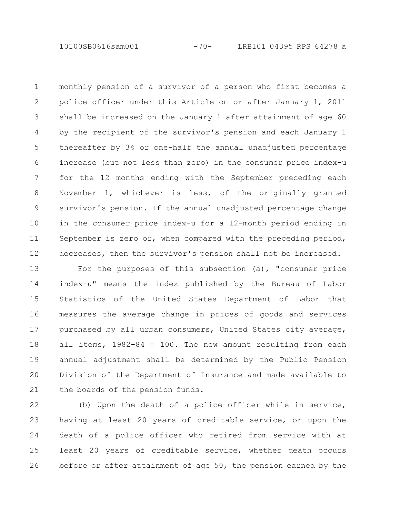10100SB0616sam001 -70- LRB101 04395 RPS 64278 a

monthly pension of a survivor of a person who first becomes a police officer under this Article on or after January 1, 2011 shall be increased on the January 1 after attainment of age 60 by the recipient of the survivor's pension and each January 1 thereafter by 3% or one-half the annual unadjusted percentage increase (but not less than zero) in the consumer price index-u for the 12 months ending with the September preceding each November 1, whichever is less, of the originally granted survivor's pension. If the annual unadjusted percentage change in the consumer price index-u for a 12-month period ending in September is zero or, when compared with the preceding period, decreases, then the survivor's pension shall not be increased. 1 2 3 4 5 6 7 8 9 10 11 12

For the purposes of this subsection (a), "consumer price index-u" means the index published by the Bureau of Labor Statistics of the United States Department of Labor that measures the average change in prices of goods and services purchased by all urban consumers, United States city average, all items,  $1982-84 = 100$ . The new amount resulting from each annual adjustment shall be determined by the Public Pension Division of the Department of Insurance and made available to the boards of the pension funds. 13 14 15 16 17 18 19 20 21

(b) Upon the death of a police officer while in service, having at least 20 years of creditable service, or upon the death of a police officer who retired from service with at least 20 years of creditable service, whether death occurs before or after attainment of age 50, the pension earned by the 22 23 24 25 26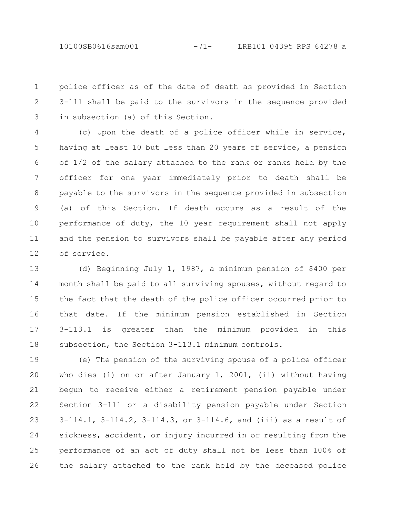police officer as of the date of death as provided in Section 3-111 shall be paid to the survivors in the sequence provided in subsection (a) of this Section. 1 2 3

(c) Upon the death of a police officer while in service, having at least 10 but less than 20 years of service, a pension of 1/2 of the salary attached to the rank or ranks held by the officer for one year immediately prior to death shall be payable to the survivors in the sequence provided in subsection (a) of this Section. If death occurs as a result of the performance of duty, the 10 year requirement shall not apply and the pension to survivors shall be payable after any period of service. 4 5 6 7 8 9 10 11 12

(d) Beginning July 1, 1987, a minimum pension of \$400 per month shall be paid to all surviving spouses, without regard to the fact that the death of the police officer occurred prior to that date. If the minimum pension established in Section 3-113.1 is greater than the minimum provided in this subsection, the Section 3-113.1 minimum controls. 13 14 15 16 17 18

(e) The pension of the surviving spouse of a police officer who dies (i) on or after January 1, 2001, (ii) without having begun to receive either a retirement pension payable under Section 3-111 or a disability pension payable under Section 3-114.1, 3-114.2, 3-114.3, or 3-114.6, and (iii) as a result of sickness, accident, or injury incurred in or resulting from the performance of an act of duty shall not be less than 100% of the salary attached to the rank held by the deceased police 19 20 21 22 23 24 25 26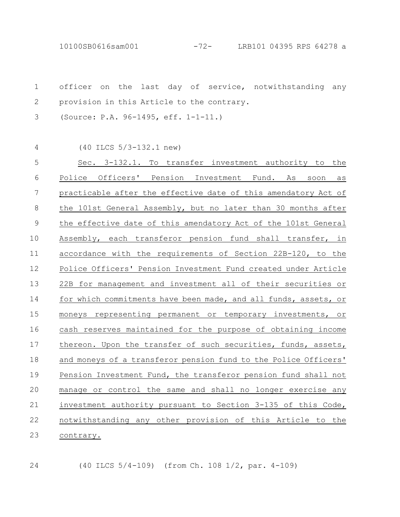10100SB0616sam001 -72- LRB101 04395 RPS 64278 a

officer on the last day of service, notwithstanding any provision in this Article to the contrary. 1 2

(Source: P.A. 96-1495, eff. 1-1-11.) 3

(40 ILCS 5/3-132.1 new) 4

Sec. 3-132.1. To transfer investment authority to the Police Officers' Pension Investment Fund. As soon as practicable after the effective date of this amendatory Act of the 101st General Assembly, but no later than 30 months after the effective date of this amendatory Act of the 101st General Assembly, each transferor pension fund shall transfer, in accordance with the requirements of Section 22B-120, to the Police Officers' Pension Investment Fund created under Article 22B for management and investment all of their securities or for which commitments have been made, and all funds, assets, or moneys representing permanent or temporary investments, or cash reserves maintained for the purpose of obtaining income thereon. Upon the transfer of such securities, funds, assets, and moneys of a transferor pension fund to the Police Officers' Pension Investment Fund, the transferor pension fund shall not manage or control the same and shall no longer exercise any investment authority pursuant to Section 3-135 of this Code, notwithstanding any other provision of this Article to the contrary. 5 6 7 8 9 10 11 12 13 14 15 16 17 18 19 20 21 22 23

24

(40 ILCS 5/4-109) (from Ch. 108 1/2, par. 4-109)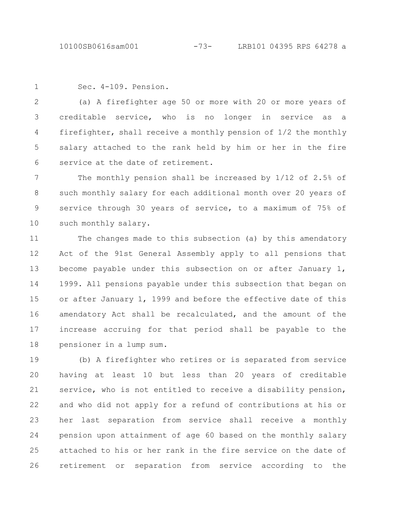10100SB0616sam001 -73- LRB101 04395 RPS 64278 a

```
1
```
Sec. 4-109. Pension.

(a) A firefighter age 50 or more with 20 or more years of creditable service, who is no longer in service as a firefighter, shall receive a monthly pension of 1/2 the monthly salary attached to the rank held by him or her in the fire service at the date of retirement. 2 3 4 5 6

The monthly pension shall be increased by 1/12 of 2.5% of such monthly salary for each additional month over 20 years of service through 30 years of service, to a maximum of 75% of such monthly salary. 7 8 9 10

The changes made to this subsection (a) by this amendatory Act of the 91st General Assembly apply to all pensions that become payable under this subsection on or after January 1, 1999. All pensions payable under this subsection that began on or after January 1, 1999 and before the effective date of this amendatory Act shall be recalculated, and the amount of the increase accruing for that period shall be payable to the pensioner in a lump sum. 11 12 13 14 15 16 17 18

(b) A firefighter who retires or is separated from service having at least 10 but less than 20 years of creditable service, who is not entitled to receive a disability pension, and who did not apply for a refund of contributions at his or her last separation from service shall receive a monthly pension upon attainment of age 60 based on the monthly salary attached to his or her rank in the fire service on the date of retirement or separation from service according to the 19 20 21 22 23 24 25 26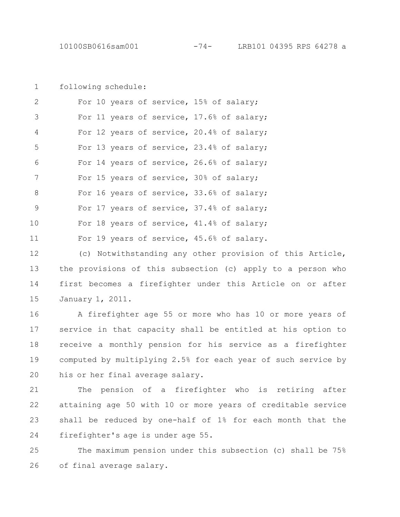following schedule: 1

For 10 years of service, 15% of salary; For 11 years of service, 17.6% of salary; For 12 years of service, 20.4% of salary; For 13 years of service, 23.4% of salary; For 14 years of service, 26.6% of salary; For 15 years of service, 30% of salary; For 16 years of service, 33.6% of salary; For 17 years of service, 37.4% of salary; For 18 years of service, 41.4% of salary; For 19 years of service, 45.6% of salary. 2 3 4 5 6 7 8 9 10 11

(c) Notwithstanding any other provision of this Article, the provisions of this subsection (c) apply to a person who first becomes a firefighter under this Article on or after January 1, 2011. 12 13 14 15

A firefighter age 55 or more who has 10 or more years of service in that capacity shall be entitled at his option to receive a monthly pension for his service as a firefighter computed by multiplying 2.5% for each year of such service by his or her final average salary. 16 17 18 19 20

The pension of a firefighter who is retiring after attaining age 50 with 10 or more years of creditable service shall be reduced by one-half of 1% for each month that the firefighter's age is under age 55. 21 22 23 24

The maximum pension under this subsection (c) shall be 75% of final average salary. 25 26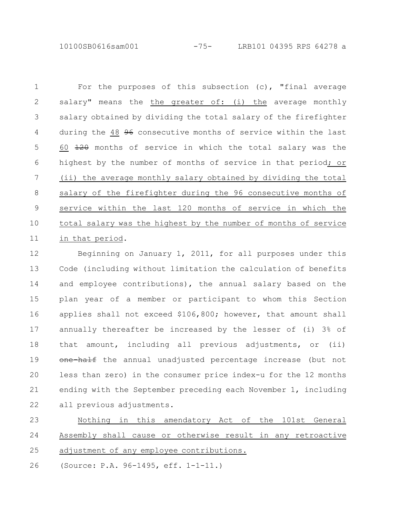10100SB0616sam001 -75- LRB101 04395 RPS 64278 a

For the purposes of this subsection (c), "final average salary" means the the greater of: (i) the average monthly salary obtained by dividing the total salary of the firefighter during the 48 96 consecutive months of service within the last 60 120 months of service in which the total salary was the highest by the number of months of service in that period; or (ii) the average monthly salary obtained by dividing the total salary of the firefighter during the 96 consecutive months of service within the last 120 months of service in which the total salary was the highest by the number of months of service in that period. 1 2 3 4 5 6 7 8 9 10 11

Beginning on January 1, 2011, for all purposes under this Code (including without limitation the calculation of benefits and employee contributions), the annual salary based on the plan year of a member or participant to whom this Section applies shall not exceed \$106,800; however, that amount shall annually thereafter be increased by the lesser of (i) 3% of that amount, including all previous adjustments, or (ii) one half the annual unadjusted percentage increase (but not less than zero) in the consumer price index-u for the 12 months ending with the September preceding each November 1, including all previous adjustments. 12 13 14 15 16 17 18 19 20 21 22

Nothing in this amendatory Act of the 101st General Assembly shall cause or otherwise result in any retroactive adjustment of any employee contributions. (Source: P.A. 96-1495, eff. 1-1-11.) 23 24 25 26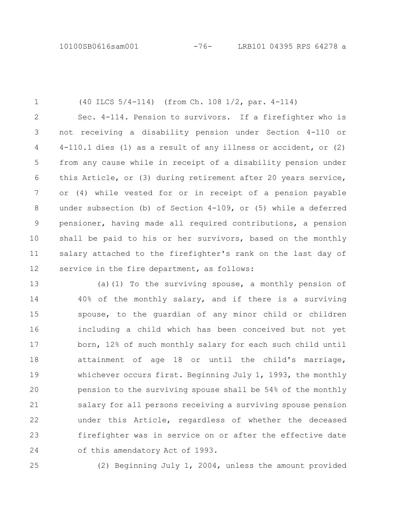(40 ILCS 5/4-114) (from Ch. 108 1/2, par. 4-114) Sec. 4-114. Pension to survivors. If a firefighter who is not receiving a disability pension under Section 4-110 or 4-110.1 dies (1) as a result of any illness or accident, or (2) from any cause while in receipt of a disability pension under this Article, or (3) during retirement after 20 years service, or (4) while vested for or in receipt of a pension payable under subsection (b) of Section 4-109, or (5) while a deferred pensioner, having made all required contributions, a pension shall be paid to his or her survivors, based on the monthly salary attached to the firefighter's rank on the last day of service in the fire department, as follows: 1 2 3 4 5 6 7 8 9 10 11 12

(a)(1) To the surviving spouse, a monthly pension of 40% of the monthly salary, and if there is a surviving spouse, to the guardian of any minor child or children including a child which has been conceived but not yet born, 12% of such monthly salary for each such child until attainment of age 18 or until the child's marriage, whichever occurs first. Beginning July 1, 1993, the monthly pension to the surviving spouse shall be 54% of the monthly salary for all persons receiving a surviving spouse pension under this Article, regardless of whether the deceased firefighter was in service on or after the effective date of this amendatory Act of 1993. 13 14 15 16 17 18 19 20 21 22 23 24

25

(2) Beginning July 1, 2004, unless the amount provided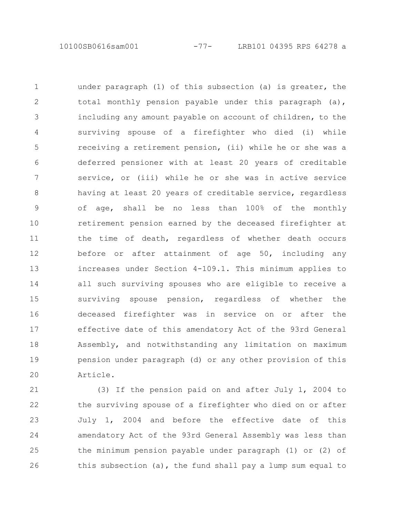10100SB0616sam001 -77- LRB101 04395 RPS 64278 a

under paragraph (1) of this subsection (a) is greater, the total monthly pension payable under this paragraph (a), including any amount payable on account of children, to the surviving spouse of a firefighter who died (i) while receiving a retirement pension, (ii) while he or she was a deferred pensioner with at least 20 years of creditable service, or (iii) while he or she was in active service having at least 20 years of creditable service, regardless of age, shall be no less than 100% of the monthly retirement pension earned by the deceased firefighter at the time of death, regardless of whether death occurs before or after attainment of age 50, including any increases under Section 4-109.1. This minimum applies to all such surviving spouses who are eligible to receive a surviving spouse pension, regardless of whether the deceased firefighter was in service on or after the effective date of this amendatory Act of the 93rd General Assembly, and notwithstanding any limitation on maximum pension under paragraph (d) or any other provision of this Article. 1 2 3 4 5 6 7 8 9 10 11 12 13 14 15 16 17 18 19 20

(3) If the pension paid on and after July 1, 2004 to the surviving spouse of a firefighter who died on or after July 1, 2004 and before the effective date of this amendatory Act of the 93rd General Assembly was less than the minimum pension payable under paragraph (1) or (2) of this subsection (a), the fund shall pay a lump sum equal to 21 22 23 24 25 26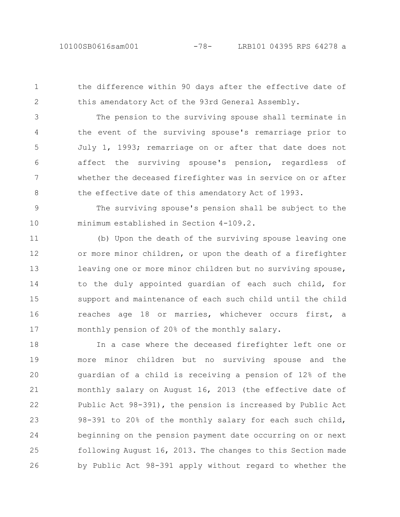1 2

the difference within 90 days after the effective date of this amendatory Act of the 93rd General Assembly.

The pension to the surviving spouse shall terminate in the event of the surviving spouse's remarriage prior to July 1, 1993; remarriage on or after that date does not affect the surviving spouse's pension, regardless of whether the deceased firefighter was in service on or after the effective date of this amendatory Act of 1993. 3 4 5 6 7 8

The surviving spouse's pension shall be subject to the minimum established in Section 4-109.2. 9 10

(b) Upon the death of the surviving spouse leaving one or more minor children, or upon the death of a firefighter leaving one or more minor children but no surviving spouse, to the duly appointed guardian of each such child, for support and maintenance of each such child until the child reaches age 18 or marries, whichever occurs first, a monthly pension of 20% of the monthly salary. 11 12 13 14 15 16 17

In a case where the deceased firefighter left one or more minor children but no surviving spouse and the guardian of a child is receiving a pension of 12% of the monthly salary on August 16, 2013 (the effective date of Public Act 98-391), the pension is increased by Public Act 98-391 to 20% of the monthly salary for each such child, beginning on the pension payment date occurring on or next following August 16, 2013. The changes to this Section made by Public Act 98-391 apply without regard to whether the 18 19 20 21 22 23 24 25 26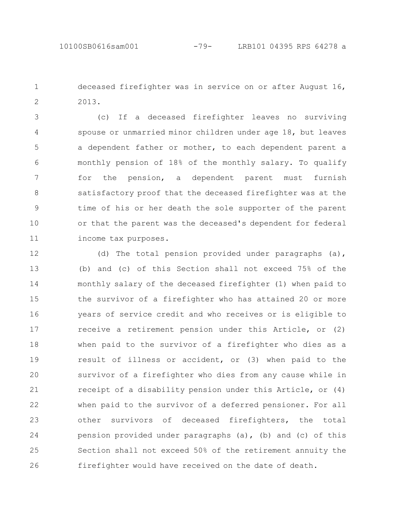deceased firefighter was in service on or after August 16, 2013. 1 2

(c) If a deceased firefighter leaves no surviving spouse or unmarried minor children under age 18, but leaves a dependent father or mother, to each dependent parent a monthly pension of 18% of the monthly salary. To qualify for the pension, a dependent parent must furnish satisfactory proof that the deceased firefighter was at the time of his or her death the sole supporter of the parent or that the parent was the deceased's dependent for federal income tax purposes. 3 4 5 6 7 8 9 10 11

(d) The total pension provided under paragraphs (a), (b) and (c) of this Section shall not exceed 75% of the monthly salary of the deceased firefighter (1) when paid to the survivor of a firefighter who has attained 20 or more years of service credit and who receives or is eligible to receive a retirement pension under this Article, or (2) when paid to the survivor of a firefighter who dies as a result of illness or accident, or (3) when paid to the survivor of a firefighter who dies from any cause while in receipt of a disability pension under this Article, or (4) when paid to the survivor of a deferred pensioner. For all other survivors of deceased firefighters, the total pension provided under paragraphs (a), (b) and (c) of this Section shall not exceed 50% of the retirement annuity the firefighter would have received on the date of death. 12 13 14 15 16 17 18 19 20 21 22 23 24 25 26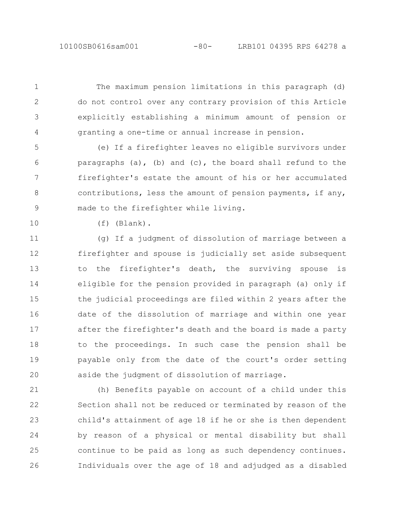The maximum pension limitations in this paragraph (d) do not control over any contrary provision of this Article explicitly establishing a minimum amount of pension or granting a one-time or annual increase in pension.

(e) If a firefighter leaves no eligible survivors under paragraphs (a), (b) and (c), the board shall refund to the firefighter's estate the amount of his or her accumulated contributions, less the amount of pension payments, if any, made to the firefighter while living. 5 6 7 8 9

10

1

2

3

4

(f) (Blank).

(g) If a judgment of dissolution of marriage between a firefighter and spouse is judicially set aside subsequent to the firefighter's death, the surviving spouse is eligible for the pension provided in paragraph (a) only if the judicial proceedings are filed within 2 years after the date of the dissolution of marriage and within one year after the firefighter's death and the board is made a party to the proceedings. In such case the pension shall be payable only from the date of the court's order setting aside the judgment of dissolution of marriage. 11 12 13 14 15 16 17 18 19 20

(h) Benefits payable on account of a child under this Section shall not be reduced or terminated by reason of the child's attainment of age 18 if he or she is then dependent by reason of a physical or mental disability but shall continue to be paid as long as such dependency continues. Individuals over the age of 18 and adjudged as a disabled 21 22 23 24 25 26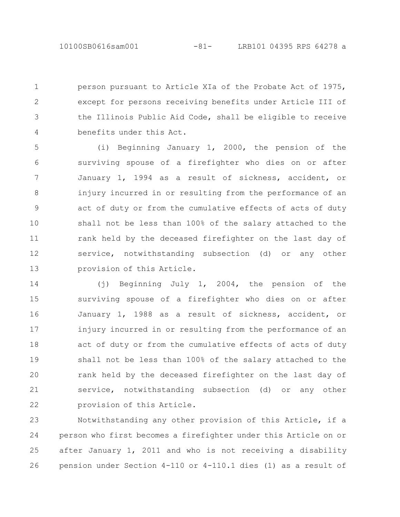person pursuant to Article XIa of the Probate Act of 1975, except for persons receiving benefits under Article III of the Illinois Public Aid Code, shall be eligible to receive benefits under this Act. 1 2 3 4

(i) Beginning January 1, 2000, the pension of the surviving spouse of a firefighter who dies on or after January 1, 1994 as a result of sickness, accident, or injury incurred in or resulting from the performance of an act of duty or from the cumulative effects of acts of duty shall not be less than 100% of the salary attached to the rank held by the deceased firefighter on the last day of service, notwithstanding subsection (d) or any other provision of this Article. 5 6 7 8 9 10 11 12 13

(j) Beginning July 1, 2004, the pension of the surviving spouse of a firefighter who dies on or after January 1, 1988 as a result of sickness, accident, or injury incurred in or resulting from the performance of an act of duty or from the cumulative effects of acts of duty shall not be less than 100% of the salary attached to the rank held by the deceased firefighter on the last day of service, notwithstanding subsection (d) or any other provision of this Article. 14 15 16 17 18 19 20 21 22

Notwithstanding any other provision of this Article, if a person who first becomes a firefighter under this Article on or after January 1, 2011 and who is not receiving a disability pension under Section 4-110 or 4-110.1 dies (1) as a result of 23 24 25 26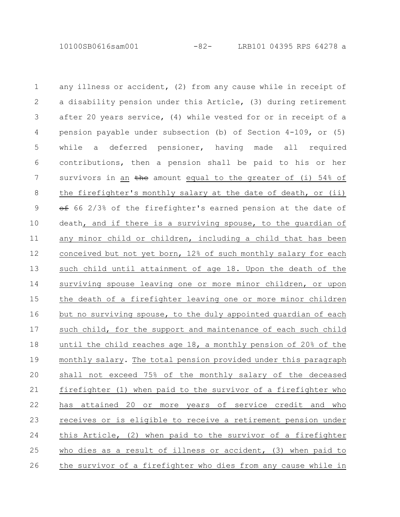10100SB0616sam001 -82- LRB101 04395 RPS 64278 a

any illness or accident, (2) from any cause while in receipt of a disability pension under this Article, (3) during retirement after 20 years service, (4) while vested for or in receipt of a pension payable under subsection (b) of Section 4-109, or (5) while a deferred pensioner, having made all required contributions, then a pension shall be paid to his or her survivors in an the amount equal to the greater of (i) 54% of the firefighter's monthly salary at the date of death, or (ii) of 66 2/3% of the firefighter's earned pension at the date of death, and if there is a surviving spouse, to the guardian of any minor child or children, including a child that has been conceived but not yet born, 12% of such monthly salary for each such child until attainment of age 18. Upon the death of the surviving spouse leaving one or more minor children, or upon the death of a firefighter leaving one or more minor children but no surviving spouse, to the duly appointed guardian of each such child, for the support and maintenance of each such child until the child reaches age 18, a monthly pension of 20% of the monthly salary. The total pension provided under this paragraph shall not exceed 75% of the monthly salary of the deceased firefighter (1) when paid to the survivor of a firefighter who has attained 20 or more years of service credit and who receives or is eligible to receive a retirement pension under this Article, (2) when paid to the survivor of a firefighter who dies as a result of illness or accident, (3) when paid to the survivor of a firefighter who dies from any cause while in 1 2 3 4 5 6 7 8 9 10 11 12 13 14 15 16 17 18 19 20 21 22 23 24 25 26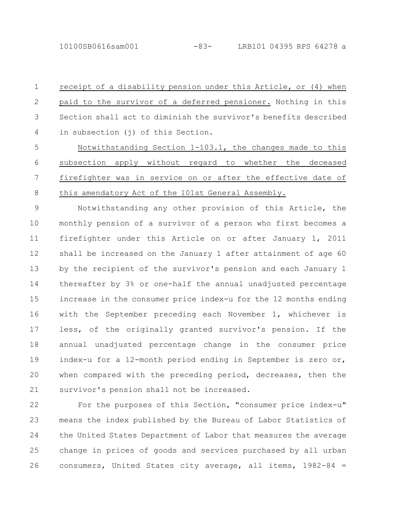10100SB0616sam001 -83- LRB101 04395 RPS 64278 a

receipt of a disability pension under this Article, or (4) when paid to the survivor of a deferred pensioner. Nothing in this Section shall act to diminish the survivor's benefits described in subsection (j) of this Section. 1 2 3 4

Notwithstanding Section 1-103.1, the changes made to this subsection apply without regard to whether the deceased firefighter was in service on or after the effective date of this amendatory Act of the 101st General Assembly. 5 6 7 8

Notwithstanding any other provision of this Article, the monthly pension of a survivor of a person who first becomes a firefighter under this Article on or after January 1, 2011 shall be increased on the January 1 after attainment of age 60 by the recipient of the survivor's pension and each January 1 thereafter by 3% or one-half the annual unadjusted percentage increase in the consumer price index-u for the 12 months ending with the September preceding each November 1, whichever is less, of the originally granted survivor's pension. If the annual unadjusted percentage change in the consumer price index-u for a 12-month period ending in September is zero or, when compared with the preceding period, decreases, then the survivor's pension shall not be increased. 9 10 11 12 13 14 15 16 17 18 19 20 21

For the purposes of this Section, "consumer price index-u" means the index published by the Bureau of Labor Statistics of the United States Department of Labor that measures the average change in prices of goods and services purchased by all urban consumers, United States city average, all items, 1982-84 = 22 23 24 25 26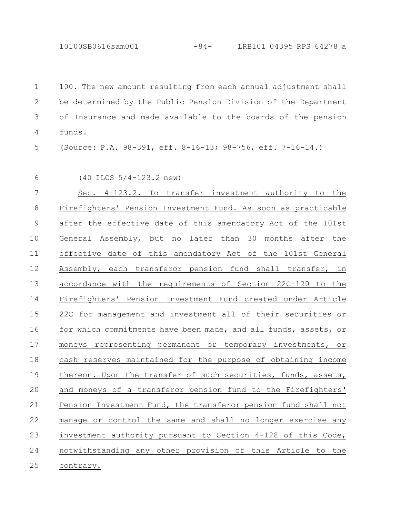10100SB0616sam001 -84- LRB101 04395 RPS 64278 a

100. The new amount resulting from each annual adjustment shall be determined by the Public Pension Division of the Department of Insurance and made available to the boards of the pension funds. 1 2 3 4

(Source: P.A. 98-391, eff. 8-16-13; 98-756, eff. 7-16-14.) 5

6

(40 ILCS 5/4-123.2 new)

Sec. 4-123.2. To transfer investment authority to the Firefighters' Pension Investment Fund. As soon as practicable after the effective date of this amendatory Act of the 101st General Assembly, but no later than 30 months after the effective date of this amendatory Act of the 101st General Assembly, each transferor pension fund shall transfer, in accordance with the requirements of Section 22C-120 to the Firefighters' Pension Investment Fund created under Article 22C for management and investment all of their securities or for which commitments have been made, and all funds, assets, or moneys representing permanent or temporary investments, or cash reserves maintained for the purpose of obtaining income thereon. Upon the transfer of such securities, funds, assets, and moneys of a transferor pension fund to the Firefighters' Pension Investment Fund, the transferor pension fund shall not manage or control the same and shall no longer exercise any investment authority pursuant to Section 4-128 of this Code, notwithstanding any other provision of this Article to the contrary. 7 8 9 10 11 12 13 14 15 16 17 18 19 20 21 22 23 24 25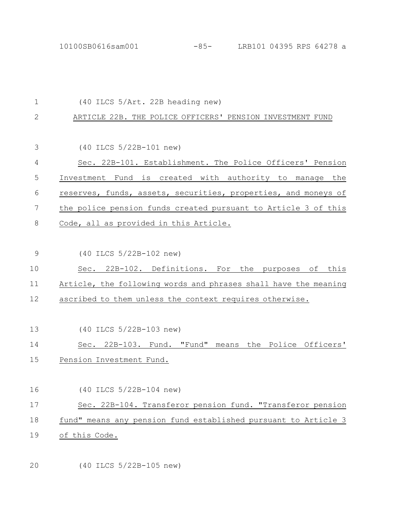10100SB0616sam001 -85- LRB101 04395 RPS 64278 a

| 1            | (40 ILCS 5/Art. 22B heading new)                                |
|--------------|-----------------------------------------------------------------|
| $\mathbf{2}$ | ARTICLE 22B. THE POLICE OFFICERS' PENSION INVESTMENT FUND       |
|              |                                                                 |
| 3            | (40 ILCS 5/22B-101 new)                                         |
| 4            | Sec. 22B-101. Establishment. The Police Officers' Pension       |
| 5            | Investment Fund is created with authority to manage the         |
| 6            | reserves, funds, assets, securities, properties, and moneys of  |
| 7            | the police pension funds created pursuant to Article 3 of this  |
| 8            | Code, all as provided in this Article.                          |
|              |                                                                 |
| 9            | (40 ILCS 5/22B-102 new)                                         |
| 10           | Sec. 22B-102. Definitions. For the purposes of this             |
| 11           | Article, the following words and phrases shall have the meaning |
| 12           | ascribed to them unless the context requires otherwise.         |
|              |                                                                 |
| 13           | (40 ILCS 5/22B-103 new)                                         |
| 14           | Sec. 22B-103. Fund. "Fund" means the Police Officers'           |
| 15           | Pension Investment Fund.                                        |
|              |                                                                 |
| 16           | (40 ILCS 5/22B-104 new)                                         |
| 17           | Sec. 22B-104. Transferor pension fund. "Transferor pension      |
| 18           | fund" means any pension fund established pursuant to Article 3  |
| 19           | of this Code.                                                   |
|              |                                                                 |

(40 ILCS 5/22B-105 new) 20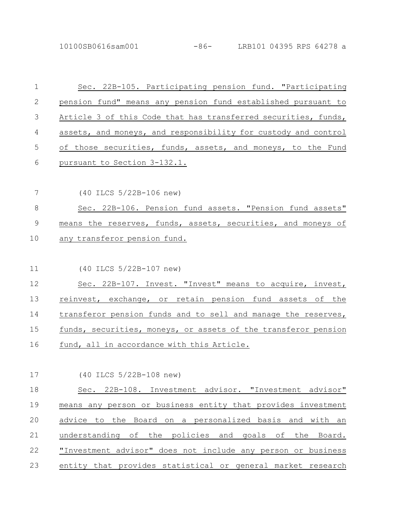10100SB0616sam001 -86- LRB101 04395 RPS 64278 a

| $\mathbf 1$ | Sec. 22B-105. Participating pension fund. "Participating       |
|-------------|----------------------------------------------------------------|
| 2           | pension fund" means any pension fund established pursuant to   |
| 3           | Article 3 of this Code that has transferred securities, funds, |
| 4           | assets, and moneys, and responsibility for custody and control |
| 5           | of those securities, funds, assets, and moneys, to the Fund    |
| 6           | <u>pursuant to Section 3-132.1.</u>                            |
| 7           | (40 ILCS 5/22B-106 new)                                        |
| 8           | Sec. 22B-106. Pension fund assets. "Pension fund assets"       |
| $\mathsf 9$ | means the reserves, funds, assets, securities, and moneys of   |
| 10          | any transferor pension fund.                                   |
|             |                                                                |
| 11          | (40 ILCS 5/22B-107 new)                                        |
| 12          | Sec. 22B-107. Invest. "Invest" means to acquire, invest,       |
| 13          | reinvest, exchange, or retain pension fund assets of the       |
| 14          | transferor pension funds and to sell and manage the reserves,  |
| 15          | funds, securities, moneys, or assets of the transferor pension |
| 16          | fund, all in accordance with this Article.                     |
|             |                                                                |
| 17          | (40 ILCS 5/22B-108 new)                                        |
| 18          | Sec. 22B-108. Investment advisor. "Investment advisor"         |
| 19          | means any person or business entity that provides investment   |
| 20          | advice to the Board on a personalized basis and with an        |
| 21          | understanding of the policies and goals of the Board.          |
| 22          | "Investment advisor" does not include any person or business   |
|             |                                                                |

- 10
- 11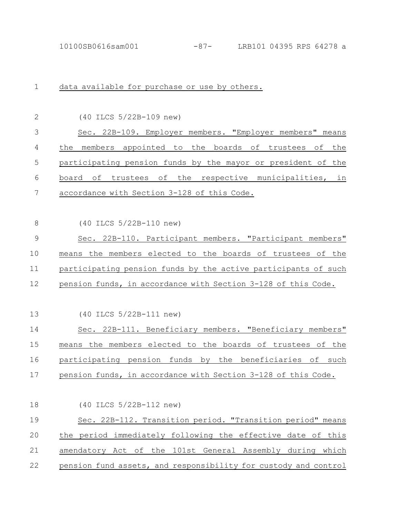data available for purchase or use by others. 1

(40 ILCS 5/22B-109 new) Sec. 22B-109. Employer members. "Employer members" means the members appointed to the boards of trustees of the participating pension funds by the mayor or president of the board of trustees of the respective municipalities, in accordance with Section 3-128 of this Code. 2 3 4 5 6 7

(40 ILCS 5/22B-110 new) 8 9

Sec. 22B-110. Participant members. "Participant members" means the members elected to the boards of trustees of the participating pension funds by the active participants of such pension funds, in accordance with Section 3-128 of this Code. 10 11 12

## (40 ILCS 5/22B-111 new) 13

Sec. 22B-111. Beneficiary members. "Beneficiary members" means the members elected to the boards of trustees of the participating pension funds by the beneficiaries of such pension funds, in accordance with Section 3-128 of this Code. 14 15 16 17

| 18 | (40 ILCS 5/22B-112 new)                                         |
|----|-----------------------------------------------------------------|
| 19 | Sec. 22B-112. Transition period. "Transition period" means      |
| 20 | the period immediately following the effective date of this     |
| 21 | amendatory Act of the 101st General Assembly during which       |
| 22 | pension fund assets, and responsibility for custody and control |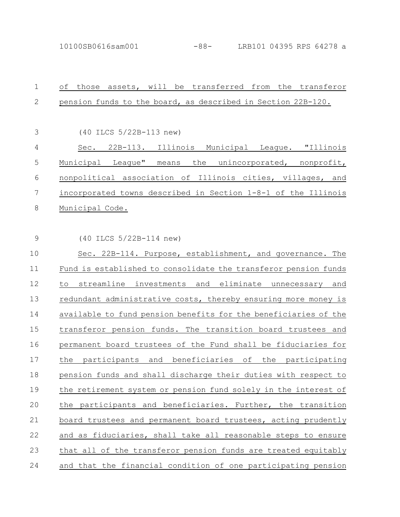10100SB0616sam001 -88- LRB101 04395 RPS 64278 a

| $\mathbf 1$   | of those assets, will be transferred from the transferor        |
|---------------|-----------------------------------------------------------------|
| $\mathbf{2}$  | pension funds to the board, as described in Section 22B-120.    |
|               |                                                                 |
| 3             | (40 ILCS 5/22B-113 new)                                         |
| 4             | Sec. 22B-113. Illinois Municipal League. "Illinois              |
| 5             | Municipal League" means the unincorporated, nonprofit,          |
| 6             | nonpolitical association of Illinois cities, villages, and      |
| 7             | incorporated towns described in Section 1-8-1 of the Illinois   |
| 8             | Municipal Code.                                                 |
|               |                                                                 |
| $\mathcal{G}$ | (40 ILCS 5/22B-114 new)                                         |
| 10            | Sec. 22B-114. Purpose, establishment, and governance. The       |
| 11            | Fund is established to consolidate the transferor pension funds |
| 12            | streamline investments and eliminate unnecessary and<br>to      |
| 13            | redundant administrative costs, thereby ensuring more money is  |
| 14            | available to fund pension benefits for the beneficiaries of the |
| 15            | transferor pension funds. The transition board trustees and     |
| 16            | permanent board trustees of the Fund shall be fiduciaries for   |
| 17            | participants and beneficiaries of the participating<br>the      |
| 18            | pension funds and shall discharge their duties with respect to  |
| 19            | the retirement system or pension fund solely in the interest of |
| 20            | the participants and beneficiaries. Further, the transition     |
| 21            | board trustees and permanent board trustees, acting prudently   |
| 22            | and as fiduciaries, shall take all reasonable steps to ensure   |
| 23            | that all of the transferor pension funds are treated equitably  |
| 24            | and that the financial condition of one participating pension   |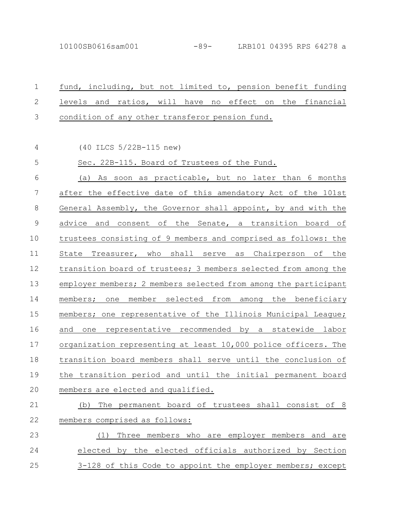10100SB0616sam001 -89- LRB101 04395 RPS 64278 a

fund, including, but not limited to, pension benefit funding levels and ratios, will have no effect on the financial condition of any other transferor pension fund. 1 2 3

(40 ILCS 5/22B-115 new) 4

Sec. 22B-115. Board of Trustees of the Fund. 5

(a) As soon as practicable, but no later than 6 months after the effective date of this amendatory Act of the 101st General Assembly, the Governor shall appoint, by and with the advice and consent of the Senate, a transition board of trustees consisting of 9 members and comprised as follows: the State Treasurer, who shall serve as Chairperson of the transition board of trustees; 3 members selected from among the employer members; 2 members selected from among the participant members; one member selected from among the beneficiary members; one representative of the Illinois Municipal League; and one representative recommended by a statewide labor organization representing at least 10,000 police officers. The transition board members shall serve until the conclusion of the transition period and until the initial permanent board members are elected and qualified. 6 7 8 9 10 11 12 13 14 15 16 17 18 19 20

## (b) The permanent board of trustees shall consist of 8 members comprised as follows: 21 22

(1) Three members who are employer members and are elected by the elected officials authorized by Section 3-128 of this Code to appoint the employer members; except 23 24 25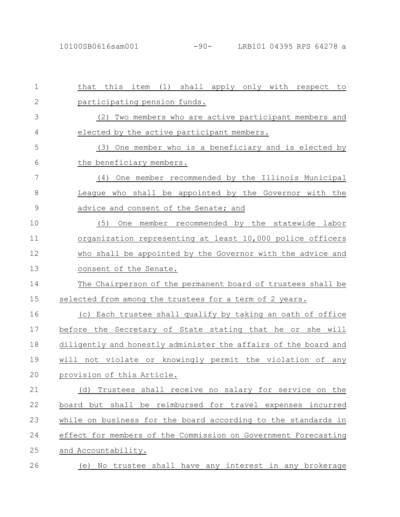| $\mathbf{1}$  | that this item (1) shall apply only with respect to             |
|---------------|-----------------------------------------------------------------|
| $\mathbf{2}$  | participating pension funds.                                    |
| 3             | (2) Two members who are active participant members and          |
| 4             | elected by the active participant members.                      |
| 5             | (3) One member who is a beneficiary and is elected by           |
| 6             | the beneficiary members.                                        |
|               |                                                                 |
| 7             | One member recommended by the Illinois Municipal<br>(4)         |
| 8             | League who shall be appointed by the Governor with the          |
| $\mathcal{G}$ | advice and consent of the Senate; and                           |
| 10            | (5)<br>member recommended by the statewide labor<br>One         |
| 11            | organization representing at least 10,000 police officers       |
| 12            | who shall be appointed by the Governor with the advice and      |
| 13            | consent of the Senate.                                          |
| 14            | The Chairperson of the permanent board of trustees shall be     |
| 15            | selected from among the trustees for a term of 2 years.         |
| 16            | (c) Each trustee shall qualify by taking an oath of office      |
| 17            | before the Secretary of State stating that he or she will       |
| 18            | diligently and honestly administer the affairs of the board and |
| 19            | will not violate or knowingly permit the violation of<br>any    |
| 20            | provision of this Article.                                      |
| 21            | (d) Trustees shall receive no salary for service on the         |
| 22            | board but shall be reimbursed for travel expenses incurred      |
| 23            | while on business for the board according to the standards in   |
| 24            | effect for members of the Commission on Government Forecasting  |
| 25            | and Accountability.                                             |
| 26            | (e) No trustee shall have any interest in any brokerage         |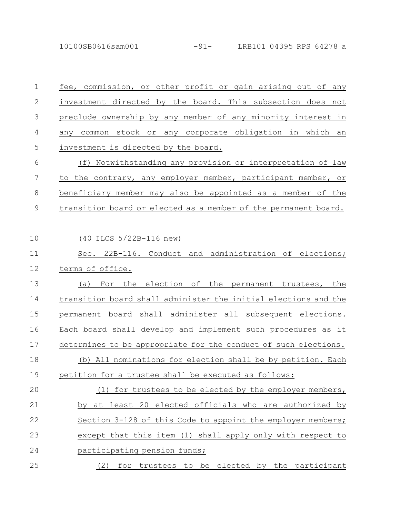10100SB0616sam001 -91- LRB101 04395 RPS 64278 a

fee, commission, or other profit or gain arising out of any investment directed by the board. This subsection does not preclude ownership by any member of any minority interest in any common stock or any corporate obligation in which an investment is directed by the board. (f) Notwithstanding any provision or interpretation of law to the contrary, any employer member, participant member, or beneficiary member may also be appointed as a member of the transition board or elected as a member of the permanent board. (40 ILCS 5/22B-116 new) Sec. 22B-116. Conduct and administration of elections; terms of office. (a) For the election of the permanent trustees, the transition board shall administer the initial elections and the permanent board shall administer all subsequent elections. Each board shall develop and implement such procedures as it determines to be appropriate for the conduct of such elections. (b) All nominations for election shall be by petition. Each petition for a trustee shall be executed as follows: (1) for trustees to be elected by the employer members, by at least 20 elected officials who are authorized by Section 3-128 of this Code to appoint the employer members; except that this item (1) shall apply only with respect to participating pension funds; (2) for trustees to be elected by the participant 1 2 3 4 5 6 7 8 9 10 11 12 13 14 15 16 17 18 19 20 21 22 23 24 25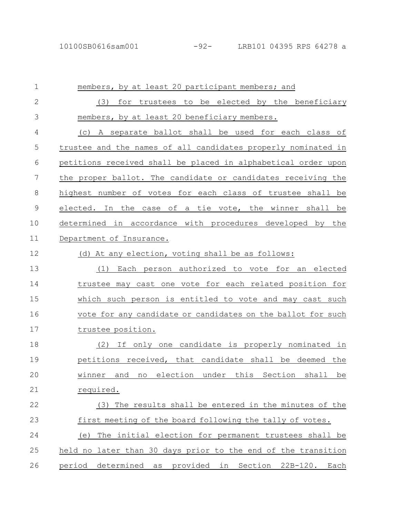| $\mathbf{1}$ | members, by at least 20 participant members; and              |
|--------------|---------------------------------------------------------------|
| $\mathbf{2}$ | (3) for trustees to be elected by the beneficiary             |
| 3            | members, by at least 20 beneficiary members.                  |
| 4            | (c) A separate ballot shall be used for each class of         |
| 5            | trustee and the names of all candidates properly nominated in |
| 6            | petitions received shall be placed in alphabetical order upon |
| 7            | the proper ballot. The candidate or candidates receiving the  |
| 8            | highest number of votes for each class of trustee shall be    |
| 9            | elected. In the case of a tie vote, the winner shall be       |
| 10           | determined in accordance with procedures developed by the     |
| 11           | Department of Insurance.                                      |
| 12           | (d) At any election, voting shall be as follows:              |
| 13           | Each person authorized to vote for an elected<br>(1)          |
| 14           | trustee may cast one vote for each related position for       |
| 15           | which such person is entitled to vote and may cast such       |
| 16           | vote for any candidate or candidates on the ballot for such   |
| 17           | trustee position.                                             |
| 18           | If only one candidate is properly nominated in<br>(2)         |
| 19           | petitions received, that candidate shall be deemed the        |
| 20           | winner and no election under this Section shall be            |
| 21           | required.                                                     |
| 22           | (3) The results shall be entered in the minutes of the        |
| 23           | first meeting of the board following the tally of votes.      |
| 24           | (e) The initial election for permanent trustees shall be      |
| 25           | held no later than 30 days prior to the end of the transition |
| 26           | period determined as provided in Section 22B-120. Each        |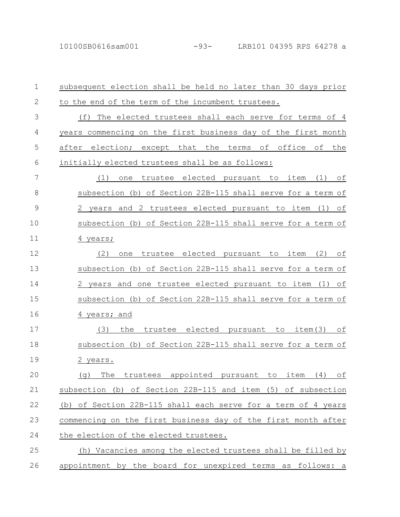| 1            | subsequent election shall be held no later than 30 days prior |
|--------------|---------------------------------------------------------------|
| $\mathbf{2}$ | to the end of the term of the incumbent trustees.             |
| 3            | The elected trustees shall each serve for terms of 4<br>(f)   |
| 4            | years commencing on the first business day of the first month |
| 5            | after election; except that the terms of office of the        |
| 6            | initially elected trustees shall be as follows:               |
| 7            | (1)<br>one trustee elected pursuant to item (1) of            |
| 8            | subsection (b) of Section 22B-115 shall serve for a term of   |
| 9            | 2 years and 2 trustees elected pursuant to item (1)<br>оf     |
| 10           | subsection (b) of Section 22B-115 shall serve for a term of   |
| 11           | 4 years;                                                      |
| 12           | $(2)$ of<br>(2)<br>one trustee elected pursuant to item       |
| 13           | subsection (b) of Section 22B-115 shall serve for a term of   |
| 14           | 2 years and one trustee elected pursuant to item (1) of       |
| 15           | subsection (b) of Section 22B-115 shall serve for a term of   |
| 16           | 4 years; and                                                  |
| 17           | (3)<br>the<br>trustee elected pursuant<br>to item(3)<br>оf    |
| 18           | subsection (b) of Section 22B-115 shall serve for a term of   |
| 19           | 2 years.                                                      |
| 20           | item (4) of<br>(g) The trustees appointed<br>pursuant to      |
| 21           | subsection (b) of Section 22B-115 and item (5) of subsection  |
| 22           | (b) of Section 22B-115 shall each serve for a term of 4 years |
| 23           | commencing on the first business day of the first month after |
| 24           | the election of the elected trustees.                         |
| 25           | (h) Vacancies among the elected trustees shall be filled by   |
| 26           | appointment by the board for unexpired terms as follows: a    |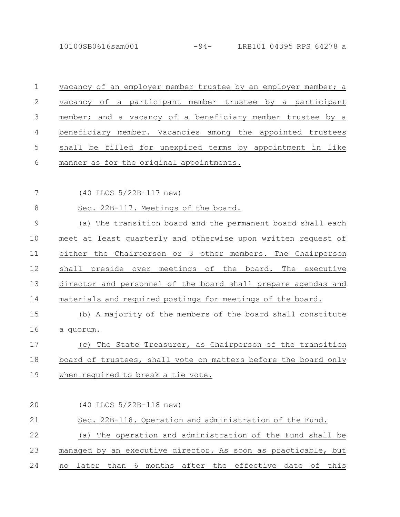10100SB0616sam001 -94- LRB101 04395 RPS 64278 a

| $\mathbf 1$   | vacancy of an employer member trustee by an employer member; a |
|---------------|----------------------------------------------------------------|
| $\mathbf{2}$  | vacancy of a participant member trustee by a participant       |
| 3             | member; and a vacancy of a beneficiary member trustee by a     |
| 4             | beneficiary member. Vacancies among the appointed trustees     |
| 5             | shall be filled for unexpired terms by appointment in like     |
| 6             | manner as for the original appointments.                       |
| 7             | (40 ILCS 5/22B-117 new)                                        |
| 8             | Sec. 22B-117. Meetings of the board.                           |
| $\mathcal{G}$ | (a) The transition board and the permanent board shall each    |
| 10            | meet at least quarterly and otherwise upon written request of  |
| 11            | either the Chairperson or 3 other members. The Chairperson     |
| 12            | shall preside over meetings of the board. The executive        |
| 13            | director and personnel of the board shall prepare agendas and  |
| 14            | materials and required postings for meetings of the board.     |
| 15            | (b) A majority of the members of the board shall constitute    |
| 16            | a quorum.                                                      |
| 17            | (c) The State Treasurer, as Chairperson of the transition      |
| 18            | board of trustees, shall vote on matters before the board only |
| 19            | when required to break a tie vote.                             |
| 20            | (40 ILCS 5/22B-118 new)                                        |
| 21            | Sec. 22B-118. Operation and administration of the Fund.        |
| 22            | The operation and administration of the Fund shall be<br>(a)   |
| 23            | managed by an executive director. As soon as practicable, but  |
| 24            | later than 6 months after the effective date of this<br>no     |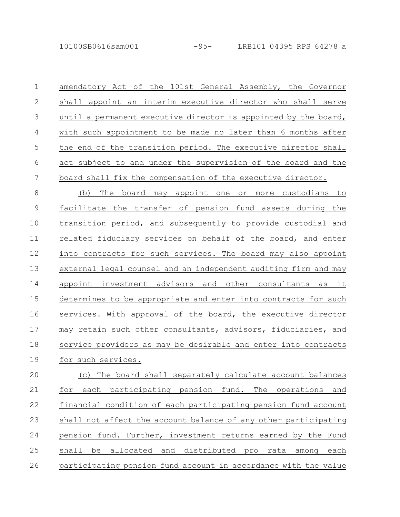| $\mathbf 1$ | amendatory Act of the 101st General Assembly, the Governor      |
|-------------|-----------------------------------------------------------------|
| 2           | shall appoint an interim executive director who shall serve     |
| 3           | until a permanent executive director is appointed by the board, |
| 4           | with such appointment to be made no later than 6 months after   |
| 5           | the end of the transition period. The executive director shall  |
| 6           | act subject to and under the supervision of the board and the   |
| 7           | board shall fix the compensation of the executive director.     |
| 8           | The board may appoint one or more custodians to<br>(b)          |
| 9           | facilitate the transfer of pension fund assets during the       |
| 10          | transition period, and subsequently to provide custodial and    |
| 11          | related fiduciary services on behalf of the board, and enter    |
| 12          | into contracts for such services. The board may also appoint    |

external legal counsel and an independent auditing firm and may appoint investment advisors and other consultants as it determines to be appropriate and enter into contracts for such services. With approval of the board, the executive director may retain such other consultants, advisors, fiduciaries, and service providers as may be desirable and enter into contracts for such services. 12 13 14 15 16 17 18 19

(c) The board shall separately calculate account balances for each participating pension fund. The operations and financial condition of each participating pension fund account shall not affect the account balance of any other participating pension fund. Further, investment returns earned by the Fund shall be allocated and distributed pro rata among each participating pension fund account in accordance with the value 20 21 22 23 24 25 26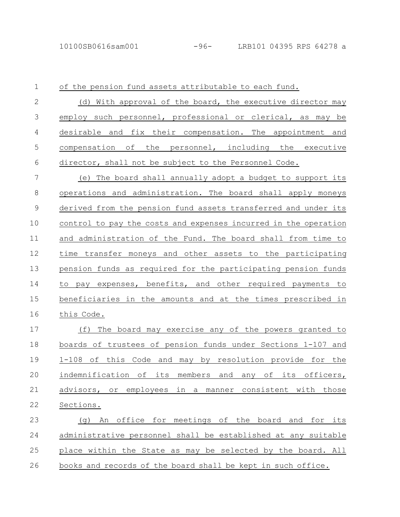| 1            | of the pension fund assets attributable to each fund.           |
|--------------|-----------------------------------------------------------------|
| $\mathbf{2}$ | (d) With approval of the board, the executive director may      |
| 3            | employ such personnel, professional or clerical, as may be      |
| 4            | desirable and fix their compensation. The appointment and       |
| 5            | compensation of the personnel, including the executive          |
| 6            | director, shall not be subject to the Personnel Code.           |
| 7            | (e) The board shall annually adopt a budget to support its      |
| 8            | operations and administration. The board shall apply moneys     |
| $\mathsf 9$  | derived from the pension fund assets transferred and under its  |
| 10           | control to pay the costs and expenses incurred in the operation |
| 11           | and administration of the Fund. The board shall from time to    |
| 12           | time transfer moneys and other assets to the participating      |
| 13           | pension funds as required for the participating pension funds   |
| 14           | to pay expenses, benefits, and other required payments to       |
| 15           | beneficiaries in the amounts and at the times prescribed in     |
| 16           | this Code.                                                      |
| 17           | (f) The board may exercise any of the powers granted to         |
| 18           | boards of trustees of pension funds under Sections 1-107 and    |
| 19           | 1-108 of this Code and may by resolution provide for the        |
| 20           | indemnification of its members and any of its officers,         |
| 21           | advisors, or employees in a manner consistent with those        |
| 22           | Sections.                                                       |
| 23           | An office for meetings of the board and for its<br>(q)          |
| 24           | administrative personnel shall be established at any suitable   |
| 25           | place within the State as may be selected by the board. All     |
| 26           | books and records of the board shall be kept in such office.    |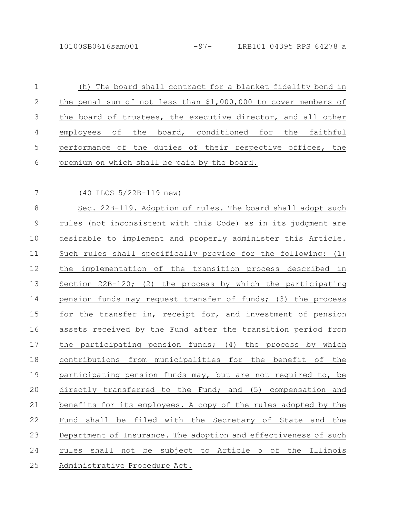10100SB0616sam001 -97- LRB101 04395 RPS 64278 a

(h) The board shall contract for a blanket fidelity bond in the penal sum of not less than \$1,000,000 to cover members of the board of trustees, the executive director, and all other employees of the board, conditioned for the faithful performance of the duties of their respective offices, the premium on which shall be paid by the board. 1 2 3 4 5 6

7

(40 ILCS 5/22B-119 new)

Sec. 22B-119. Adoption of rules. The board shall adopt such rules (not inconsistent with this Code) as in its judgment are desirable to implement and properly administer this Article. Such rules shall specifically provide for the following: (1) the implementation of the transition process described in Section 22B-120; (2) the process by which the participating pension funds may request transfer of funds; (3) the process for the transfer in, receipt for, and investment of pension assets received by the Fund after the transition period from the participating pension funds; (4) the process by which contributions from municipalities for the benefit of the participating pension funds may, but are not required to, be directly transferred to the Fund; and (5) compensation and benefits for its employees. A copy of the rules adopted by the Fund shall be filed with the Secretary of State and the Department of Insurance. The adoption and effectiveness of such rules shall not be subject to Article 5 of the Illinois Administrative Procedure Act. 8 9 10 11 12 13 14 15 16 17 18 19 20 21 22 23 24 25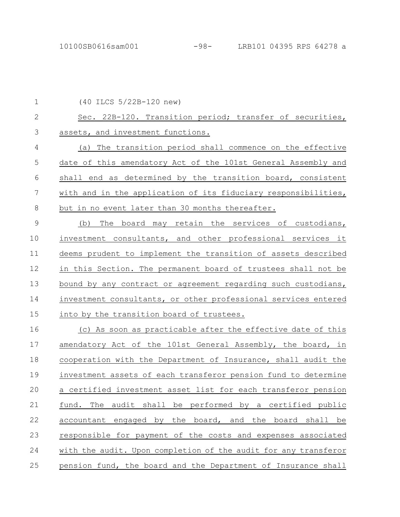| $\mathbf 1$    | (40 ILCS 5/22B-120 new)                                         |
|----------------|-----------------------------------------------------------------|
| $\mathbf{2}$   | Sec. 22B-120. Transition period; transfer of securities,        |
| 3              | assets, and investment functions.                               |
| 4              | (a) The transition period shall commence on the effective       |
| 5              | date of this amendatory Act of the 101st General Assembly and   |
| 6              | shall end as determined by the transition board, consistent     |
| 7              | with and in the application of its fiduciary responsibilities,  |
| $8\,$          | but in no event later than 30 months thereafter.                |
| $\overline{9}$ | The board may retain the services of custodians,<br>(b)         |
| 10             | investment consultants, and other professional services it      |
| 11             | deems prudent to implement the transition of assets described   |
| 12             | in this Section. The permanent board of trustees shall not be   |
| 13             | bound by any contract or agreement regarding such custodians,   |
| 14             | investment consultants, or other professional services entered  |
| 15             | into by the transition board of trustees.                       |
| 16             | (c) As soon as practicable after the effective date of this     |
| 17             | amendatory Act of the 101st General Assembly, the board, in     |
| 18             | cooperation with the Department of Insurance, shall audit the   |
| 19             | investment assets of each transferor pension fund to determine  |
| 20             | a certified investment asset list for each transferor pension   |
| 21             | The audit shall be performed by a certified public<br>fund.     |
| 22             | accountant engaged by the board, and the board shall be         |
| 23             | responsible for payment of the costs and expenses associated    |
| 24             | with the audit. Upon completion of the audit for any transferor |
| 25             | pension fund, the board and the Department of Insurance shall   |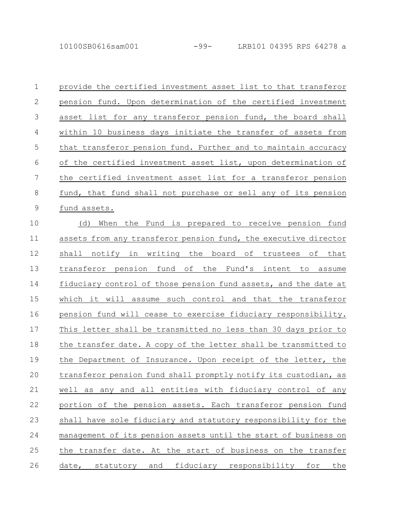10100SB0616sam001 -99- LRB101 04395 RPS 64278 a

| $\mathbf{1}$ | provide the certified investment asset list to that transferor  |
|--------------|-----------------------------------------------------------------|
| $\mathbf{2}$ | pension fund. Upon determination of the certified investment    |
| 3            | asset list for any transferor pension fund, the board shall     |
| 4            | within 10 business days initiate the transfer of assets from    |
| 5            | that transferor pension fund. Further and to maintain accuracy  |
| $\epsilon$   | of the certified investment asset list, upon determination of   |
| 7            | the certified investment asset list for a transferor pension    |
| $\,8\,$      | fund, that fund shall not purchase or sell any of its pension   |
| $\mathsf 9$  | fund assets.                                                    |
| 10           | When the Fund is prepared to receive pension fund<br>(d)        |
| 11           | assets from any transferor pension fund, the executive director |
| 12           | shall notify in writing the board of trustees of that           |
| 13           | transferor pension fund of the Fund's intent to assume          |
| 14           | fiduciary control of those pension fund assets, and the date at |
| 15           | which it will assume such control and that the transferor       |
| 16           | pension fund will cease to exercise fiduciary responsibility.   |
| 17           | This letter shall be transmitted no less than 30 days prior to  |
| 18           | the transfer date. A copy of the letter shall be transmitted to |
| 19           | the Department of Insurance. Upon receipt of the letter, the    |
| 20           | transferor pension fund shall promptly notify its custodian, as |
| 21           | well as any and all entities with fiduciary control of any      |
| 22           | portion of the pension assets. Each transferor pension fund     |
| 23           | shall have sole fiduciary and statutory responsibility for the  |
| 24           | management of its pension assets until the start of business on |
| 25           | the transfer date. At the start of business on the transfer     |
| 26           | date, statutory and fiduciary responsibility<br>for<br>the      |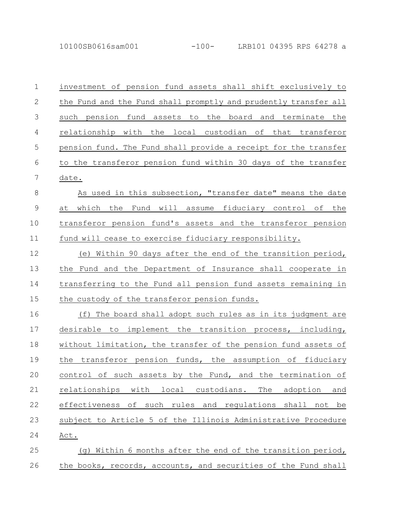10100SB0616sam001 -100- LRB101 04395 RPS 64278 a

| 1            | investment of pension fund assets shall shift exclusively to    |
|--------------|-----------------------------------------------------------------|
| $\mathbf{2}$ | the Fund and the Fund shall promptly and prudently transfer all |
| 3            | fund assets to the board and terminate the<br>such pension      |
| 4            | relationship with the local custodian of that transferor        |
| 5            | pension fund. The Fund shall provide a receipt for the transfer |
| 6            | to the transferor pension fund within 30 days of the transfer   |
| 7            | date.                                                           |
| $8\,$        | As used in this subsection, "transfer date" means the date      |
| $\mathsf 9$  | which the Fund will assume fiduciary control of the<br>at       |
| 10           | transferor pension fund's assets and the transferor pension     |
| 11           | fund will cease to exercise fiduciary responsibility.           |
| 12           | (e) Within 90 days after the end of the transition period,      |
| 13           | the Fund and the Department of Insurance shall cooperate in     |
| 14           | transferring to the Fund all pension fund assets remaining in   |
| 15           | the custody of the transferor pension funds.                    |
| 16           | The board shall adopt such rules as in its judgment are<br>(f)  |
| 17           | desirable to implement the transition process, including,       |
| 18           | without limitation, the transfer of the pension fund assets of  |
| 19           | the transferor pension funds, the assumption of fiduciary       |
| 20           | control of such assets by the Fund, and the termination of      |
| 21           | relationships with local custodians.<br>The<br>adoption<br>and  |
| 22           | effectiveness of such rules and regulations shall not be        |
| 23           | subject to Article 5 of the Illinois Administrative Procedure   |
| 24           | Act.                                                            |
| 25           | (q) Within 6 months after the end of the transition period,     |
| 26           | the books, records, accounts, and securities of the Fund shall  |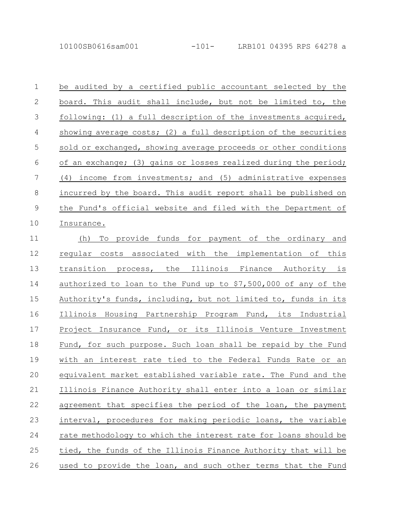10100SB0616sam001 -101- LRB101 04395 RPS 64278 a

be audited by a certified public accountant selected by the board. This audit shall include, but not be limited to, the following: (1) a full description of the investments acquired, showing average costs; (2) a full description of the securities sold or exchanged, showing average proceeds or other conditions of an exchange; (3) gains or losses realized during the period; (4) income from investments; and (5) administrative expenses incurred by the board. This audit report shall be published on the Fund's official website and filed with the Department of Insurance. 1 2 3 4 5 6 7 8 9 10

(h) To provide funds for payment of the ordinary and regular costs associated with the implementation of this transition process, the Illinois Finance Authority is authorized to loan to the Fund up to \$7,500,000 of any of the Authority's funds, including, but not limited to, funds in its Illinois Housing Partnership Program Fund, its Industrial Project Insurance Fund, or its Illinois Venture Investment Fund, for such purpose. Such loan shall be repaid by the Fund with an interest rate tied to the Federal Funds Rate or an equivalent market established variable rate. The Fund and the Illinois Finance Authority shall enter into a loan or similar agreement that specifies the period of the loan, the payment interval, procedures for making periodic loans, the variable rate methodology to which the interest rate for loans should be tied, the funds of the Illinois Finance Authority that will be used to provide the loan, and such other terms that the Fund 11 12 13 14 15 16 17 18 19 20 21 22 23 24 25 26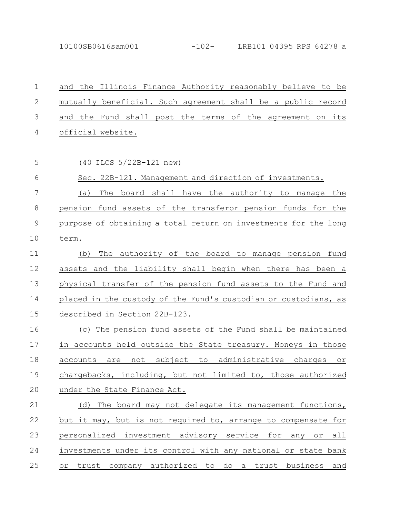10100SB0616sam001 -102- LRB101 04395 RPS 64278 a

and the Illinois Finance Authority reasonably believe to be mutually beneficial. Such agreement shall be a public record and the Fund shall post the terms of the agreement on its official website. 1 2 3 4

(40 ILCS 5/22B-121 new) 5

Sec. 22B-121. Management and direction of investments. (a) The board shall have the authority to manage the pension fund assets of the transferor pension funds for the purpose of obtaining a total return on investments for the long 6 7 8 9

term. 10

(b) The authority of the board to manage pension fund assets and the liability shall begin when there has been a physical transfer of the pension fund assets to the Fund and placed in the custody of the Fund's custodian or custodians, as described in Section 22B-123. 11 12 13 14 15

(c) The pension fund assets of the Fund shall be maintained in accounts held outside the State treasury. Moneys in those accounts are not subject to administrative charges or chargebacks, including, but not limited to, those authorized under the State Finance Act. 16 17 18 19 20

(d) The board may not delegate its management functions, but it may, but is not required to, arrange to compensate for personalized investment advisory service for any or all investments under its control with any national or state bank or trust company authorized to do a trust business and 21 22 23 24 25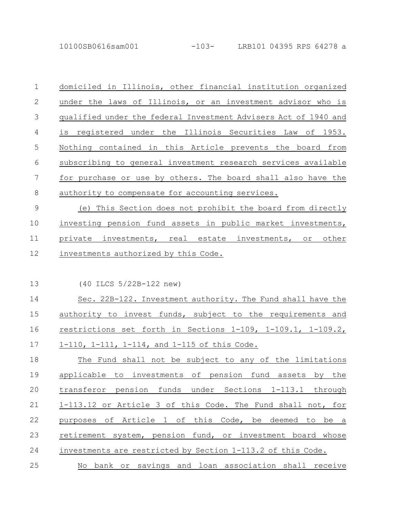10100SB0616sam001 -103- LRB101 04395 RPS 64278 a

| $\mathbf 1$    | domiciled in Illinois, other financial institution organized    |
|----------------|-----------------------------------------------------------------|
| 2              | under the laws of Illinois, or an investment advisor who is     |
| 3              | qualified under the federal Investment Advisers Act of 1940 and |
| $\overline{4}$ | is registered under the Illinois Securities Law of 1953.        |
| 5              | Nothing contained in this Article prevents the board from       |
| 6              | subscribing to general investment research services available   |
| 7              | for purchase or use by others. The board shall also have the    |
| 8              | authority to compensate for accounting services.                |
| 9              | (e) This Section does not prohibit the board from directly      |

investing pension fund assets in public market investments, private investments, real estate investments, or other investments authorized by this Code. 10 11 12

13

(40 ILCS 5/22B-122 new)

Sec. 22B-122. Investment authority. The Fund shall have the authority to invest funds, subject to the requirements and restrictions set forth in Sections 1-109, 1-109.1, 1-109.2, 1-110, 1-111, 1-114, and 1-115 of this Code. 14 15 16 17

The Fund shall not be subject to any of the limitations applicable to investments of pension fund assets by the transferor pension funds under Sections 1-113.1 through 1-113.12 or Article 3 of this Code. The Fund shall not, for purposes of Article 1 of this Code, be deemed to be a retirement system, pension fund, or investment board whose investments are restricted by Section 1-113.2 of this Code. No bank or savings and loan association shall receive 18 19 20 21 22 23 24 25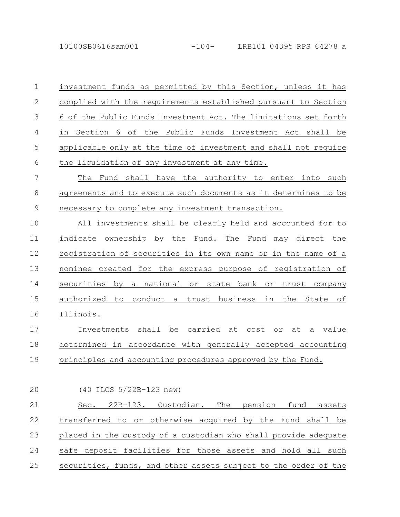10100SB0616sam001 -104- LRB101 04395 RPS 64278 a

investment funds as permitted by this Section, unless it has complied with the requirements established pursuant to Section 6 of the Public Funds Investment Act. The limitations set forth in Section 6 of the Public Funds Investment Act shall be applicable only at the time of investment and shall not require the liquidation of any investment at any time. The Fund shall have the authority to enter into such 1 2 3 4 5 6 7

agreements and to execute such documents as it determines to be necessary to complete any investment transaction. 8 9

All investments shall be clearly held and accounted for to indicate ownership by the Fund. The Fund may direct the registration of securities in its own name or in the name of a nominee created for the express purpose of registration of securities by a national or state bank or trust company authorized to conduct a trust business in the State of Illinois. 10 11 12 13 14 15 16

Investments shall be carried at cost or at a value determined in accordance with generally accepted accounting principles and accounting procedures approved by the Fund. 17 18 19

| 20 | (40 ILCS 5/22B-123 new)                                         |
|----|-----------------------------------------------------------------|
| 21 | Sec. 22B-123. Custodian.<br>The<br>pension fund assets          |
| 22 | transferred to or otherwise acquired by the Fund shall be       |
| 23 | placed in the custody of a custodian who shall provide adequate |
| 24 | safe deposit facilities for those assets and hold all such      |
| 25 | securities, funds, and other assets subject to the order of the |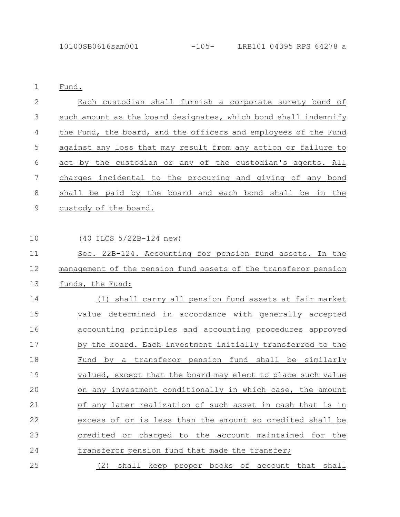Fund. 1

| 2  | Each custodian shall furnish a corporate surety bond of         |
|----|-----------------------------------------------------------------|
| 3  | such amount as the board designates, which bond shall indemnify |
| 4  | the Fund, the board, and the officers and employees of the Fund |
| .5 | against any loss that may result from any action or failure to  |
| 6  | act by the custodian or any of the custodian's agents. All      |
| 7  | charges incidental to the procuring and giving of any bond      |
| 8  | shall be paid by the board and each bond shall be in the        |
| 9  | custody of the board.                                           |

(40 ILCS 5/22B-124 new) 10

## Sec. 22B-124. Accounting for pension fund assets. In the management of the pension fund assets of the transferor pension funds, the Fund: 11 12 13

| 14 | shall carry all pension fund assets at fair market<br>(1)   |
|----|-------------------------------------------------------------|
| 15 | value determined in accordance with generally accepted      |
| 16 | accounting principles and accounting procedures approved    |
| 17 | by the board. Each investment initially transferred to the  |
| 18 | Fund by a transferor pension fund shall be similarly        |
| 19 | valued, except that the board may elect to place such value |
| 20 | on any investment conditionally in which case, the amount   |
| 21 | of any later realization of such asset in cash that is in   |
| 22 | excess of or is less than the amount so credited shall be   |
| 23 | credited or charged to the account maintained for the       |
| 24 | transferor pension fund that made the transfer;             |
| 25 | (2) shall keep proper books of account that shall           |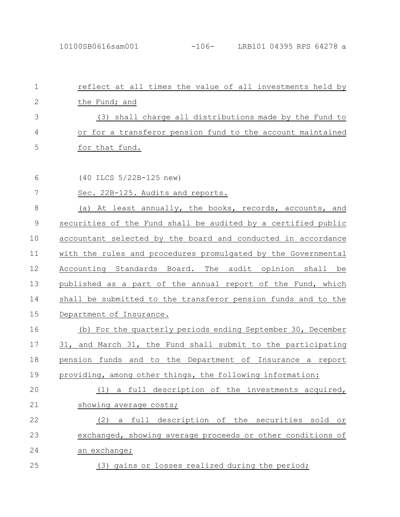| $\mathbf 1$  | reflect at all times the value of all investments held by     |
|--------------|---------------------------------------------------------------|
| $\mathbf{2}$ | the Fund; and                                                 |
| 3            | (3) shall charge all distributions made by the Fund to        |
| 4            | or for a transferor pension fund to the account maintained    |
| 5            | for that fund.                                                |
|              |                                                               |
| 6            | (40 ILCS 5/22B-125 new)                                       |
| 7            | Sec. 22B-125. Audits and reports.                             |
| 8            | (a) At least annually, the books, records, accounts, and      |
| $\mathsf 9$  | securities of the Fund shall be audited by a certified public |
| 10           | accountant selected by the board and conducted in accordance  |
| 11           | with the rules and procedures promulgated by the Governmental |
| 12           | Accounting Standards Board. The audit opinion shall be        |
| 13           | published as a part of the annual report of the Fund, which   |
| 14           | shall be submitted to the transferor pension funds and to the |
| 15           | Department of Insurance.                                      |
| 16           | (b) For the quarterly periods ending September 30, December   |
| 17           | 31, and March 31, the Fund shall submit to the participating  |
| 18           | pension funds and to the Department of Insurance a report     |
| 19           | providing, among other things, the following information:     |
| 20           | a full description of the investments acquired,<br>(1)        |
| 21           | showing average costs;                                        |
| 22           | full description of the securities sold or<br>(2)<br>a        |
| 23           | exchanged, showing average proceeds or other conditions of    |
| 24           | an exchange;                                                  |
| 25           | (3) gains or losses realized during the period;               |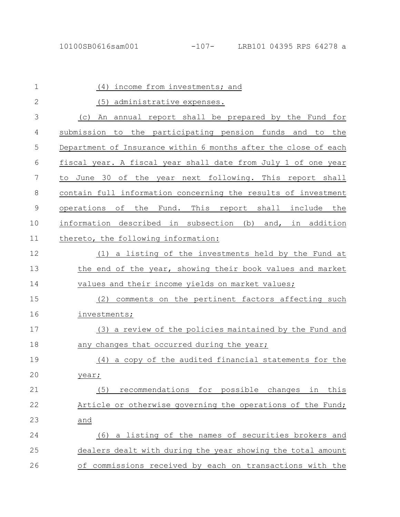| (c) An annual report shall be prepared by the Fund for          |
|-----------------------------------------------------------------|
| submission to the participating pension funds and to the        |
| Department of Insurance within 6 months after the close of each |
| fiscal year. A fiscal year shall date from July 1 of one year   |
| of the year next following. This report shall                   |
| contain full information concerning the results of investment   |
| the Fund. This report shall include the                         |
| information described in subsection (b) and, in addition        |
|                                                                 |
|                                                                 |
| a listing of the investments held by the Fund at                |
| the end of the year, showing their book values and market       |
|                                                                 |
| comments on the pertinent factors affecting such                |
|                                                                 |
| (3) a review of the policies maintained by the Fund and         |
|                                                                 |
| a copy of the audited financial statements for the              |
|                                                                 |
| in this                                                         |
| Article or otherwise governing the operations of the Fund;      |
|                                                                 |
| (6) a listing of the names of securities brokers and            |
| dealers dealt with during the year showing the total amount     |
| of commissions received by each on transactions with the        |
|                                                                 |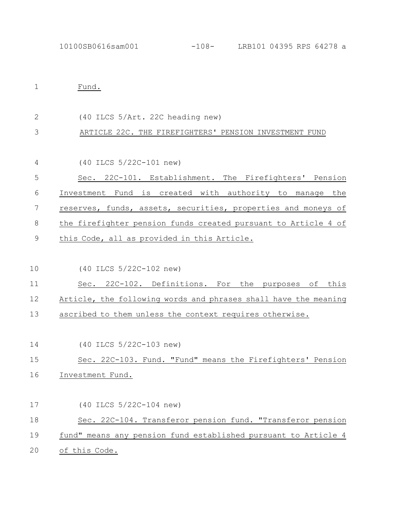| 1                    | Fund.                                                                                                                                                                                                        |
|----------------------|--------------------------------------------------------------------------------------------------------------------------------------------------------------------------------------------------------------|
| $\mathbf{2}$<br>3    | (40 ILCS 5/Art. 22C heading new)<br>ARTICLE 22C. THE FIREFIGHTERS' PENSION INVESTMENT FUND                                                                                                                   |
| 4                    | (40 ILCS 5/22C-101 new)                                                                                                                                                                                      |
| 5                    | Sec. 22C-101. Establishment. The Firefighters' Pension                                                                                                                                                       |
| 6                    | Investment Fund is created with authority to manage the                                                                                                                                                      |
| 7                    | reserves, funds, assets, securities, properties and moneys of                                                                                                                                                |
| 8                    | the firefighter pension funds created pursuant to Article 4 of                                                                                                                                               |
| 9                    | this Code, all as provided in this Article.                                                                                                                                                                  |
| 10<br>11<br>12<br>13 | (40 ILCS 5/22C-102 new)<br>Sec. 22C-102. Definitions. For the purposes of this<br>Article, the following words and phrases shall have the meaning<br>ascribed to them unless the context requires otherwise. |
| 14                   | (40 ILCS 5/22C-103 new)                                                                                                                                                                                      |
| 15                   | Sec. 22C-103. Fund. "Fund" means the Firefighters' Pension                                                                                                                                                   |
| 16                   | Investment Fund.                                                                                                                                                                                             |
| 17<br>18             | (40 ILCS 5/22C-104 new)<br>Sec. 22C-104. Transferor pension fund. "Transferor pension                                                                                                                        |
| 19                   | fund" means any pension fund established pursuant to Article 4                                                                                                                                               |
| 20                   | of this Code.                                                                                                                                                                                                |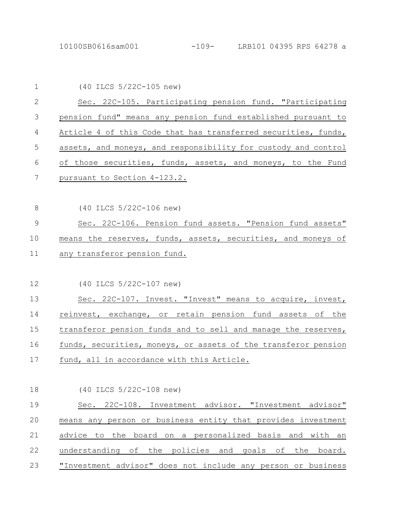| $\mathbf 1$  | (40 ILCS 5/22C-105 new)                                        |
|--------------|----------------------------------------------------------------|
| $\mathbf{2}$ | Sec. 22C-105. Participating pension fund. "Participating       |
| 3            | pension fund" means any pension fund established pursuant to   |
| 4            | Article 4 of this Code that has transferred securities, funds, |
| 5            | assets, and moneys, and responsibility for custody and control |
| 6            | of those securities, funds, assets, and moneys, to the Fund    |
| 7            | pursuant to Section 4-123.2.                                   |
| 8            | (40 ILCS 5/22C-106 new)                                        |
| $\mathsf 9$  | Sec. 22C-106. Pension fund assets. "Pension fund assets"       |
| 10           | means the reserves, funds, assets, securities, and moneys of   |
| 11           | any transferor pension fund.                                   |
| 12           | (40 ILCS 5/22C-107 new)                                        |
| 13           | Sec. 22C-107. Invest. "Invest" means to acquire, invest,       |
| 14           | reinvest, exchange, or retain pension fund assets of the       |
| 15           | transferor pension funds and to sell and manage the reserves,  |
| 16           | funds, securities, moneys, or assets of the transferor pension |
| 17           | fund, all in accordance with this Article.                     |
| 18           | (40 ILCS 5/22C-108 new)                                        |
| 19           | Sec. 22C-108. Investment advisor. "Investment advisor"         |
| 20           | means any person or business entity that provides investment   |
| 21           | advice to the board on a personalized basis and with an        |
| 22           | understanding of the policies and goals of the board.          |
| 23           | "Investment advisor" does not include any person or business   |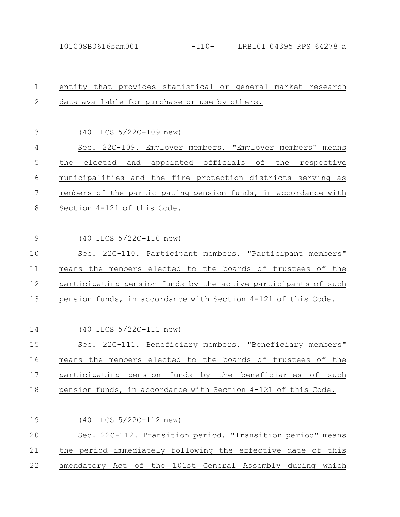10100SB0616sam001 -110- LRB101 04395 RPS 64278 a

## entity that provides statistical or general market research data available for purchase or use by others. (40 ILCS 5/22C-109 new) Sec. 22C-109. Employer members. "Employer members" means the elected and appointed officials of the respective municipalities and the fire protection districts serving as members of the participating pension funds, in accordance with Section 4-121 of this Code. (40 ILCS 5/22C-110 new) Sec. 22C-110. Participant members. "Participant members" means the members elected to the boards of trustees of the participating pension funds by the active participants of such pension funds, in accordance with Section 4-121 of this Code. (40 ILCS 5/22C-111 new) Sec. 22C-111. Beneficiary members. "Beneficiary members" means the members elected to the boards of trustees of the participating pension funds by the beneficiaries of such pension funds, in accordance with Section 4-121 of this Code. (40 ILCS 5/22C-112 new) Sec. 22C-112. Transition period. "Transition period" means the period immediately following the effective date of this amendatory Act of the 101st General Assembly during which 1 2 3 4 5 6 7 8 9 10 11 12 13 14 15 16 17 18 19 20 21 22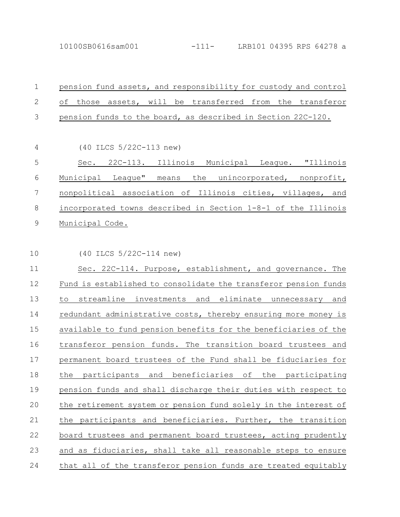10100SB0616sam001 -111- LRB101 04395 RPS 64278 a

pension fund assets, and responsibility for custody and control of those assets, will be transferred from the transferor pension funds to the board, as described in Section 22C-120. 1 2 3

(40 ILCS 5/22C-113 new) 4

Sec. 22C-113. Illinois Municipal League. "Illinois Municipal League" means the unincorporated, nonprofit, nonpolitical association of Illinois cities, villages, and incorporated towns described in Section 1-8-1 of the Illinois Municipal Code. 5 6 7 8 9

(40 ILCS 5/22C-114 new) 10

Sec. 22C-114. Purpose, establishment, and governance. The Fund is established to consolidate the transferor pension funds to streamline investments and eliminate unnecessary and redundant administrative costs, thereby ensuring more money is available to fund pension benefits for the beneficiaries of the transferor pension funds. The transition board trustees and permanent board trustees of the Fund shall be fiduciaries for the participants and beneficiaries of the participating pension funds and shall discharge their duties with respect to the retirement system or pension fund solely in the interest of the participants and beneficiaries. Further, the transition board trustees and permanent board trustees, acting prudently and as fiduciaries, shall take all reasonable steps to ensure that all of the transferor pension funds are treated equitably 11 12 13 14 15 16 17 18 19 20 21 22 23 24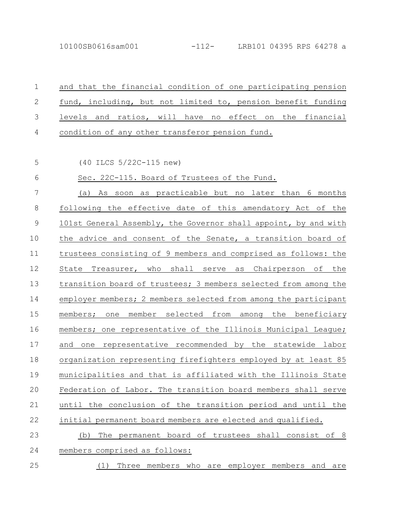10100SB0616sam001 -112- LRB101 04395 RPS 64278 a

## and that the financial condition of one participating pension fund, including, but not limited to, pension benefit funding levels and ratios, will have no effect on the financial condition of any other transferor pension fund. 1 2 3 4

(40 ILCS 5/22C-115 new) 5

25

Sec. 22C-115. Board of Trustees of the Fund. (a) As soon as practicable but no later than 6 months following the effective date of this amendatory Act of the 101st General Assembly, the Governor shall appoint, by and with the advice and consent of the Senate, a transition board of trustees consisting of 9 members and comprised as follows: the State Treasurer, who shall serve as Chairperson of the transition board of trustees; 3 members selected from among the employer members; 2 members selected from among the participant members; one member selected from among the beneficiary members; one representative of the Illinois Municipal League; and one representative recommended by the statewide labor organization representing firefighters employed by at least 85 municipalities and that is affiliated with the Illinois State Federation of Labor. The transition board members shall serve until the conclusion of the transition period and until the initial permanent board members are elected and qualified. (b) The permanent board of trustees shall consist of 8 members comprised as follows: 6 7 8 9 10 11 12 13 14 15 16 17 18 19 20 21 22 23 24

(1) Three members who are employer members and are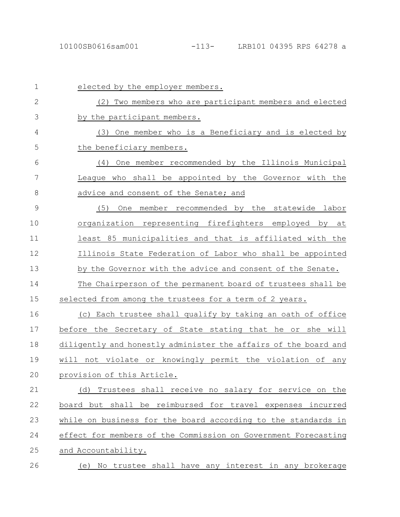| $\mathbf 1$   | elected by the employer members.                                |
|---------------|-----------------------------------------------------------------|
| $\mathbf{2}$  | Two members who are participant members and elected<br>(2)      |
| 3             | by the participant members.                                     |
| 4             | (3) One member who is a Beneficiary and is elected by           |
| 5             | the beneficiary members.                                        |
| 6             | One member recommended by the Illinois Municipal<br>(4)         |
| 7             | League who shall be appointed by the Governor with the          |
| 8             | advice and consent of the Senate; and                           |
| $\mathcal{G}$ | (5)<br>One member recommended by the statewide labor            |
| 10            | organization representing firefighters employed by at           |
| 11            | least 85 municipalities and that is affiliated with the         |
| 12            | Illinois State Federation of Labor who shall be appointed       |
| 13            | by the Governor with the advice and consent of the Senate.      |
| 14            | The Chairperson of the permanent board of trustees shall be     |
| 15            | selected from among the trustees for a term of 2 years.         |
| 16            | (c) Each trustee shall qualify by taking an oath of office      |
| 17            | before the Secretary of State stating that he or she will       |
| 18            | diligently and honestly administer the affairs of the board and |
| 19            | not violate or knowingly permit the violation of<br>will<br>any |
| 20            | provision of this Article.                                      |
| 21            | Trustees shall receive no salary for service on the<br>(d)      |
| 22            | board but shall be reimbursed for travel expenses incurred      |
| 23            | while on business for the board according to the standards in   |
| 24            | effect for members of the Commission on Government Forecasting  |
| 25            | and Accountability.                                             |
| 26            | (e) No trustee shall have any interest in any brokerage         |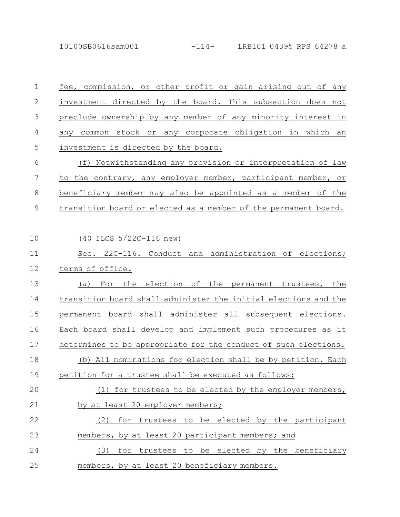10100SB0616sam001 -114- LRB101 04395 RPS 64278 a

fee, commission, or other profit or gain arising out of any investment directed by the board. This subsection does not preclude ownership by any member of any minority interest in any common stock or any corporate obligation in which an investment is directed by the board. (f) Notwithstanding any provision or interpretation of law to the contrary, any employer member, participant member, or beneficiary member may also be appointed as a member of the transition board or elected as a member of the permanent board. (40 ILCS 5/22C-116 new) Sec. 22C-116. Conduct and administration of elections; terms of office. (a) For the election of the permanent trustees, the transition board shall administer the initial elections and the permanent board shall administer all subsequent elections. Each board shall develop and implement such procedures as it determines to be appropriate for the conduct of such elections. (b) All nominations for election shall be by petition. Each petition for a trustee shall be executed as follows: (1) for trustees to be elected by the employer members, by at least 20 employer members; (2) for trustees to be elected by the participant members, by at least 20 participant members; and (3) for trustees to be elected by the beneficiary members, by at least 20 beneficiary members. 1 2 3 4 5 6 7 8 9 10 11 12 13 14 15 16 17 18 19 20 21 22 23 24 25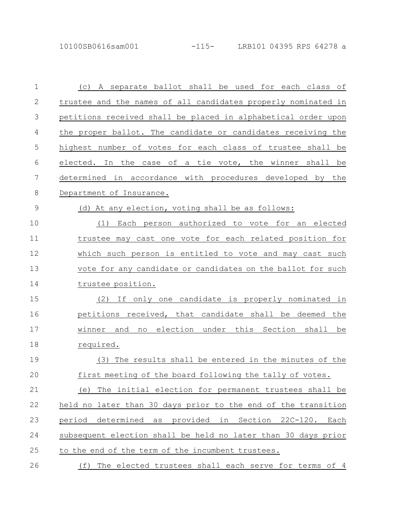|  | (c) A separate ballot shall be used for each class of                                                                         |  |  |  |  |
|--|-------------------------------------------------------------------------------------------------------------------------------|--|--|--|--|
|  | trustee and the names of all candidates properly nominated in                                                                 |  |  |  |  |
|  | petitions received shall be placed in alphabetical order upon<br>the proper ballot. The candidate or candidates receiving the |  |  |  |  |
|  |                                                                                                                               |  |  |  |  |

1

2

3

4

5

9

elected. In the case of a tie vote, the winner shall be determined in accordance with procedures developed by the Department of Insurance. 6 7 8

highest number of votes for each class of trustee shall be

(d) At any election, voting shall be as follows:

(1) Each person authorized to vote for an elected trustee may cast one vote for each related position for which such person is entitled to vote and may cast such vote for any candidate or candidates on the ballot for such trustee position. 10 11 12 13 14

(2) If only one candidate is properly nominated in petitions received, that candidate shall be deemed the winner and no election under this Section shall be required. 15 16 17 18

## (3) The results shall be entered in the minutes of the first meeting of the board following the tally of votes. 19 20

(e) The initial election for permanent trustees shall be held no later than 30 days prior to the end of the transition period determined as provided in Section 22C-120. Each subsequent election shall be held no later than 30 days prior to the end of the term of the incumbent trustees. 21 22 23 24 25

(f) The elected trustees shall each serve for terms of 4 26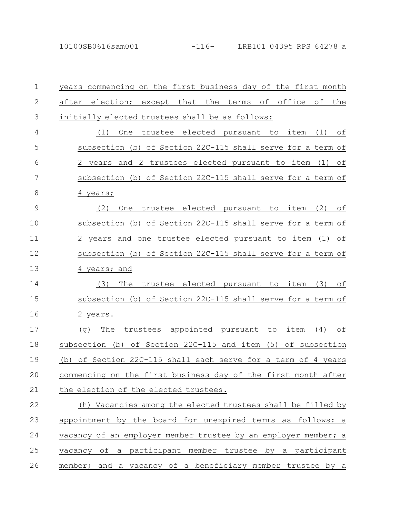10100SB0616sam001 -116- LRB101 04395 RPS 64278 a

| $\mathbf 1$    | years commencing on the first business day of the first month    |
|----------------|------------------------------------------------------------------|
| $\mathbf{2}$   | after election; except that the terms of office of<br>the        |
| 3              | initially elected trustees shall be as follows:                  |
| $\overline{4}$ | trustee elected pursuant to item (1)<br>оf<br>(1)<br>One         |
| 5              | subsection (b) of Section 22C-115 shall serve for a term of      |
| 6              | 2 years and 2 trustees elected pursuant to item (1) of           |
| 7              | subsection (b) of Section 22C-115 shall serve for a term of      |
| $8\,$          | 4 years;                                                         |
| $\mathcal{G}$  | (2)<br>(2)<br>trustee elected pursuant to item<br>оf<br>0ne      |
| 10             | subsection (b) of Section 22C-115 shall serve for a term of      |
| 11             | 2 years and one trustee elected pursuant to item (1) of          |
| 12             | subsection (b) of Section 22C-115 shall serve for a term of      |
| 13             | 4 years; and                                                     |
| 14             | The<br>оf<br>(3)<br>trustee elected pursuant to item<br>(3)      |
| 15             | subsection (b) of Section 22C-115 shall serve for a term of      |
| 16             | 2 years.                                                         |
| 17             | The<br>(4)<br>оf<br>trustees appointed pursuant to item<br>(q)   |
| 18             | subsection (b) of Section 22C-115 and item (5) of subsection     |
| 19             | of Section 22C-115 shall each serve for a term of 4 years<br>(b) |
| 20             | commencing on the first business day of the first month after    |
| 21             | the election of the elected trustees.                            |
| 22             | (h) Vacancies among the elected trustees shall be filled by      |
| 23             | appointment by the board for unexpired terms as follows: a       |
| 24             | vacancy of an employer member trustee by an employer member; a   |
| 25             | vacancy of a participant member trustee by a participant         |
| 26             | member; and a vacancy of a beneficiary member trustee by a       |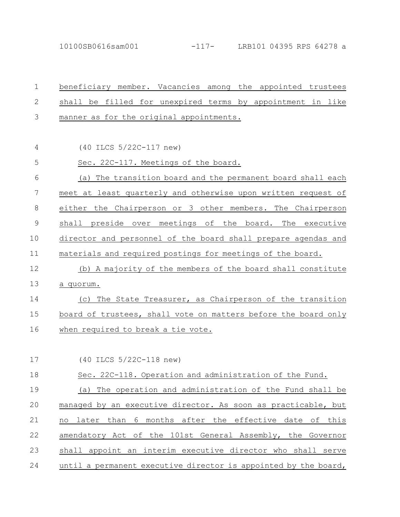10100SB0616sam001 -117- LRB101 04395 RPS 64278 a

beneficiary member. Vacancies among the appointed trustees shall be filled for unexpired terms by appointment in like manner as for the original appointments. (40 ILCS 5/22C-117 new) Sec. 22C-117. Meetings of the board. (a) The transition board and the permanent board shall each meet at least quarterly and otherwise upon written request of either the Chairperson or 3 other members. The Chairperson shall preside over meetings of the board. The executive director and personnel of the board shall prepare agendas and materials and required postings for meetings of the board. (b) A majority of the members of the board shall constitute a quorum. (c) The State Treasurer, as Chairperson of the transition board of trustees, shall vote on matters before the board only when required to break a tie vote. (40 ILCS 5/22C-118 new) Sec. 22C-118. Operation and administration of the Fund. (a) The operation and administration of the Fund shall be managed by an executive director. As soon as practicable, but no later than 6 months after the effective date of this amendatory Act of the 101st General Assembly, the Governor shall appoint an interim executive director who shall serve until a permanent executive director is appointed by the board, 1 2 3 4 5 6 7 8 9 10 11 12 13 14 15 16 17 18 19 20 21 22 23 24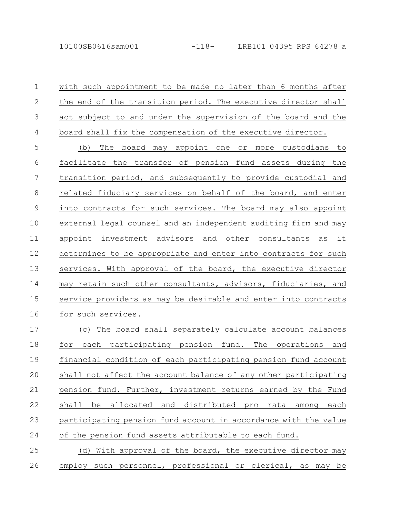| $\mathbf{1}$  | with such appointment to be made no later than 6 months after  |
|---------------|----------------------------------------------------------------|
|               | the end of the transition period. The executive director shall |
| $\mathcal{S}$ | act subject to and under the supervision of the board and the  |
| 4             | board shall fix the compensation of the executive director.    |

(b) The board may appoint one or more custodians to facilitate the transfer of pension fund assets during the transition period, and subsequently to provide custodial and related fiduciary services on behalf of the board, and enter into contracts for such services. The board may also appoint external legal counsel and an independent auditing firm and may appoint investment advisors and other consultants as it determines to be appropriate and enter into contracts for such services. With approval of the board, the executive director may retain such other consultants, advisors, fiduciaries, and service providers as may be desirable and enter into contracts for such services. 5 6 7 8 9 10 11 12 13 14 15 16

(c) The board shall separately calculate account balances for each participating pension fund. The operations and financial condition of each participating pension fund account shall not affect the account balance of any other participating pension fund. Further, investment returns earned by the Fund shall be allocated and distributed pro rata among each participating pension fund account in accordance with the value of the pension fund assets attributable to each fund. 17 18 19 20 21 22 23 24

(d) With approval of the board, the executive director may employ such personnel, professional or clerical, as may be 25 26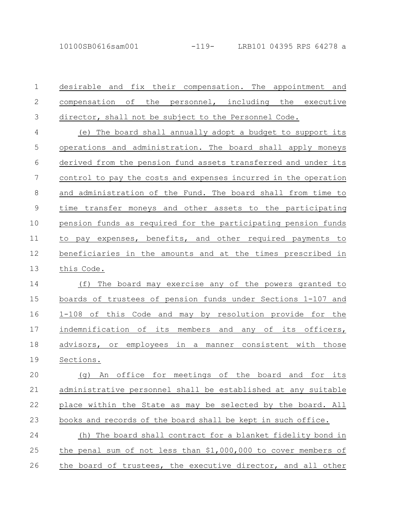desirable and fix their compensation. The appointment and compensation of the personnel, including the executive director, shall not be subject to the Personnel Code. 1 2 3

(e) The board shall annually adopt a budget to support its operations and administration. The board shall apply moneys derived from the pension fund assets transferred and under its control to pay the costs and expenses incurred in the operation and administration of the Fund. The board shall from time to time transfer moneys and other assets to the participating pension funds as required for the participating pension funds to pay expenses, benefits, and other required payments to beneficiaries in the amounts and at the times prescribed in this Code. 4 5 6 7 8 9 10 11 12 13

(f) The board may exercise any of the powers granted to boards of trustees of pension funds under Sections 1-107 and 1-108 of this Code and may by resolution provide for the indemnification of its members and any of its officers, advisors, or employees in a manner consistent with those Sections. 14 15 16 17 18 19

(g) An office for meetings of the board and for its administrative personnel shall be established at any suitable place within the State as may be selected by the board. All books and records of the board shall be kept in such office. (h) The board shall contract for a blanket fidelity bond in the penal sum of not less than \$1,000,000 to cover members of 20 21 22 23 24 25

the board of trustees, the executive director, and all other 26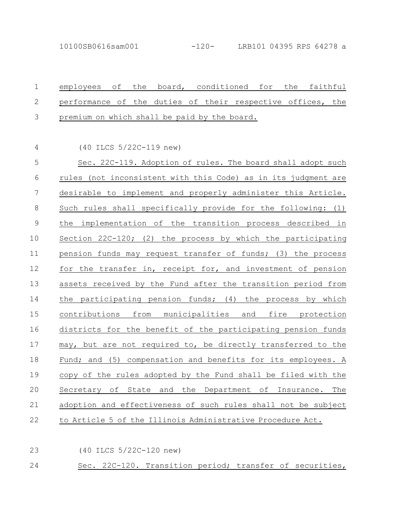10100SB0616sam001 -120- LRB101 04395 RPS 64278 a

employees of the board, conditioned for the faithful performance of the duties of their respective offices, the premium on which shall be paid by the board. 1 2 3

(40 ILCS 5/22C-119 new) 4

Sec. 22C-119. Adoption of rules. The board shall adopt such rules (not inconsistent with this Code) as in its judgment are desirable to implement and properly administer this Article. Such rules shall specifically provide for the following: (1) the implementation of the transition process described in Section 22C-120; (2) the process by which the participating pension funds may request transfer of funds; (3) the process for the transfer in, receipt for, and investment of pension assets received by the Fund after the transition period from the participating pension funds; (4) the process by which contributions from municipalities and fire protection districts for the benefit of the participating pension funds may, but are not required to, be directly transferred to the Fund; and (5) compensation and benefits for its employees. A copy of the rules adopted by the Fund shall be filed with the Secretary of State and the Department of Insurance. The adoption and effectiveness of such rules shall not be subject to Article 5 of the Illinois Administrative Procedure Act. 5 6 7 8 9 10 11 12 13 14 15 16 17 18 19 20 21 22

(40 ILCS 5/22C-120 new) 23

Sec. 22C-120. Transition period; transfer of securities, 24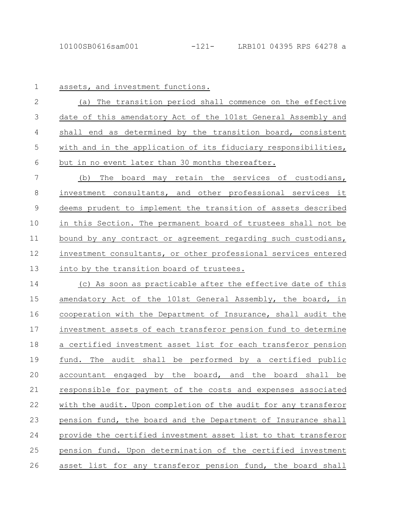| $\mathbf 1$  | assets, and investment functions.                               |
|--------------|-----------------------------------------------------------------|
| $\mathbf{2}$ | (a) The transition period shall commence on the effective       |
| 3            | date of this amendatory Act of the 101st General Assembly and   |
| 4            | shall end as determined by the transition board, consistent     |
| 5            | with and in the application of its fiduciary responsibilities,  |
| 6            | but in no event later than 30 months thereafter.                |
| 7            | The board may retain the services of custodians,<br>(b)         |
| 8            | investment consultants, and other professional services it      |
| $\mathsf 9$  | deems prudent to implement the transition of assets described   |
| 10           | in this Section. The permanent board of trustees shall not be   |
| 11           | bound by any contract or agreement regarding such custodians,   |
| 12           | investment consultants, or other professional services entered  |
| 13           | into by the transition board of trustees.                       |
| 14           | (c) As soon as practicable after the effective date of this     |
| 15           | amendatory Act of the 101st General Assembly, the board, in     |
| 16           | cooperation with the Department of Insurance, shall audit the   |
| 17           | investment assets of each transferor pension fund to determine  |
| 18           | a certified investment asset list for each transferor pension   |
| 19           | fund. The audit shall be performed by a certified public        |
| 20           | accountant engaged by the board, and the board shall be         |
| 21           | responsible for payment of the costs and expenses associated    |
| 22           | with the audit. Upon completion of the audit for any transferor |
| 23           | pension fund, the board and the Department of Insurance shall   |
| 24           | provide the certified investment asset list to that transferor  |
| 25           | pension fund. Upon determination of the certified investment    |
| 26           | asset list for any transferor pension fund, the board shall     |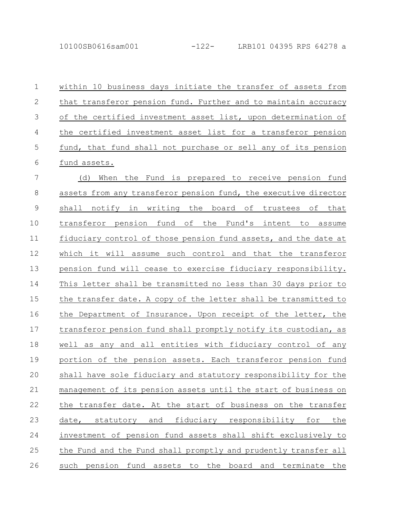within 10 business days initiate the transfer of assets from that transferor pension fund. Further and to maintain accuracy of the certified investment asset list, upon determination of the certified investment asset list for a transferor pension fund, that fund shall not purchase or sell any of its pension fund assets. 1 2 3 4 5 6

(d) When the Fund is prepared to receive pension fund assets from any transferor pension fund, the executive director shall notify in writing the board of trustees of that transferor pension fund of the Fund's intent to assume fiduciary control of those pension fund assets, and the date at which it will assume such control and that the transferor pension fund will cease to exercise fiduciary responsibility. This letter shall be transmitted no less than 30 days prior to the transfer date. A copy of the letter shall be transmitted to the Department of Insurance. Upon receipt of the letter, the transferor pension fund shall promptly notify its custodian, as well as any and all entities with fiduciary control of any portion of the pension assets. Each transferor pension fund shall have sole fiduciary and statutory responsibility for the management of its pension assets until the start of business on the transfer date. At the start of business on the transfer date, statutory and fiduciary responsibility for the investment of pension fund assets shall shift exclusively to the Fund and the Fund shall promptly and prudently transfer all such pension fund assets to the board and terminate the 7 8 9 10 11 12 13 14 15 16 17 18 19 20 21 22 23 24 25 26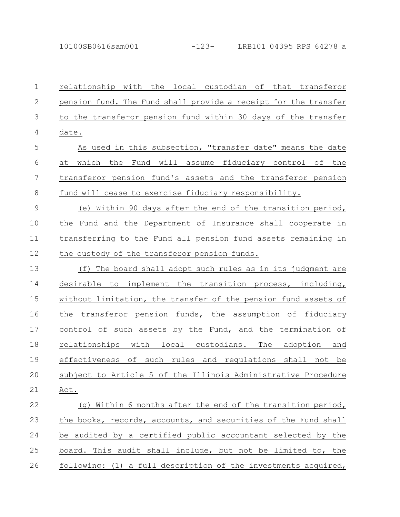10100SB0616sam001 -123- LRB101 04395 RPS 64278 a

relationship with the local custodian of that transferor pension fund. The Fund shall provide a receipt for the transfer to the transferor pension fund within 30 days of the transfer date. As used in this subsection, "transfer date" means the date at which the Fund will assume fiduciary control of the transferor pension fund's assets and the transferor pension fund will cease to exercise fiduciary responsibility. (e) Within 90 days after the end of the transition period, the Fund and the Department of Insurance shall cooperate in transferring to the Fund all pension fund assets remaining in the custody of the transferor pension funds. (f) The board shall adopt such rules as in its judgment are desirable to implement the transition process, including, without limitation, the transfer of the pension fund assets of the transferor pension funds, the assumption of fiduciary control of such assets by the Fund, and the termination of relationships with local custodians. The adoption and effectiveness of such rules and regulations shall not be subject to Article 5 of the Illinois Administrative Procedure Act. (g) Within 6 months after the end of the transition period, the books, records, accounts, and securities of the Fund shall 1 2 3 4 5 6 7 8 9 10 11 12 13 14 15 16 17 18 19 20 21 22 23

be audited by a certified public accountant selected by the board. This audit shall include, but not be limited to, the following: (1) a full description of the investments acquired, 24 25 26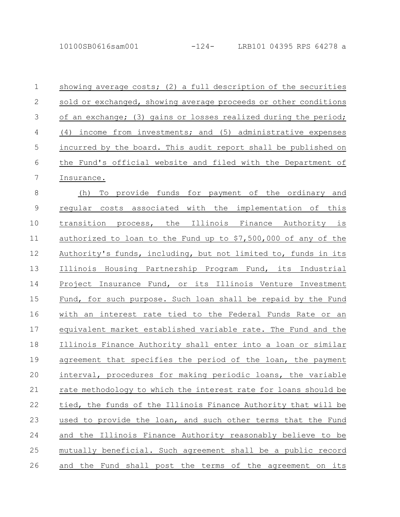| $\mathbf 1$     | showing average costs; (2) a full description of the securities |
|-----------------|-----------------------------------------------------------------|
| $\mathbf{2}$    | sold or exchanged, showing average proceeds or other conditions |
| 3               | of an exchange; (3) gains or losses realized during the period; |
| $\overline{4}$  | (4) income from investments; and (5) administrative expenses    |
| 5               | incurred by the board. This audit report shall be published on  |
| $6\,$           | the Fund's official website and filed with the Department of    |
| $7\phantom{.0}$ | Insurance.                                                      |
| 8               | To provide funds for payment of the ordinary and<br>(h)         |
| $\mathsf 9$     | regular costs associated with the implementation of this        |
| 10              | transition process, the Illinois Finance Authority is           |
| 11              | authorized to loan to the Fund up to \$7,500,000 of any of the  |
| 12              | Authority's funds, including, but not limited to, funds in its  |
| 13              | Illinois Housing Partnership Program Fund, its Industrial       |
| 14              | Project Insurance Fund, or its Illinois Venture Investment      |
| 15              | Fund, for such purpose. Such loan shall be repaid by the Fund   |
| 16              | with an interest rate tied to the Federal Funds Rate or an      |
| 17              | equivalent market established variable rate. The Fund and the   |
| 18              | Illinois Finance Authority shall enter into a loan or similar   |
| 19              | agreement that specifies the period of the loan, the payment    |
| 20              | interval, procedures for making periodic loans, the variable    |
| 21              | rate methodology to which the interest rate for loans should be |
| 22              | tied, the funds of the Illinois Finance Authority that will be  |
| 23              | used to provide the loan, and such other terms that the Fund    |
| 24              | and the Illinois Finance Authority reasonably believe to be     |
| 25              | mutually beneficial. Such agreement shall be a public record    |
| 26              | and the Fund shall post the terms of the agreement on its       |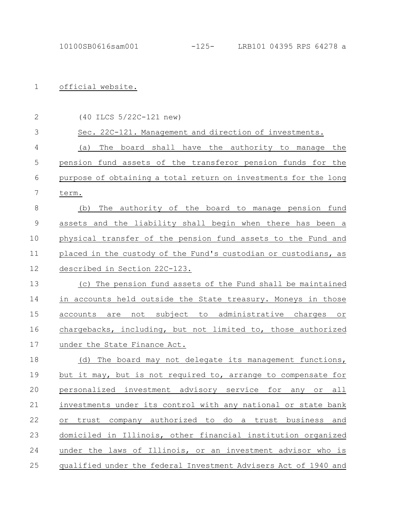1 official website.

| $\mathbf{2}$ | (40 ILCS 5/22C-121 new)                                         |
|--------------|-----------------------------------------------------------------|
| 3            | Sec. 22C-121. Management and direction of investments.          |
| 4            | The board shall have the authority to manage the<br>(a)         |
| 5            | pension fund assets of the transferor pension funds for the     |
| 6            | purpose of obtaining a total return on investments for the long |
| 7            | term.                                                           |
| $\,8\,$      | The authority of the board to manage pension fund<br>(b)        |
| $\mathsf 9$  | assets and the liability shall begin when there has been a      |
| 10           | physical transfer of the pension fund assets to the Fund and    |
| 11           | placed in the custody of the Fund's custodian or custodians, as |
| 12           | described in Section 22C-123.                                   |
| 13           | (c) The pension fund assets of the Fund shall be maintained     |
| 14           | in accounts held outside the State treasury. Moneys in those    |
| 15           | accounts are not subject to administrative charges or           |
| 16           | chargebacks, including, but not limited to, those authorized    |
| 17           | under the State Finance Act.                                    |
| 18           | (d)<br>The board may not delegate its management functions,     |
| 19           | but it may, but is not required to, arrange to compensate for   |
| 20           | personalized investment advisory service for<br>any or all      |
| 21           | investments under its control with any national or state bank   |
| 22           | or trust company authorized to do a trust business and          |
| 23           | domiciled in Illinois, other financial institution organized    |
| 24           | under the laws of Illinois, or an investment advisor who is     |
| 25           | qualified under the federal Investment Advisers Act of 1940 and |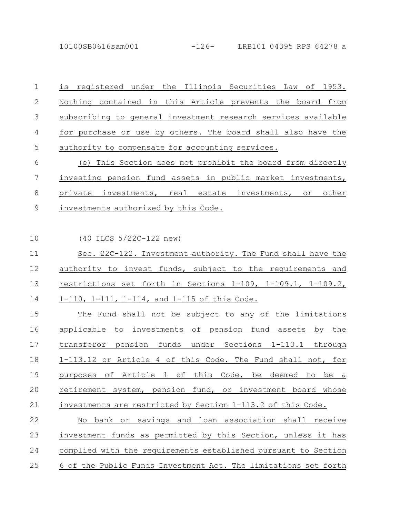10100SB0616sam001 -126- LRB101 04395 RPS 64278 a

is registered under the Illinois Securities Law of 1953. Nothing contained in this Article prevents the board from subscribing to general investment research services available for purchase or use by others. The board shall also have the authority to compensate for accounting services. (e) This Section does not prohibit the board from directly 1 2 3 4 5 6

investing pension fund assets in public market investments, private investments, real estate investments, or other investments authorized by this Code. 7 8 9

(40 ILCS 5/22C-122 new) 10

Sec. 22C-122. Investment authority. The Fund shall have the authority to invest funds, subject to the requirements and restrictions set forth in Sections 1-109, 1-109.1, 1-109.2, 1-110, 1-111, 1-114, and 1-115 of this Code. 11 12 13 14

The Fund shall not be subject to any of the limitations applicable to investments of pension fund assets by the transferor pension funds under Sections 1-113.1 through 1-113.12 or Article 4 of this Code. The Fund shall not, for purposes of Article 1 of this Code, be deemed to be a retirement system, pension fund, or investment board whose investments are restricted by Section 1-113.2 of this Code. 15 16 17 18 19 20 21

No bank or savings and loan association shall receive investment funds as permitted by this Section, unless it has complied with the requirements established pursuant to Section 6 of the Public Funds Investment Act. The limitations set forth 22 23 24 25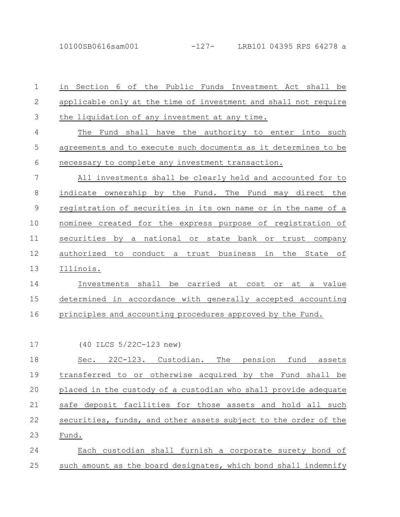10100SB0616sam001 -127- LRB101 04395 RPS 64278 a

in Section 6 of the Public Funds Investment Act shall be applicable only at the time of investment and shall not require the liquidation of any investment at any time. The Fund shall have the authority to enter into such agreements and to execute such documents as it determines to be necessary to complete any investment transaction. All investments shall be clearly held and accounted for to indicate ownership by the Fund. The Fund may direct the registration of securities in its own name or in the name of a nominee created for the express purpose of registration of securities by a national or state bank or trust company authorized to conduct a trust business in the State of Illinois. Investments shall be carried at cost or at a value 1 2 3 4 5 6 7 8 9 10 11 12 13 14

determined in accordance with generally accepted accounting principles and accounting procedures approved by the Fund. 15 16

(40 ILCS 5/22C-123 new) 17

Sec. 22C-123. Custodian. The pension fund assets transferred to or otherwise acquired by the Fund shall be placed in the custody of a custodian who shall provide adequate safe deposit facilities for those assets and hold all such securities, funds, and other assets subject to the order of the Fund. 18 19 20 21 22 23

Each custodian shall furnish a corporate surety bond of such amount as the board designates, which bond shall indemnify 24 25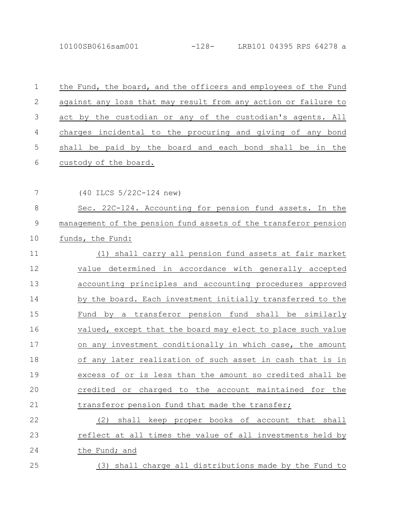10100SB0616sam001 -128- LRB101 04395 RPS 64278 a

| $\mathbf 1$    | the Fund, the board, and the officers and employees of the Fund |
|----------------|-----------------------------------------------------------------|
| 2              | against any loss that may result from any action or failure to  |
| $\mathfrak{Z}$ | act by the custodian or any of the custodian's agents. All      |
| $\overline{4}$ | charges incidental to the procuring and giving of any bond      |
| 5              | shall be paid by the board and each bond shall be in the        |
| 6              | custody of the board.                                           |
|                |                                                                 |
| 7              | (40 ILCS 5/22C-124 new)                                         |
| 8              | Sec. 22C-124. Accounting for pension fund assets. In the        |
| $\mathsf 9$    | management of the pension fund assets of the transferor pension |
| 10             | funds, the Fund:                                                |
| 11             | (1) shall carry all pension fund assets at fair market          |
| 12             | value determined in accordance with generally accepted          |
| 13             | accounting principles and accounting procedures approved        |
| 14             | by the board. Each investment initially transferred to the      |
| 15             | Fund by a transferor pension fund shall be similarly            |
| 16             | valued, except that the board may elect to place such value     |
| 17             | on any investment conditionally in which case, the amount       |
| 18             | of any later realization of such asset in cash that is in       |
| 19             | excess of or is less than the amount so credited shall be       |
| 20             | credited or charged to the account maintained for the           |
| 21             | transferor pension fund that made the transfer;                 |
| 22             | shall keep proper books of account that shall<br>(2)            |
| 23             | reflect at all times the value of all investments held by       |
| 24             | the Fund; and                                                   |

(3) shall charge all distributions made by the Fund to

25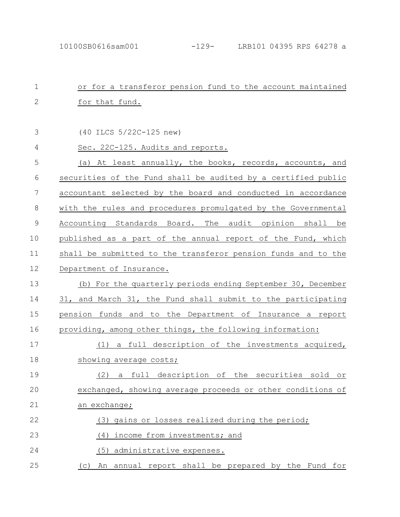| 1            | or for a transferor pension fund to the account maintained    |
|--------------|---------------------------------------------------------------|
| $\mathbf{2}$ | for that fund.                                                |
| 3            | (40 ILCS 5/22C-125 new)                                       |
| 4            | Sec. 22C-125. Audits and reports.                             |
| 5            | (a) At least annually, the books, records, accounts, and      |
| 6            | securities of the Fund shall be audited by a certified public |
| 7            | accountant selected by the board and conducted in accordance  |
| 8            | with the rules and procedures promulgated by the Governmental |
| $\mathsf 9$  | Accounting Standards Board. The audit opinion shall be        |
| 10           | published as a part of the annual report of the Fund, which   |
| 11           | shall be submitted to the transferor pension funds and to the |
| 12           | Department of Insurance.                                      |
| 13           | (b) For the quarterly periods ending September 30, December   |
| 14           | 31, and March 31, the Fund shall submit to the participating  |
| 15           | pension funds and to the Department of Insurance a report     |
| 16           | providing, among other things, the following information:     |
| 17           | a full description of the investments acquired,<br>(1)        |
| 18           | showing average costs;                                        |
| 19           | (2) a full description of the securities sold or              |
| 20           | exchanged, showing average proceeds or other conditions of    |
| 21           | an exchange;                                                  |
| 22           | (3) gains or losses realized during the period;               |
| 23           | (4) income from investments; and                              |
| 24           | (5) administrative expenses.                                  |
| 25           | (c) An annual report shall be prepared by the Fund for        |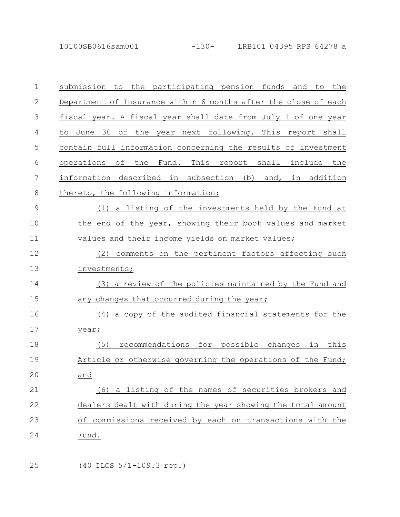10100SB0616sam001 -130- LRB101 04395 RPS 64278 a

| 1             | submission to the participating pension funds and to the        |
|---------------|-----------------------------------------------------------------|
| $\mathbf{2}$  | Department of Insurance within 6 months after the close of each |
| 3             | fiscal year. A fiscal year shall date from July 1 of one year   |
| 4             | to June 30 of the year next following. This report shall        |
| 5             | contain full information concerning the results of investment   |
| 6             | operations of the Fund. This report shall include the           |
| 7             | information described in subsection (b) and, in addition        |
| 8             | thereto, the following information:                             |
| $\mathcal{G}$ | (1) a listing of the investments held by the Fund at            |
| 10            | the end of the year, showing their book values and market       |
| 11            | values and their income yields on market values;                |
| 12            | comments on the pertinent factors affecting such<br>(2)         |
| 13            | investments;                                                    |
| 14            | (3) a review of the policies maintained by the Fund and         |
| 15            | any changes that occurred during the year;                      |
| 16            | a copy of the audited financial statements for the<br>(4)       |
| 17            | year;                                                           |
| 18            | recommendations for possible changes in this<br>(5)             |
|               |                                                                 |
| 19            | Article or otherwise governing the operations of the Fund;      |
| 20            | and                                                             |
| 21            | (6) a listing of the names of securities brokers and            |
| 22            | dealers dealt with during the year showing the total amount     |
| 23            | of commissions received by each on transactions with the        |

(40 ILCS 5/1-109.3 rep.) 25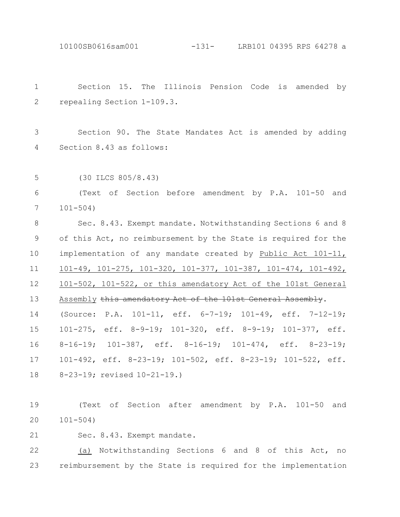10100SB0616sam001 -131- LRB101 04395 RPS 64278 a

Section 15. The Illinois Pension Code is amended by repealing Section 1-109.3. Section 90. The State Mandates Act is amended by adding Section 8.43 as follows: (30 ILCS 805/8.43) (Text of Section before amendment by P.A. 101-50 and 101-504) Sec. 8.43. Exempt mandate. Notwithstanding Sections 6 and 8 of this Act, no reimbursement by the State is required for the implementation of any mandate created by Public Act 101-11, 101-49, 101-275, 101-320, 101-377, 101-387, 101-474, 101-492, 101-502, 101-522, or this amendatory Act of the 101st General Assembly this amendatory Act of the 101st General Assembly. (Source: P.A. 101-11, eff. 6-7-19; 101-49, eff. 7-12-19; 101-275, eff. 8-9-19; 101-320, eff. 8-9-19; 101-377, eff. 8-16-19; 101-387, eff. 8-16-19; 101-474, eff. 8-23-19; 101-492, eff. 8-23-19; 101-502, eff. 8-23-19; 101-522, eff. 8-23-19; revised 10-21-19.) (Text of Section after amendment by P.A. 101-50 and 101-504) Sec. 8.43. Exempt mandate. (a) Notwithstanding Sections 6 and 8 of this Act, no reimbursement by the State is required for the implementation 1 2 3 4 5 6 7 8 9 10 11 12 13 14 15 16 17 18 19 20 21 22 23